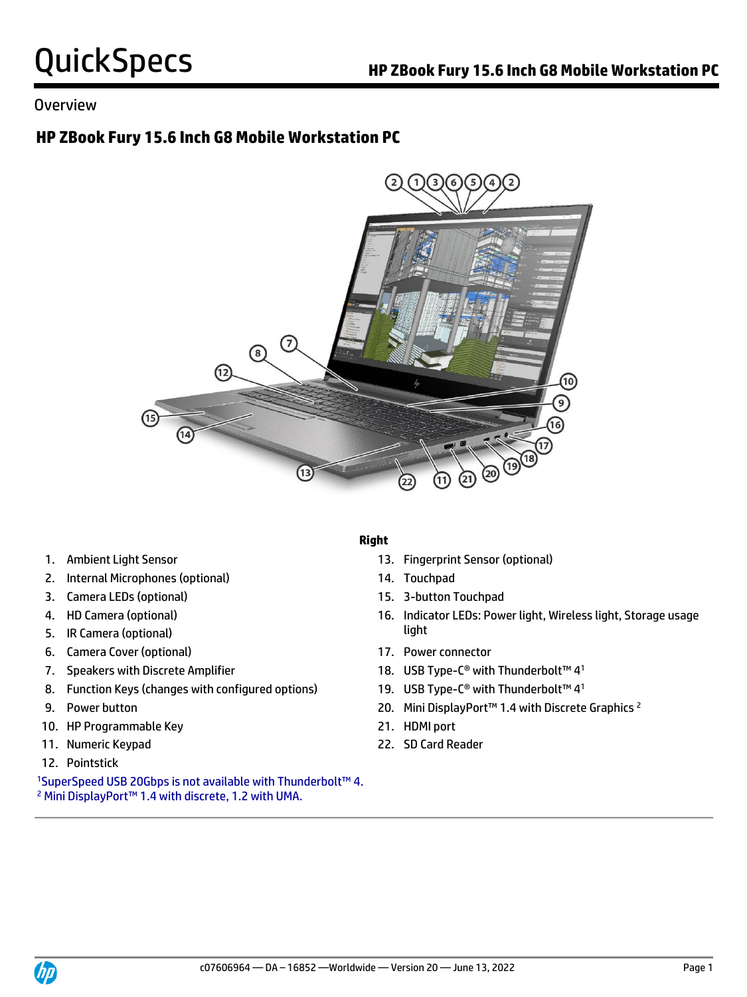## Overview

# **HP ZBook Fury 15.6 Inch G8 Mobile Workstation PC**



- 
- 2. Internal Microphones (optional) 14. Touchpad
- 3. Camera LEDs (optional) 15. 3-button Touchpad
- 
- **light** 5. IR Camera (optional) **Solution** 3. If  $\int$
- 6. Camera Cover (optional) 17. Power connector
- 
- 8. Function Keys (changes with configured options)
- 
- 10. HP Programmable Key 21. HDMI port
- 
- 12. Pointstick

<sup>1</sup>SuperSpeed USB 20Gbps is not available with Thunderbolt™ 4. <sup>2</sup> Mini DisplayPort™ 1.4 with discrete, 1.2 with UMA.

### **Right**

- 1. Ambient Light Sensor 13. Fingerprint Sensor (optional)
	-
	-
- 4. HD Camera (optional) 16. Indicator LEDs: Power light, Wireless light, Storage usage
	-
- 7. Speakers with Discrete Amplifier 18. USB Type-C® with Thunderbolt™ 41
	- 19. USB Type-C<sup>®</sup> with Thunderbolt™ 4<sup>1</sup>
- 9. Power button 20. Mini DisplayPort™ 1.4 with Discrete Graphics 2
	-
- 11. Numeric Keypad 22. SD Card Reader

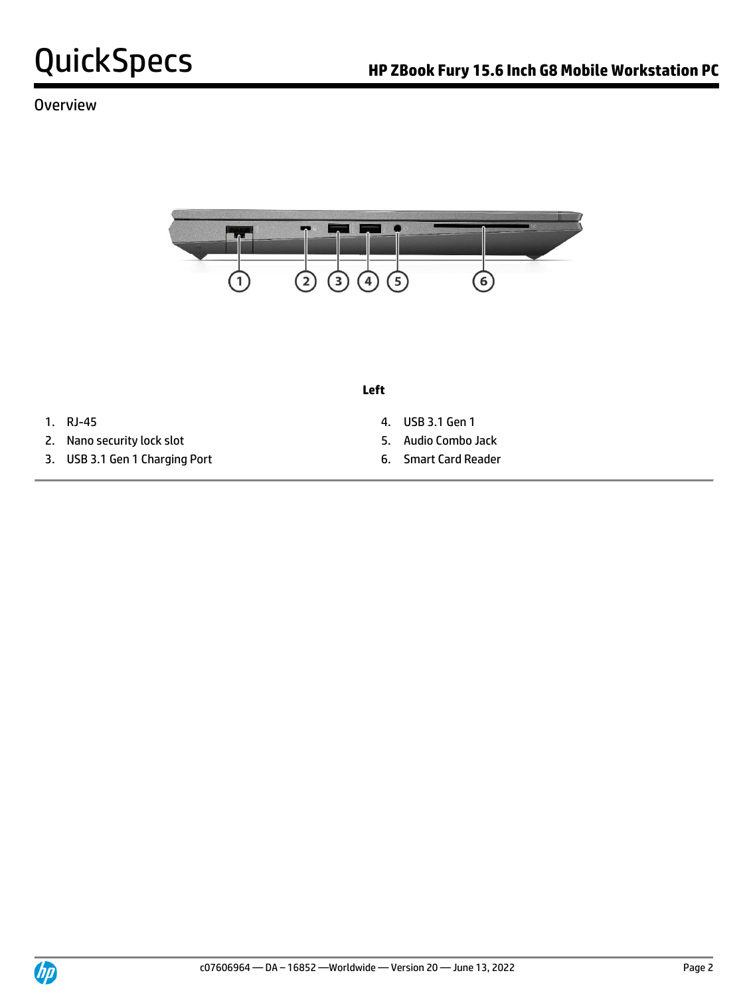## **Overview**



**Left**

- 
- 2. Nano security lock slot 5. Audio Combo Jack
- 3. USB 3.1 Gen 1 Charging Port 6. Smart Card Reader
- 1. RJ-45 4. USB 3.1 Gen 1
	-
	-

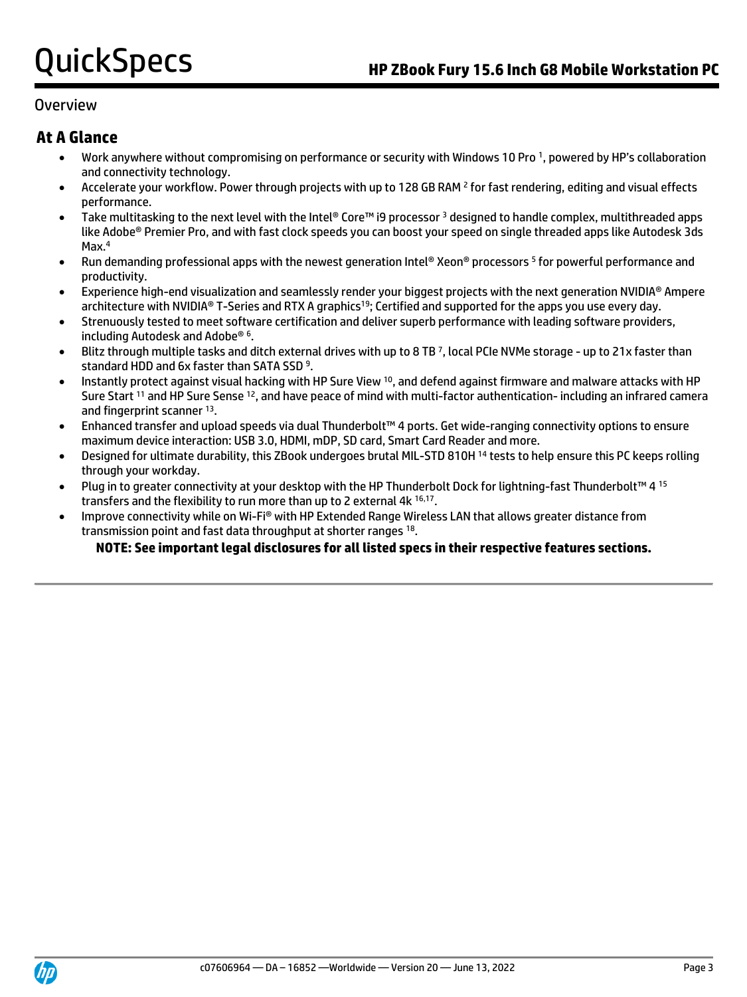### Overview

## **At A Glance**

- Work anywhere without compromising on performance or security with Windows 10 Pro <sup>1</sup> , powered by HP's collaboration and connectivity technology.
- Accelerate your workflow. Power through projects with up to 128 GB RAM <sup>2</sup> for fast rendering, editing and visual effects performance.
- Take multitasking to the next level with the Intel® Core™ i9 processor <sup>3</sup> designed to handle complex, multithreaded apps like Adobe® Premier Pro, and with fast clock speeds you can boost your speed on single threaded apps like Autodesk 3ds Max.<sup>4</sup>
- Run demanding professional apps with the newest generation Intel® Xeon® processors <sup>5</sup> for powerful performance and productivity.
- Experience high-end visualization and seamlessly render your biggest projects with the next generation NVIDIA® Ampere architecture with NVIDIA® T-Series and RTX A graphics<sup>19</sup>; Certified and supported for the apps you use every day.
- Strenuously tested to meet software certification and deliver superb performance with leading software providers, including Autodesk and Adobe® <sup>6</sup> .
- Blitz through multiple tasks and ditch external drives with up to 8 TB <sup>7</sup> , local PCIe NVMe storage up to 21x faster than standard HDD and 6x faster than SATA SSD<sup>9</sup>.
- Instantly protect against visual hacking with HP Sure View <sup>10</sup>, and defend against firmware and malware attacks with HP Sure Start <sup>11</sup> and HP Sure Sense <sup>12</sup>, and have peace of mind with multi-factor authentication- including an infrared camera and fingerprint scanner 13.
- Enhanced transfer and upload speeds via dual Thunderbolt™ 4 ports. Get wide-ranging connectivity options to ensure maximum device interaction: USB 3.0, HDMI, mDP, SD card, Smart Card Reader and more.
- Designed for ultimate durability, this ZBook undergoes brutal MIL-STD 810H <sup>14</sup> tests to help ensure this PC keeps rolling through your workday.
- Plug in to greater connectivity at your desktop with the HP Thunderbolt Dock for lightning-fast Thunderbolt™ 4 15 transfers and the flexibility to run more than up to 2 external 4k 16,17.
- Improve connectivity while on Wi-Fi® with HP Extended Range Wireless LAN that allows greater distance from transmission point and fast data throughput at shorter ranges 18.

### **NOTE: See important legal disclosures for all listed specs in their respective features sections.**

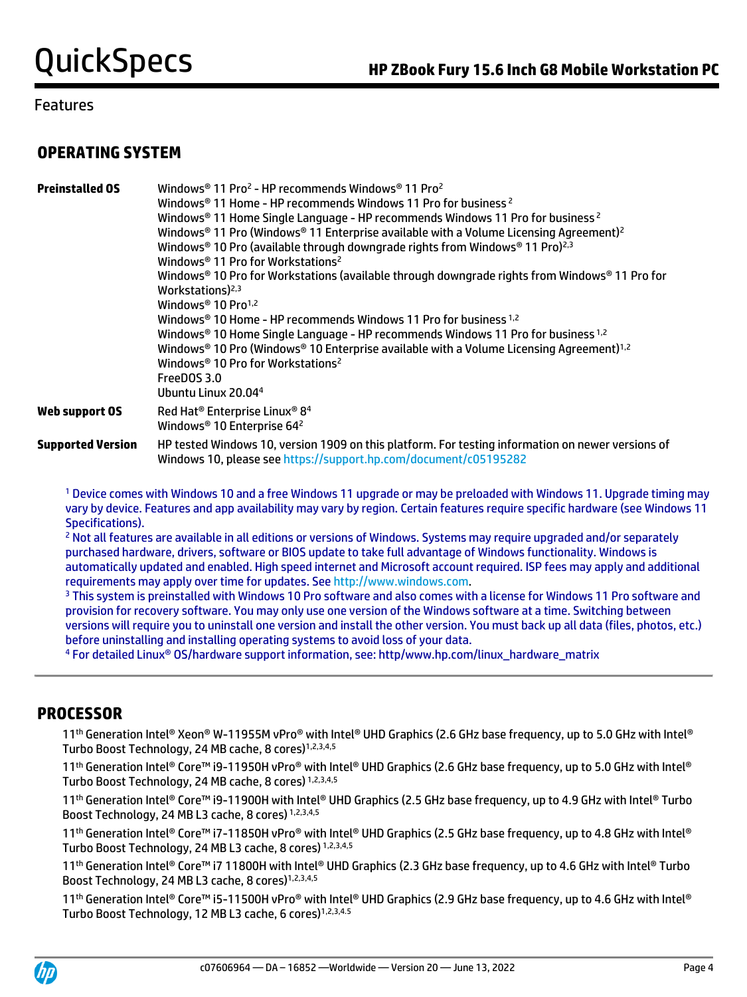## **OPERATING SYSTEM**

| <b>Preinstalled OS</b>   | Windows <sup>®</sup> 11 Pro <sup>2</sup> - HP recommends Windows <sup>®</sup> 11 Pro <sup>2</sup><br>Windows <sup>®</sup> 11 Home - HP recommends Windows 11 Pro for business <sup>2</sup><br>Windows® 11 Home Single Language - HP recommends Windows 11 Pro for business <sup>2</sup><br>Windows <sup>®</sup> 11 Pro (Windows <sup>®</sup> 11 Enterprise available with a Volume Licensing Agreement) <sup>2</sup><br>Windows <sup>®</sup> 10 Pro (available through downgrade rights from Windows <sup>®</sup> 11 Pro) <sup>2,3</sup><br>Windows <sup>®</sup> 11 Pro for Workstations <sup>2</sup><br>Windows <sup>®</sup> 10 Pro for Workstations (available through downgrade rights from Windows <sup>®</sup> 11 Pro for<br>Workstations) $2,3$<br>Windows <sup>®</sup> 10 Pro <sup>1,2</sup><br>Windows® 10 Home - HP recommends Windows 11 Pro for business 1,2<br>Windows® 10 Home Single Language - HP recommends Windows 11 Pro for business 1,2<br>Windows® 10 Pro (Windows® 10 Enterprise available with a Volume Licensing Agreement) <sup>1,2</sup><br>Windows <sup>®</sup> 10 Pro for Workstations <sup>2</sup><br>FreeDOS 3.0<br>Ubuntu Linux 20.044 |
|--------------------------|-----------------------------------------------------------------------------------------------------------------------------------------------------------------------------------------------------------------------------------------------------------------------------------------------------------------------------------------------------------------------------------------------------------------------------------------------------------------------------------------------------------------------------------------------------------------------------------------------------------------------------------------------------------------------------------------------------------------------------------------------------------------------------------------------------------------------------------------------------------------------------------------------------------------------------------------------------------------------------------------------------------------------------------------------------------------------------------------------------------------------------------------------------------------------|
| Web support OS           | Red Hat <sup>®</sup> Enterprise Linux® 8 <sup>4</sup><br>Windows <sup>®</sup> 10 Enterprise 64 <sup>2</sup>                                                                                                                                                                                                                                                                                                                                                                                                                                                                                                                                                                                                                                                                                                                                                                                                                                                                                                                                                                                                                                                           |
| <b>Supported Version</b> | HP tested Windows 10, version 1909 on this platform. For testing information on newer versions of<br>Windows 10, please see https://support.hp.com/document/c05195282                                                                                                                                                                                                                                                                                                                                                                                                                                                                                                                                                                                                                                                                                                                                                                                                                                                                                                                                                                                                 |

<sup>1</sup> Device comes with Windows 10 and a free Windows 11 upgrade or may be preloaded with Windows 11. Upgrade timing may vary by device. Features and app availability may vary by region. Certain features require specific hardware (see Windows 11 Specifications).

<sup>2</sup> Not all features are available in all editions or versions of Windows. Systems may require upgraded and/or separately purchased hardware, drivers, software or BIOS update to take full advantage of Windows functionality. Windows is automatically updated and enabled. High speed internet and Microsoft account required. ISP fees may apply and additional requirements may apply over time for updates. Se[e http://www.windows.com.](http://www.windows.com/)

<sup>3</sup> This system is preinstalled with Windows 10 Pro software and also comes with a license for Windows 11 Pro software and provision for recovery software. You may only use one version of the Windows software at a time. Switching between versions will require you to uninstall one version and install the other version. You must back up all data (files, photos, etc.) before uninstalling and installing operating systems to avoid loss of your data.

<sup>4</sup> For detailed Linux® OS/hardware support information, see: http/www.hp.com/linux\_hardware\_matrix

## **PROCESSOR**

11 th Generation Intel® Xeon® W-11955M vPro® with Intel® UHD Graphics (2.6 GHz base frequency, up to 5.0 GHz with Intel® Turbo Boost Technology, 24 MB cache, 8 cores)<sup>1,2,3,4,5</sup>

11<sup>th</sup> Generation Intel® Core™ i9-11950H vPro® with Intel® UHD Graphics (2.6 GHz base frequency, up to 5.0 GHz with Intel® Turbo Boost Technology, 24 MB cache, 8 cores) 1,2,3,4,5

11th Generation Intel® Core™ i9-11900H with Intel® UHD Graphics (2.5 GHz base frequency, up to 4.9 GHz with Intel® Turbo Boost Technology, 24 MB L3 cache, 8 cores) 1,2,3,4,5

11<sup>th</sup> Generation Intel® Core™ i7-11850H vPro® with Intel® UHD Graphics (2.5 GHz base frequency, up to 4.8 GHz with Intel® Turbo Boost Technology, 24 MB L3 cache, 8 cores) 1,2,3,4,5

11th Generation Intel® Core™ i7 11800H with Intel® UHD Graphics (2.3 GHz base frequency, up to 4.6 GHz with Intel® Turbo Boost Technology, 24 MB L3 cache. 8 cores)<sup>1,2,3,4,5</sup>

11<sup>th</sup> Generation Intel® Core™ i5-11500H vPro® with Intel® UHD Graphics (2.9 GHz base frequency, up to 4.6 GHz with Intel® Turbo Boost Technology, 12 MB L3 cache, 6 cores)1,2,3,4.5

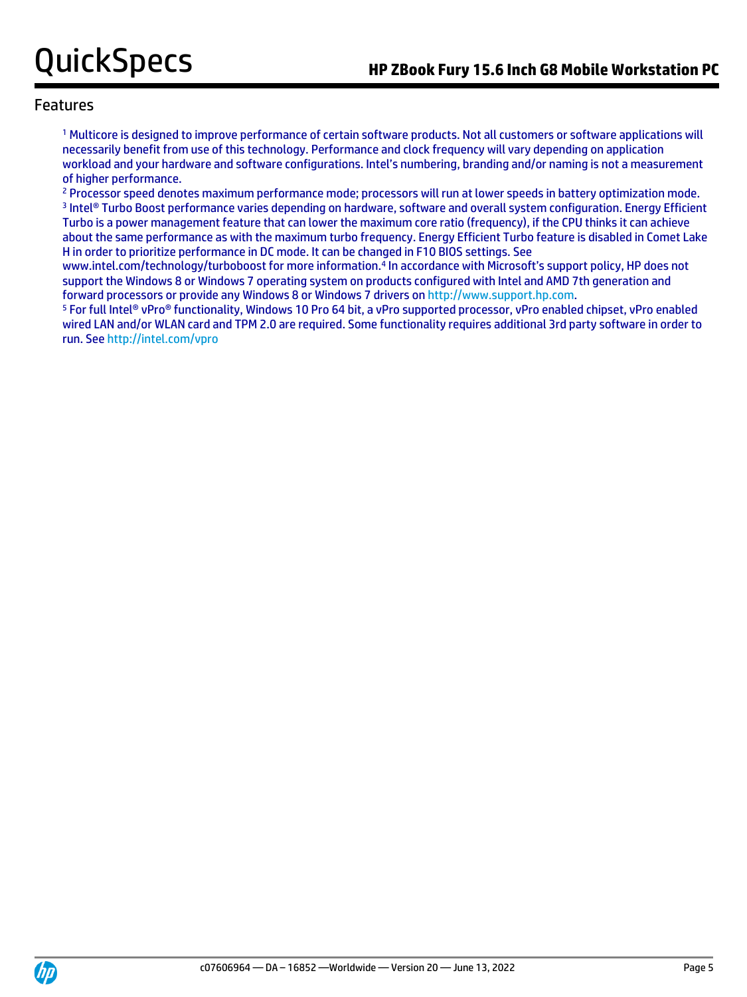<sup>1</sup> Multicore is designed to improve performance of certain software products. Not all customers or software applications will necessarily benefit from use of this technology. Performance and clock frequency will vary depending on application workload and your hardware and software configurations. Intel's numbering, branding and/or naming is not a measurement of higher performance.

<sup>2</sup> Processor speed denotes maximum performance mode; processors will run at lower speeds in battery optimization mode. 3 Intel® Turbo Boost performance varies depending on hardware, software and overall system configuration. Energy Efficient Turbo is a power management feature that can lower the maximum core ratio (frequency), if the CPU thinks it can achieve about the same performance as with the maximum turbo frequency. Energy Efficient Turbo feature is disabled in Comet Lake H in order to prioritize performance in DC mode. It can be changed in F10 BIOS settings. See

www.intel.com/technology/turboboost for more information.<sup>4</sup> In accordance with Microsoft's support policy, HP does not support the Windows 8 or Windows 7 operating system on products configured with Intel and AMD 7th generation and forward processors or provide any Windows 8 or Windows 7 drivers o[n http://www.support.hp.com.](http://www.support.hp.com/)

<sup>5</sup> For full Intel® vPro® functionality, Windows 10 Pro 64 bit, a vPro supported processor, vPro enabled chipset, vPro enabled wired LAN and/or WLAN card and TPM 2.0 are required. Some functionality requires additional 3rd party software in order to run. Se[e http://intel.com/vpro](http://intel.com/vpro)

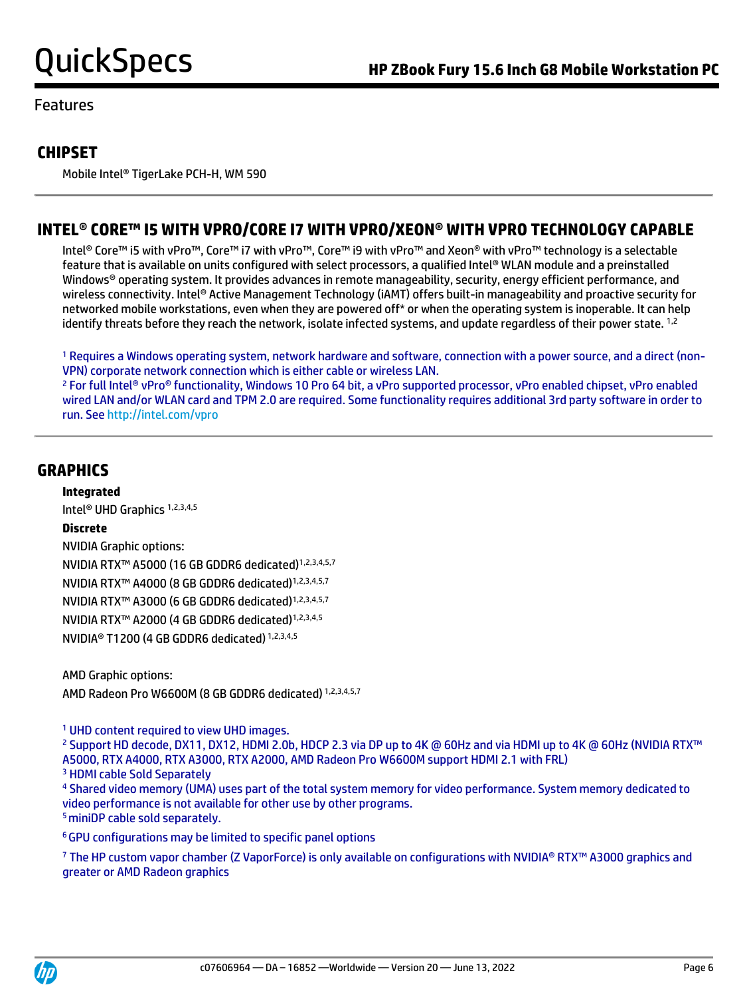## **CHIPSET**

Mobile Intel® TigerLake PCH-H, WM 590

## **INTEL® CORE™ I5 WITH VPRO/CORE I7 WITH VPRO/XEON® WITH VPRO TECHNOLOGY CAPABLE**

Intel® Core™ i5 with vPro™, Core™ i7 with vPro™, Core™ i9 with vPro™ and Xeon® with vPro™ technology is a selectable feature that is available on units configured with select processors, a qualified Intel® WLAN module and a preinstalled Windows® operating system. It provides advances in remote manageability, security, energy efficient performance, and wireless connectivity. Intel® Active Management Technology (iAMT) offers built-in manageability and proactive security for networked mobile workstations, even when they are powered off\* or when the operating system is inoperable. It can help identify threats before they reach the network, isolate infected systems, and update regardless of their power state. <sup>1,2</sup>

<sup>1</sup> Requires a Windows operating system, network hardware and software, connection with a power source, and a direct (non-VPN) corporate network connection which is either cable or wireless LAN.

<sup>2</sup> For full Intel® vPro® functionality, Windows 10 Pro 64 bit, a vPro supported processor, vPro enabled chipset, vPro enabled wired LAN and/or WLAN card and TPM 2.0 are required. Some functionality requires additional 3rd party software in order to run. Se[e http://intel.com/vpro](http://intel.com/vpro)

## **GRAPHICS**

**Integrated**

Intel® UHD Graphics 1,2,3,4,5

### **Discrete**

NVIDIA Graphic options: NVIDIA RTX™ A5000 (16 GB GDDR6 dedicated)1,2,3,4,5,7 NVIDIA RTX™ A4000 (8 GB GDDR6 dedicated)1,2,3,4,5,7 NVIDIA RTX™ A3000 (6 GB GDDR6 dedicated)1,2,3,4,5,7 NVIDIA RTX™ A2000 (4 GB GDDR6 dedicated)1,2,3,4,5 NVIDIA® T1200 (4 GB GDDR6 dedicated) 1,2,3,4,5

AMD Graphic options: AMD Radeon Pro W6600M (8 GB GDDR6 dedicated) 1,2,3,4,5,7

<sup>1</sup> UHD content required to view UHD images.

<sup>2</sup> Support HD decode, DX11, DX12, HDMI 2.0b, HDCP 2.3 via DP up to 4K @ 60Hz and via HDMI up to 4K @ 60Hz (NVIDIA RTX™ A5000, RTX A4000, RTX A3000, RTX A2000, AMD Radeon Pro W6600M support HDMI 2.1 with FRL) <sup>3</sup> HDMI cable Sold Separately

<sup>4</sup> Shared video memory (UMA) uses part of the total system memory for video performance. System memory dedicated to video performance is not available for other use by other programs. <sup>5</sup> miniDP cable sold separately.

<sup>6</sup>GPU configurations may be limited to specific panel options

<sup>7</sup> The HP custom vapor chamber (Z VaporForce) is only available on configurations with NVIDIA® RTX™ A3000 graphics and greater or AMD Radeon graphics

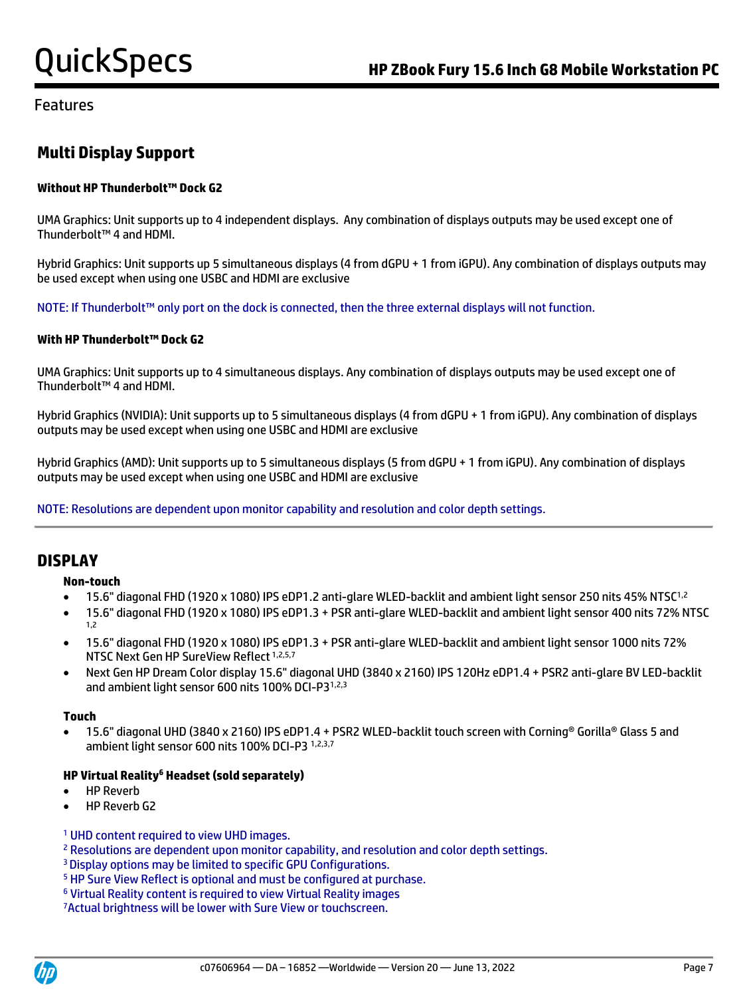# **Multi Display Support**

### **Without HP Thunderbolt™ Dock G2**

UMA Graphics: Unit supports up to 4 independent displays. Any combination of displays outputs may be used except one of Thunderbolt™ 4 and HDMI.

Hybrid Graphics: Unit supports up 5 simultaneous displays (4 from dGPU + 1 from iGPU). Any combination of displays outputs may be used except when using one USBC and HDMI are exclusive

NOTE: If Thunderbolt™ only port on the dock is connected, then the three external displays will not function.

#### **With HP Thunderbolt™ Dock G2**

UMA Graphics: Unit supports up to 4 simultaneous displays. Any combination of displays outputs may be used except one of Thunderbolt™ 4 and HDMI.

Hybrid Graphics (NVIDIA): Unit supports up to 5 simultaneous displays (4 from dGPU + 1 from iGPU). Any combination of displays outputs may be used except when using one USBC and HDMI are exclusive

Hybrid Graphics (AMD): Unit supports up to 5 simultaneous displays (5 from dGPU + 1 from iGPU). Any combination of displays outputs may be used except when using one USBC and HDMI are exclusive

NOTE: Resolutions are dependent upon monitor capability and resolution and color depth settings.

## **DISPLAY**

#### **Non-touch**

- 15.6" diagonal FHD (1920 x 1080) IPS eDP1.2 anti-glare WLED-backlit and ambient light sensor 250 nits 45% NTSC1,2
- 15.6" diagonal FHD (1920 x 1080) IPS eDP1.3 + PSR anti-glare WLED-backlit and ambient light sensor 400 nits 72% NTSC 1,2
- 15.6" diagonal FHD (1920 x 1080) IPS eDP1.3 + PSR anti-glare WLED-backlit and ambient light sensor 1000 nits 72% NTSC Next Gen HP SureView Reflect 1,2,5,7
- Next Gen HP Dream Color display 15.6" diagonal UHD (3840 x 2160) IPS 120Hz eDP1.4 + PSR2 anti-glare BV LED-backlit and ambient light sensor 600 nits 100% DCI-P31,2,3

#### **Touch**

• 15.6" diagonal UHD (3840 x 2160) IPS eDP1.4 + PSR2 WLED-backlit touch screen with Corning® Gorilla® Glass 5 and ambient light sensor 600 nits 100% DCI-P3 1,2,3,7

### **HP Virtual Reality<sup>6</sup> Headset (sold separately)**

- HP Reverb
- HP Reverb G2
- <sup>1</sup> UHD content required to view UHD images.
- <sup>2</sup> Resolutions are dependent upon monitor capability, and resolution and color depth settings.
- <sup>3</sup>Display options may be limited to specific GPU Configurations.
- <sup>5</sup> HP Sure View Reflect is optional and must be configured at purchase.
- <sup>6</sup> Virtual Reality content is required to view Virtual Reality images
- 7Actual brightness will be lower with Sure View or touchscreen.

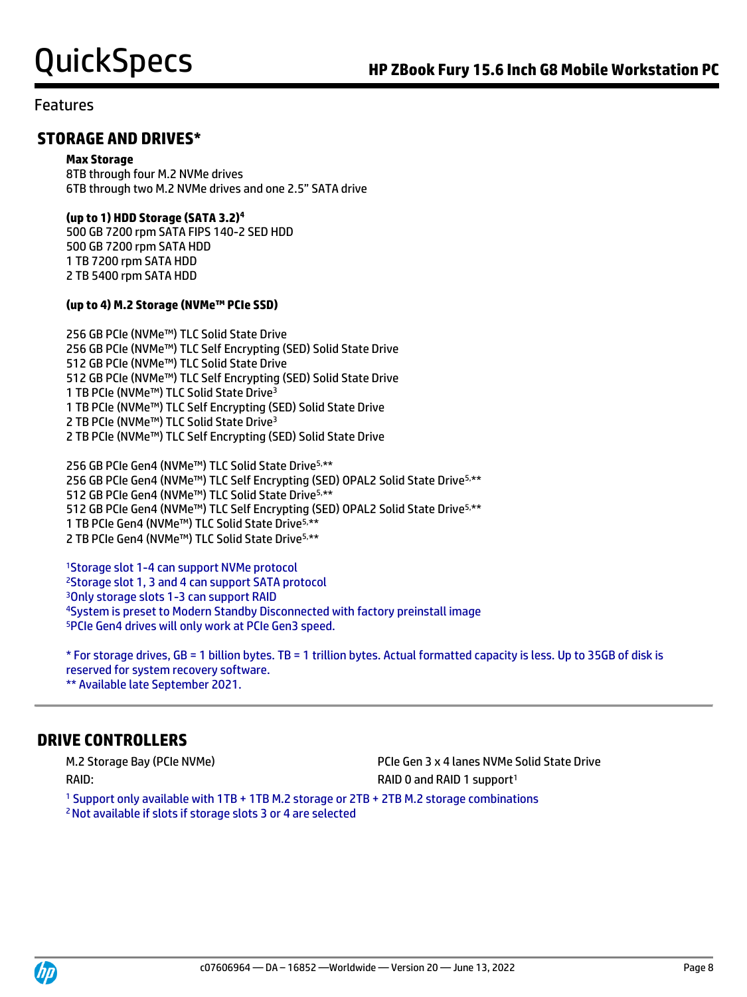## **STORAGE AND DRIVES\***

#### **Max Storage**

8TB through four M.2 NVMe drives 6TB through two M.2 NVMe drives and one 2.5" SATA drive

#### **(up to 1) HDD Storage (SATA 3.2)<sup>4</sup>**

500 GB 7200 rpm SATA FIPS 140-2 SED HDD 500 GB 7200 rpm SATA HDD 1 TB 7200 rpm SATA HDD 2 TB 5400 rpm SATA HDD

### **(up to 4) M.2 Storage (NVMe™ PCIe SSD)**

256 GB PCIe (NVMe™) TLC Solid State Drive 256 GB PCIe (NVMe™) TLC Self Encrypting (SED) Solid State Drive 512 GB PCIe (NVMe™) TLC Solid State Drive 512 GB PCIe (NVMe™) TLC Self Encrypting (SED) Solid State Drive 1 TB PCIe (NVMe™) TLC Solid State Drive<sup>3</sup> 1 TB PCIe (NVMe™) TLC Self Encrypting (SED) Solid State Drive 2 TB PCIe (NVMe™) TLC Solid State Drive<sup>3</sup> 2 TB PCIe (NVMe™) TLC Self Encrypting (SED) Solid State Drive

256 GB PCIe Gen4 (NVMe™) TLC Solid State Drive5,\*\* 256 GB PCIe Gen4 (NVMe™) TLC Self Encrypting (SED) OPAL2 Solid State Drive<sup>5,\*\*</sup> GB PCIe Gen4 (NVMe™) TLC Solid State Drive5,\*\* GB PCIe Gen4 (NVMe™) TLC Self Encrypting (SED) OPAL2 Solid State Drive5,\*\* TB PCIe Gen4 (NVMe™) TLC Solid State Drive5,\*\* TB PCIe Gen4 (NVMe™) TLC Solid State Drive5,\*\*

Storage slot 1-4 can support NVMe protocol Storage slot 1, 3 and 4 can support SATA protocol Only storage slots 1-3 can support RAID System is preset to Modern Standby Disconnected with factory preinstall image PCIe Gen4 drives will only work at PCIe Gen3 speed.

\* For storage drives, GB = 1 billion bytes. TB = 1 trillion bytes. Actual formatted capacity is less.Up to 35GB of disk is reserved for system recovery software. \*\* Available late September 2021.

## **DRIVE CONTROLLERS**

RAID: RAID: RAID 1 support<sup>1</sup>

M.2 Storage Bay (PCIe NVMe) PCIe Gen 3 x 4 lanes NVMe Solid State Drive

<sup>1</sup> Support only available with 1TB + 1TB M.2 storage or 2TB + 2TB M.2 storage combinations 2 Not available if slots if storage slots 3 or 4 are selected

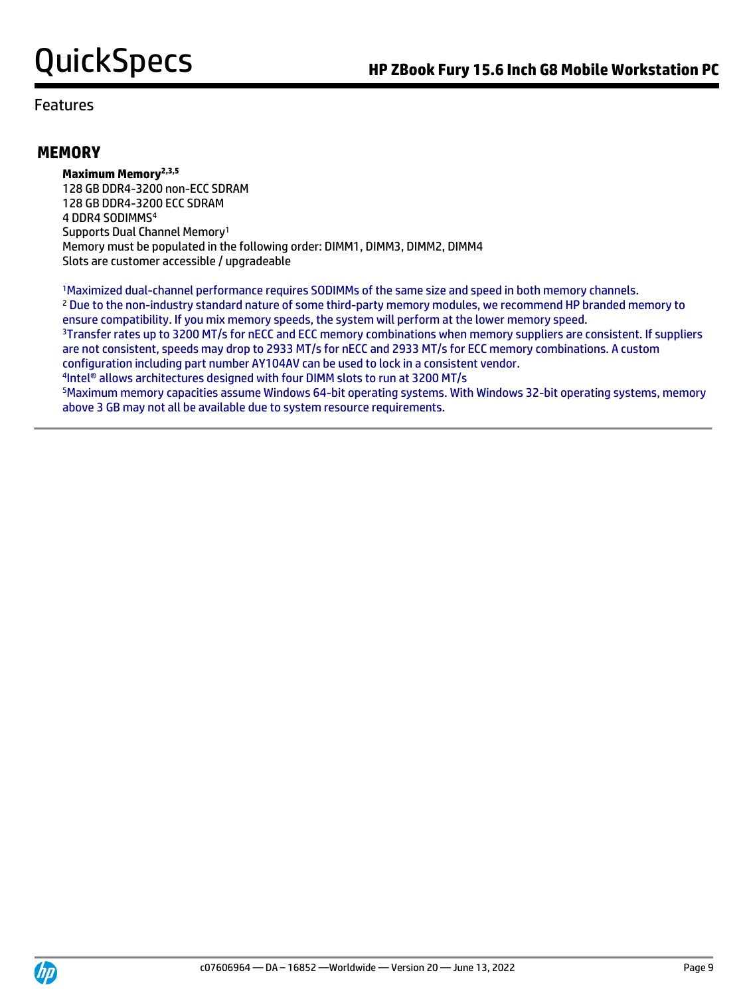## **MEMORY**

**Maximum Memory2,3,5** 128 GB DDR4-3200 non-ECC SDRAM 128 GB DDR4-3200 ECC SDRAM 4 DDR4 SODIMMS<sup>4</sup> Supports Dual Channel Memory<sup>1</sup> Memory must be populated in the following order: DIMM1, DIMM3, DIMM2, DIMM4 Slots are customer accessible / upgradeable

<sup>1</sup>Maximized dual-channel performance requires SODIMMs of the same size and speed in both memory channels. <sup>2</sup> Due to the non-industry standard nature of some third-party memory modules, we recommend HP branded memory to ensure compatibility. If you mix memory speeds, the system will perform at the lower memory speed. <sup>3</sup>Transfer rates up to 3200 MT/s for nECC and ECC memory combinations when memory suppliers are consistent. If suppliers are not consistent, speeds may drop to 2933 MT/s for nECC and 2933 MT/s for ECC memory combinations. A custom configuration including part number AY104AV can be used to lock in a consistent vendor. 4 Intel® allows architectures designed with four DIMM slots to run at 3200 MT/s <sup>5</sup>Maximum memory capacities assume Windows 64-bit operating systems. With Windows 32-bit operating systems, memory above 3 GB may not all be available due to system resource requirements.

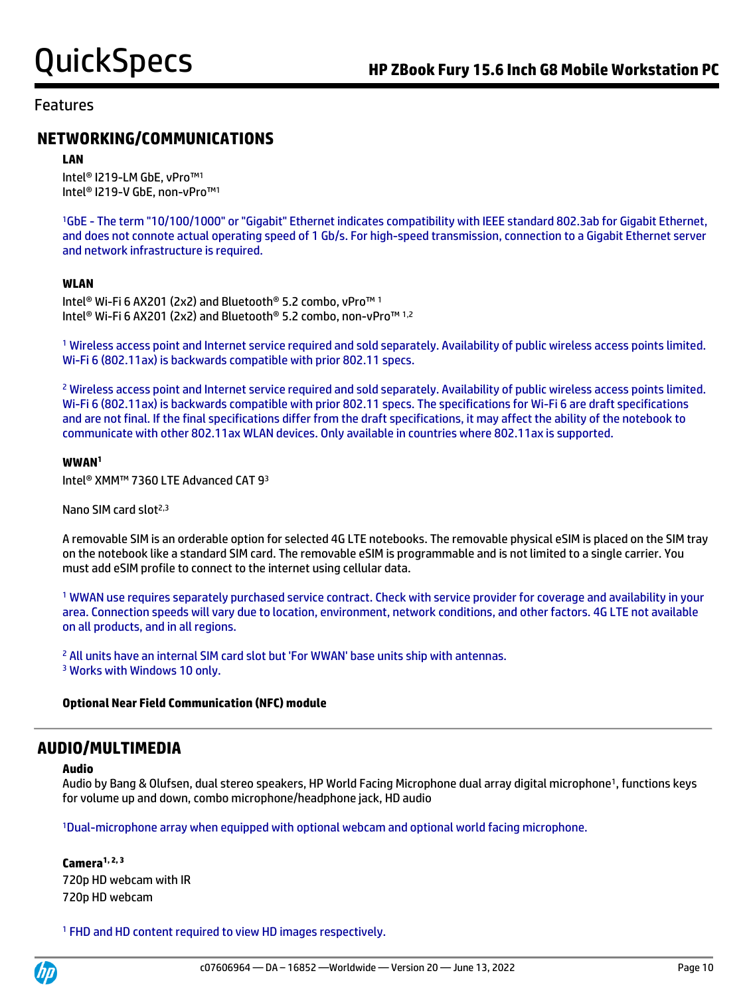## **NETWORKING/COMMUNICATIONS**

#### **LAN**

Intel® I219-LM GbE, vPro™<sup>1</sup> Intel® I219-V GbE, non-vPro™<sup>1</sup>

<sup>1</sup>GbE - The term "10/100/1000" or "Gigabit" Ethernet indicates compatibility with IEEE standard 802.3ab for Gigabit Ethernet, and does not connote actual operating speed of 1 Gb/s. For high-speed transmission, connection to a Gigabit Ethernet server and network infrastructure is required.

#### **WLAN**

Intel® Wi-Fi 6 AX201 (2x2) and Bluetooth® 5.2 combo, vPro™ <sup>1</sup> Intel® Wi-Fi 6 AX201 (2x2) and Bluetooth® 5.2 combo, non-vPro™ 1,2

<sup>1</sup> Wireless access point and Internet service required and sold separately. Availability of public wireless access points limited. Wi-Fi 6 (802.11ax) is backwards compatible with prior 802.11 specs.

<sup>2</sup> Wireless access point and Internet service required and sold separately. Availability of public wireless access points limited. Wi-Fi 6 (802.11ax) is backwards compatible with prior 802.11 specs. The specifications for Wi-Fi 6 are draft specifications and are not final. If the final specifications differ from the draft specifications, it may affect the ability of the notebook to communicate with other 802.11ax WLAN devices. Only available in countries where 802.11ax is supported.

#### **WWAN<sup>1</sup>**

Intel® XMM™ 7360 LTE Advanced CAT 9<sup>3</sup>

Nano SIM card slot<sup>2,3</sup>

A removable SIM is an orderable option for selected 4G LTE notebooks. The removable physical eSIM is placed on the SIM tray on the notebook like a standard SIM card. The removable eSIM is programmable and is not limited to a single carrier. You must add eSIM profile to connect to the internet using cellular data.

<sup>1</sup> WWAN use requires separately purchased service contract. Check with service provider for coverage and availability in your area. Connection speeds will vary due to location, environment, network conditions, and other factors. 4G LTE not available on all products, and in all regions.

<sup>2</sup> All units have an internal SIM card slot but 'For WWAN' base units ship with antennas. <sup>3</sup> Works with Windows 10 only.

#### **Optional Near Field Communication (NFC) module**

## **AUDIO/MULTIMEDIA**

#### **Audio**

Audio by Bang & Olufsen, dual stereo speakers, HP World Facing Microphone dual array digital microphone<sup>1</sup>, functions keys for volume up and down, combo microphone/headphone jack, HD audio

<sup>1</sup>Dual-microphone array when equipped with optional webcam and optional world facing microphone.

**Camera1, 2, 3** 720p HD webcam with IR 720p HD webcam

<sup>1</sup> FHD and HD content required to view HD images respectively.

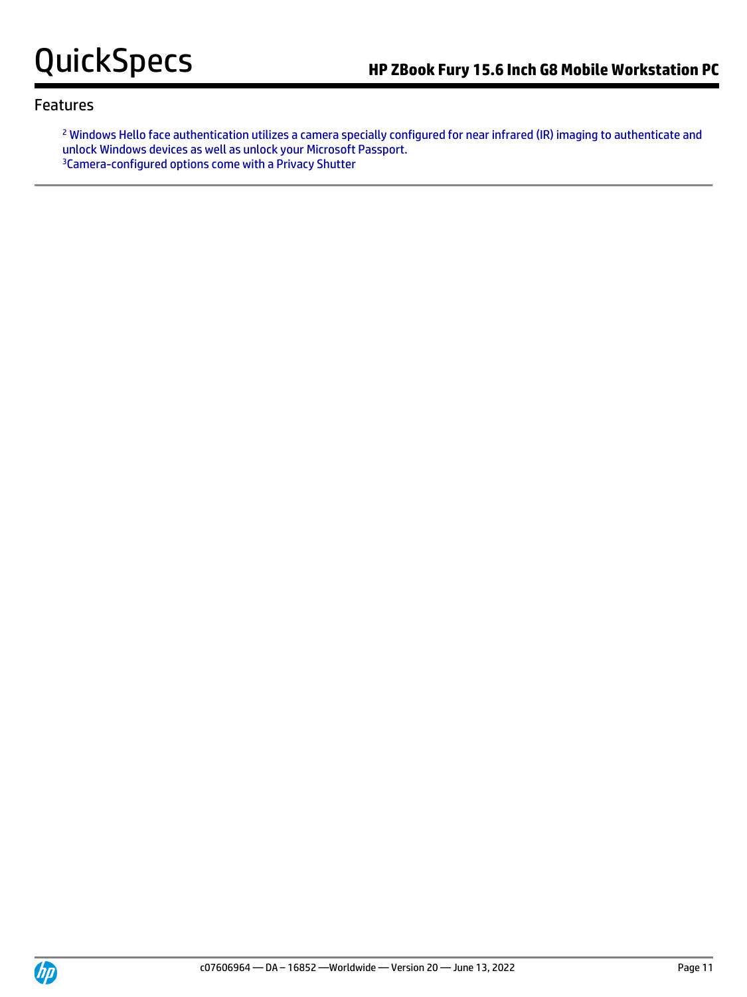<sup>2</sup> Windows Hello face authentication utilizes a camera specially configured for near infrared (IR) imaging to authenticate and unlock Windows devices as well as unlock your Microsoft Passport. <sup>3</sup>Camera-configured options come with a Privacy Shutter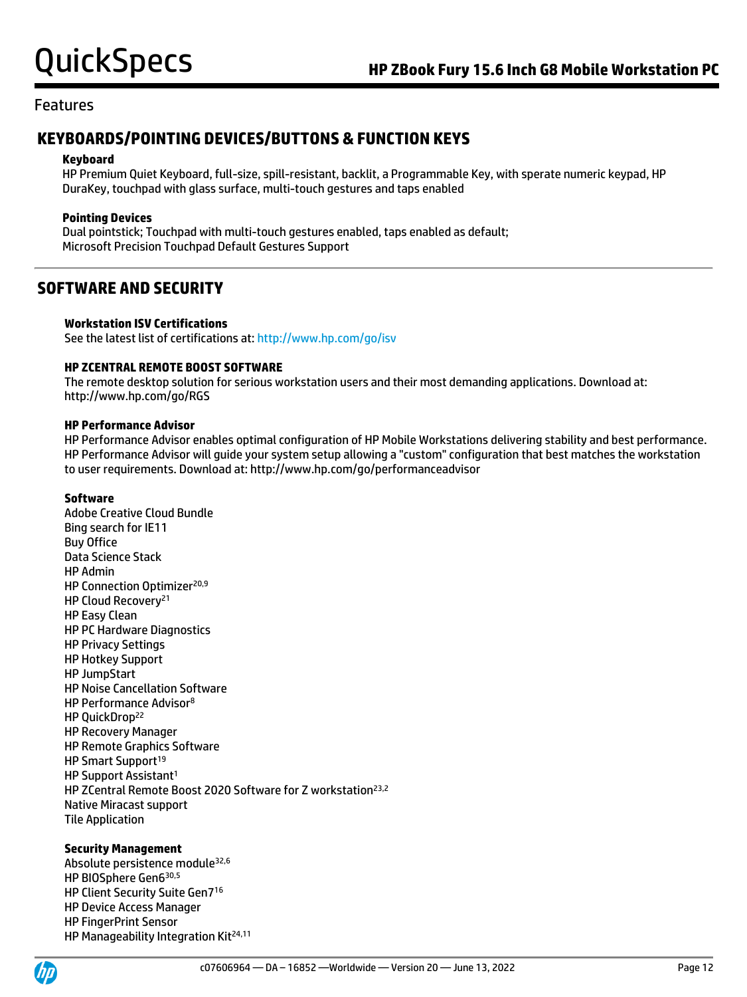## **KEYBOARDS/POINTING DEVICES/BUTTONS & FUNCTION KEYS**

#### **Keyboard**

HP Premium Quiet Keyboard, full-size, spill-resistant, backlit, a Programmable Key, with sperate numeric keypad, HP DuraKey, touchpad with glass surface, multi-touch gestures and taps enabled

#### **Pointing Devices**

Dual pointstick; Touchpad with multi-touch gestures enabled, taps enabled as default; Microsoft Precision Touchpad Default Gestures Support

## **SOFTWARE AND SECURITY**

#### **Workstation ISV Certifications**

See the latest list of certifications at[: http://www.hp.com/go/isv](http://www.hp.com/go/isv)

### **HP ZCENTRAL REMOTE BOOST SOFTWARE**

The remote desktop solution for serious workstation users and their most demanding applications. Download at: http://www.hp.com/go/RGS

#### **HP Performance Advisor**

HP Performance Advisor enables optimal configuration of HP Mobile Workstations delivering stability and best performance. HP Performance Advisor will guide your system setup allowing a "custom" configuration that best matches the workstation to user requirements. Download at: http://www.hp.com/go/performanceadvisor

#### **Software**

Adobe Creative Cloud Bundle Bing search for IE11 Buy Office Data Science Stack HP Admin HP Connection Optimizer<sup>20,9</sup> HP Cloud Recovery<sup>21</sup> HP Easy Clean HP PC Hardware Diagnostics HP Privacy Settings HP Hotkey Support HP JumpStart HP Noise Cancellation Software HP Performance Advisor<sup>8</sup> HP QuickDrop<sup>22</sup> HP Recovery Manager HP Remote Graphics Software HP Smart Support<sup>19</sup> HP Support Assistant<sup>1</sup> HP ZCentral Remote Boost 2020 Software for Z workstation<sup>23,2</sup> Native Miracast support Tile Application

### **Security Management**

Absolute persistence module32,6 HP BIOSphere Gen6 30,5 HP Client Security Suite Gen7<sup>16</sup> HP Device Access Manager HP FingerPrint Sensor HP Manageability Integration Kit<sup>24,11</sup>

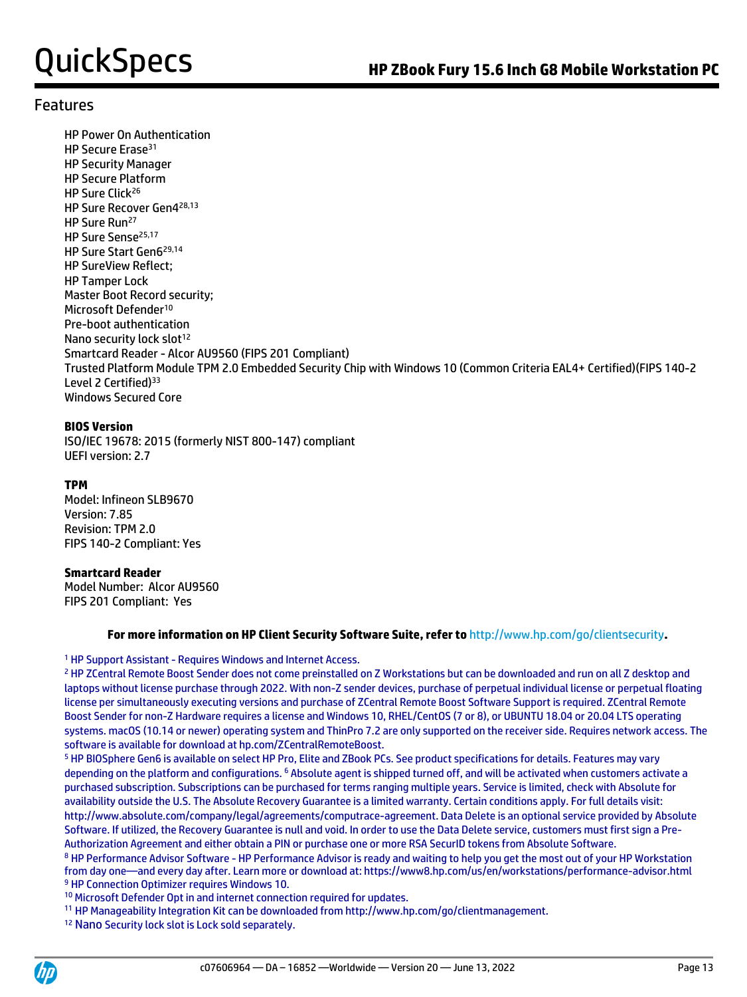HP Power On Authentication HP Secure Erase<sup>31</sup> HP Security Manager HP Secure Platform HP Sure Click<sup>26</sup> HP Sure Recover Gen4 28,13 HP Sure Run<sup>27</sup> HP Sure Sense<sup>25,17</sup> HP Sure Start Gen6 29,14 HP SureView Reflect; HP Tamper Lock Master Boot Record security; Microsoft Defender<sup>10</sup> Pre-boot authentication Nano security lock slot<sup>12</sup> Smartcard Reader - Alcor AU9560 (FIPS 201 Compliant) Trusted Platform Module TPM 2.0 Embedded Security Chip with Windows 10 (Common Criteria EAL4+ Certified)(FIPS 140-2 Level 2 Certified)<sup>33</sup> Windows Secured Core

#### **BIOS Version**

ISO/IEC 19678: 2015 (formerly NIST 800-147) compliant UEFI version: 2.7

### **TPM**

Model: Infineon SLB9670 Version: 7.85 Revision: TPM 2.0 FIPS 140-2 Compliant: Yes

#### **Smartcard Reader**

Model Number: Alcor AU9560 FIPS 201 Compliant: Yes

#### **For more information on HP Client Security Software Suite, refer to** http://www.hp.com/go/clientsecurity**.**

<sup>1</sup> HP Support Assistant - Requires Windows and Internet Access.

<sup>2</sup> HP ZCentral Remote Boost Sender does not come preinstalled on Z Workstations but can be downloaded and run on all Z desktop and laptops without license purchase through 2022. With non-Z sender devices, purchase of perpetual individual license or perpetual floating license per simultaneously executing versions and purchase of ZCentral Remote Boost Software Support is required. ZCentral Remote Boost Sender for non-Z Hardware requires a license and Windows 10, RHEL/CentOS (7 or 8), or UBUNTU 18.04 or 20.04 LTS operating systems. macOS (10.14 or newer) operating system and ThinPro 7.2 are only supported on the receiver side. Requires network access. The software is available for download at hp.com/ZCentralRemoteBoost.

<sup>5</sup> HP BIOSphere Gen6 is available on select HP Pro, Elite and ZBook PCs. See product specifications for details. Features may vary depending on the platform and configurations. <sup>6</sup> Absolute agent is shipped turned off, and will be activated when customers activate a purchased subscription. Subscriptions can be purchased for terms ranging multiple years. Service is limited, check with Absolute for availability outside the U.S. The Absolute Recovery Guarantee is a limited warranty. Certain conditions apply. For full details visit: http://www.absolute.com/company/legal/agreements/computrace-agreement. Data Delete is an optional service provided by Absolute Software. If utilized, the Recovery Guarantee is null and void. In order to use the Data Delete service, customers must first sign a Pre-Authorization Agreement and either obtain a PIN or purchase one or more RSA SecurID tokens from Absolute Software.

<sup>8</sup> HP Performance Advisor Software - HP Performance Advisor is ready and waiting to help you get the most out of your HP Workstation from day one—and every day after. Learn more or download at: https://www8.hp.com/us/en/workstations/performance-advisor.html <sup>9</sup> HP Connection Optimizer requires Windows 10.

<sup>10</sup> Microsoft Defender Opt in and internet connection required for updates.

<sup>11</sup> HP Manageability Integration Kit can be downloaded from http://www.hp.com/go/clientmanagement.

<sup>12</sup> Nano Security lock slot is Lock sold separately.

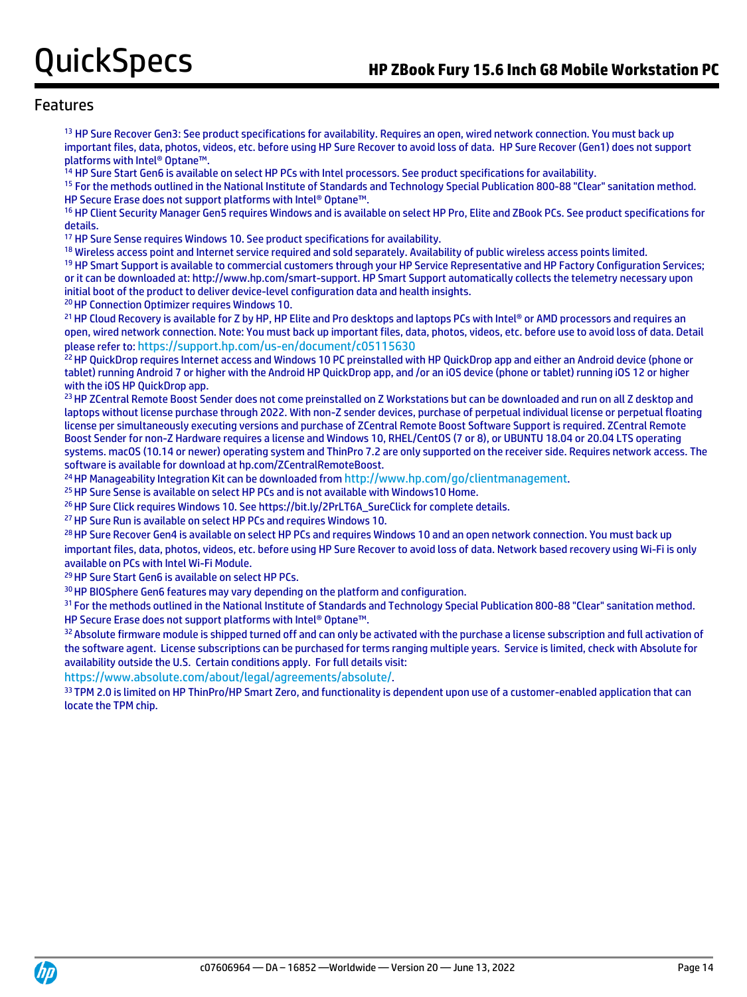<sup>13</sup> HP Sure Recover Gen3: See product specifications for availability. Requires an open, wired network connection. You must back up important files, data, photos, videos, etc. before using HP Sure Recover to avoid loss of data. HP Sure Recover (Gen1) does not support platforms with Intel® Optane™.

<sup>14</sup> HP Sure Start Gen6 is available on select HP PCs with Intel processors. See product specifications for availability.

<sup>15</sup> For the methods outlined in the National Institute of Standards and Technology Special Publication 800-88 "Clear" sanitation method. HP Secure Erase does not support platforms with Intel® Optane™.

<sup>16</sup> HP Client Security Manager Gen5 requires Windows and is available on select HP Pro, Elite and ZBook PCs. See product specifications for details.

<sup>17</sup> HP Sure Sense requires Windows 10. See product specifications for availability.

<sup>18</sup> Wireless access point and Internet service required and sold separately. Availability of public wireless access points limited.

<sup>19</sup> HP Smart Support is available to commercial customers through your HP Service Representative and HP Factory Configuration Services; or it can be downloaded at: http://www.hp.com/smart-support. HP Smart Support automatically collects the telemetry necessary upon initial boot of the product to deliver device-level configuration data and health insights.

<sup>20</sup> HP Connection Optimizer requires Windows 10.

21 HP Cloud Recovery is available for Z by HP, HP Elite and Pro desktops and laptops PCs with Intel® or AMD processors and requires an open, wired network connection. Note: You must back up important files, data, photos, videos, etc. before use to avoid loss of data. Detail please refer to: <https://support.hp.com/us-en/document/c05115630>

<sup>22</sup> HP QuickDrop requires Internet access and Windows 10 PC preinstalled with HP QuickDrop app and either an Android device (phone or tablet) running Android 7 or higher with the Android HP QuickDrop app, and /or an iOS device (phone or tablet) running iOS 12 or higher with the iOS HP QuickDrop app.

<sup>23</sup> HP ZCentral Remote Boost Sender does not come preinstalled on Z Workstations but can be downloaded and run on all Z desktop and laptops without license purchase through 2022. With non-Z sender devices, purchase of perpetual individual license or perpetual floating license per simultaneously executing versions and purchase of ZCentral Remote Boost Software Support is required. ZCentral Remote Boost Sender for non-Z Hardware requires a license and Windows 10, RHEL/CentOS (7 or 8), or UBUNTU 18.04 or 20.04 LTS operating systems. macOS (10.14 or newer) operating system and ThinPro 7.2 are only supported on the receiver side. Requires network access. The software is available for download at hp.com/ZCentralRemoteBoost.

<sup>24</sup> HP Manageability Integration Kit can be downloaded from <http://www.hp.com/go/clientmanagement>.

<sup>25</sup> HP Sure Sense is available on select HP PCs and is not available with Windows10 Home.

<sup>26</sup> HP Sure Click requires Windows 10. See https://bit.ly/2PrLT6A\_SureClick for complete details.

<sup>27</sup> HP Sure Run is available on select HP PCs and requires Windows 10.

<sup>28</sup> HP Sure Recover Gen4 is available on select HP PCs and requires Windows 10 and an open network connection. You must back up important files, data, photos, videos, etc. before using HP Sure Recover to avoid loss of data. Network based recovery using Wi-Fi is only available on PCs with Intel Wi-Fi Module.

<sup>29</sup> HP Sure Start Gen6 is available on select HP PCs.

<sup>30</sup> HP BIOSphere Gen6 features may vary depending on the platform and configuration.

<sup>31</sup> For the methods outlined in the National Institute of Standards and Technology Special Publication 800-88 "Clear" sanitation method. HP Secure Erase does not support platforms with Intel® Optane™.

32 Absolute firmware module is shipped turned off and can only be activated with the purchase a license subscription and full activation of the software agent. License subscriptions can be purchased for terms ranging multiple years. Service is limited, check with Absolute for availability outside the U.S. Certain conditions apply. For full details visit:

<https://www.absolute.com/about/legal/agreements/absolute/>.

33 TPM 2.0 is limited on HP ThinPro/HP Smart Zero, and functionality is dependent upon use of a customer-enabled application that can locate the TPM chip.

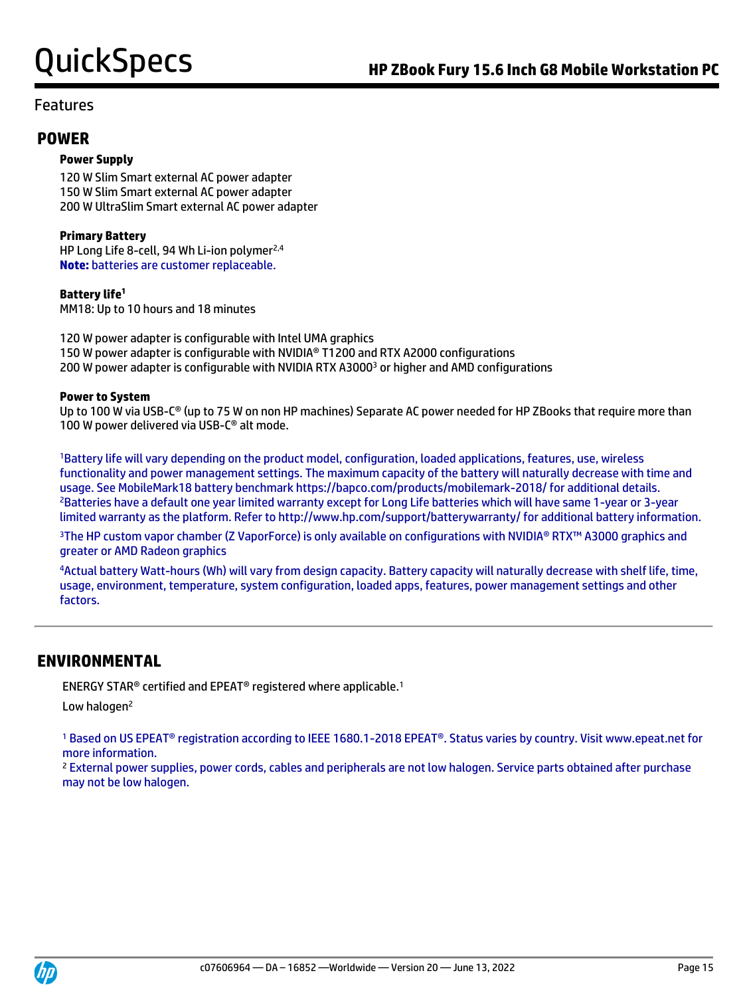### **POWER**

#### **Power Supply**

120 W Slim Smart external AC power adapter 150 W Slim Smart external AC power adapter 200 W UltraSlim Smart external AC power adapter

#### **Primary Battery**

HP Long Life 8-cell, 94 Wh Li-ion polymer<sup>2,4</sup> **Note:** batteries are customer replaceable.

### **Battery life<sup>1</sup>**

MM18: Up to 10 hours and 18 minutes

120 W power adapter is configurable with Intel UMA graphics 150 W power adapter is configurable with NVIDIA® T1200 and RTX A2000 configurations 200 W power adapter is configurable with NVIDIA RTX A3000<sup>3</sup> or higher and AMD configurations

#### **Power to System**

Up to 100 W via USB-C® (up to 75 W on non HP machines) Separate AC power needed for HP ZBooks that require more than 100 W power delivered via USB-C® alt mode.

<sup>1</sup>Battery life will vary depending on the product model, configuration, loaded applications, features, use, wireless functionality and power management settings. The maximum capacity of the battery will naturally decrease with time and usage. See MobileMark18 battery benchmark https://bapco.com/products/mobilemark-2018/ for additional details. <sup>2</sup>Batteries have a default one year limited warranty except for Long Life batteries which will have same 1-year or 3-year limited warranty as the platform. Refer to http://www.hp.com/support/batterywarranty/ for additional battery information.

<sup>3</sup>The HP custom vapor chamber (Z VaporForce) is only available on configurations with NVIDIA® RTX™ A3000 graphics and greater or AMD Radeon graphics

<sup>4</sup>Actual battery Watt-hours (Wh) will vary from design capacity. Battery capacity will naturally decrease with shelf life, time, usage, environment, temperature, system configuration, loaded apps, features, power management settings and other factors.

## **ENVIRONMENTAL**

ENERGY STAR® certified and EPEAT® registered where applicable.<sup>1</sup>

Low halogen<sup>2</sup>

<sup>1</sup> Based on US EPEAT<sup>®</sup> registration according to IEEE 1680.1-2018 EPEAT<sup>®</sup>. Status varies by country. Visit www.epeat.net for more information.

<sup>2</sup> External power supplies, power cords, cables and peripherals are not low halogen. Service parts obtained after purchase may not be low halogen.

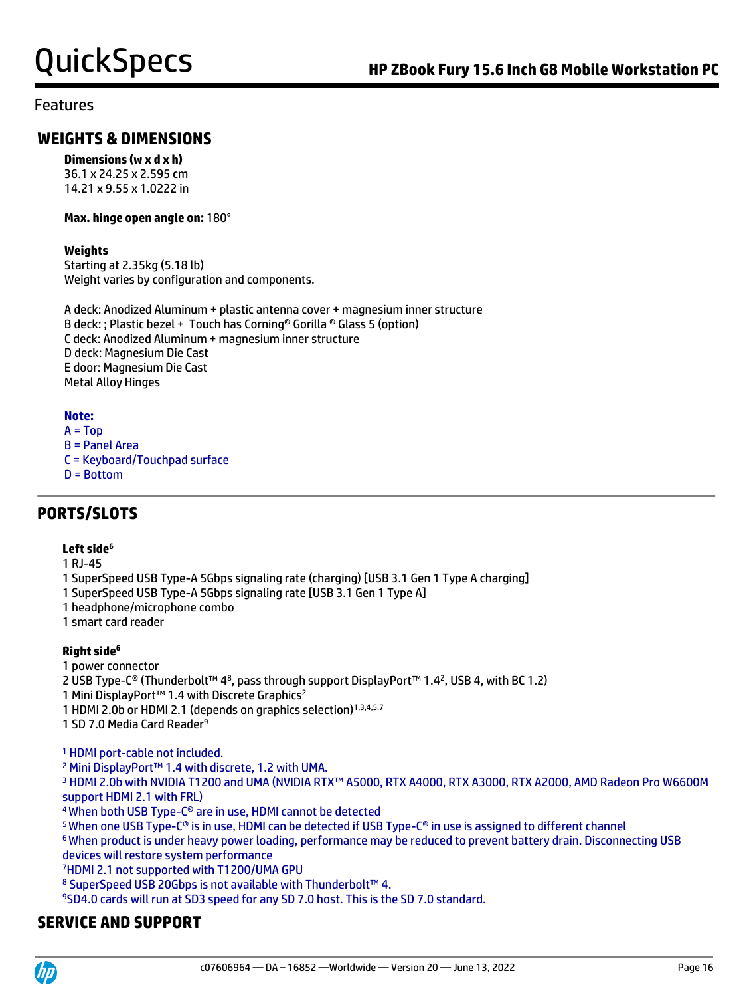## **WEIGHTS & DIMENSIONS**

**Dimensions (w x d x h)**

36.1 x 24.25 x 2.595 cm 14.21 x 9.55 x 1.0222 in

#### **Max. hinge open angle on:** 180°

#### **Weights**

Starting at 2.35kg (5.18 lb) Weight varies by configuration and components.

A deck: Anodized Aluminum + plastic antenna cover + magnesium inner structure B deck: ; Plastic bezel + Touch has Corning® Gorilla ® Glass 5 (option) C deck: Anodized Aluminum + magnesium inner structure D deck: Magnesium Die Cast E door: Magnesium Die Cast Metal Alloy Hinges

### **Note:**

 $A = Top$ B = Panel Area C = Keyboard/Touchpad surface D = Bottom

## **PORTS/SLOTS**

#### **Left side<sup>6</sup>**

1 RJ-45

- 1 SuperSpeed USB Type-A 5Gbps signaling rate (charging) [USB 3.1 Gen 1 Type A charging]
- 1 SuperSpeed USB Type-A 5Gbps signaling rate [USB 3.1 Gen 1 Type A]
- 1 headphone/microphone combo
- 1 smart card reader

### **Right side<sup>6</sup>**

1 power connector

2 USB Type-C® (Thunderbolt™ 48, pass through support DisplayPort™ 1.42, USB 4, with BC 1.2)

1 Mini DisplayPort<sup>™</sup> 1.4 with Discrete Graphics<sup>2</sup>

1 HDMI 2.0b or HDMI 2.1 (depends on graphics selection)<sup>1,3,4,5,7</sup>

1 SD 7.0 Media Card Reader<sup>9</sup>

<sup>1</sup> HDMI port-cable not included.

<sup>2</sup> Mini DisplayPort™ 1.4 with discrete, 1.2 with UMA.

<sup>3</sup> HDMI 2.0b with NVIDIA T1200 and UMA (NVIDIA RTX™ A5000, RTX A4000, RTX A3000, RTX A2000, AMD Radeon Pro W6600M support HDMI 2.1 with FRL)

<sup>4</sup>When both USB Type-C® are in use, HDMI cannot be detected

<sup>5</sup>When one USB Type-C® is in use, HDMI can be detected if USB Type-C® in use is assigned to different channel

<sup>6</sup>When product is under heavy power loading, performance may be reduced to prevent battery drain. Disconnecting USB devices will restore system performance

<sup>7</sup>HDMI 2.1 not supported with T1200/UMA GPU

8 SuperSpeed USB 20Gbps is not available with Thunderbolt™ 4.

<sup>9</sup>SD4.0 cards will run at SD3 speed for any SD 7.0 host. This is the SD 7.0 standard.

## **SERVICE AND SUPPORT**

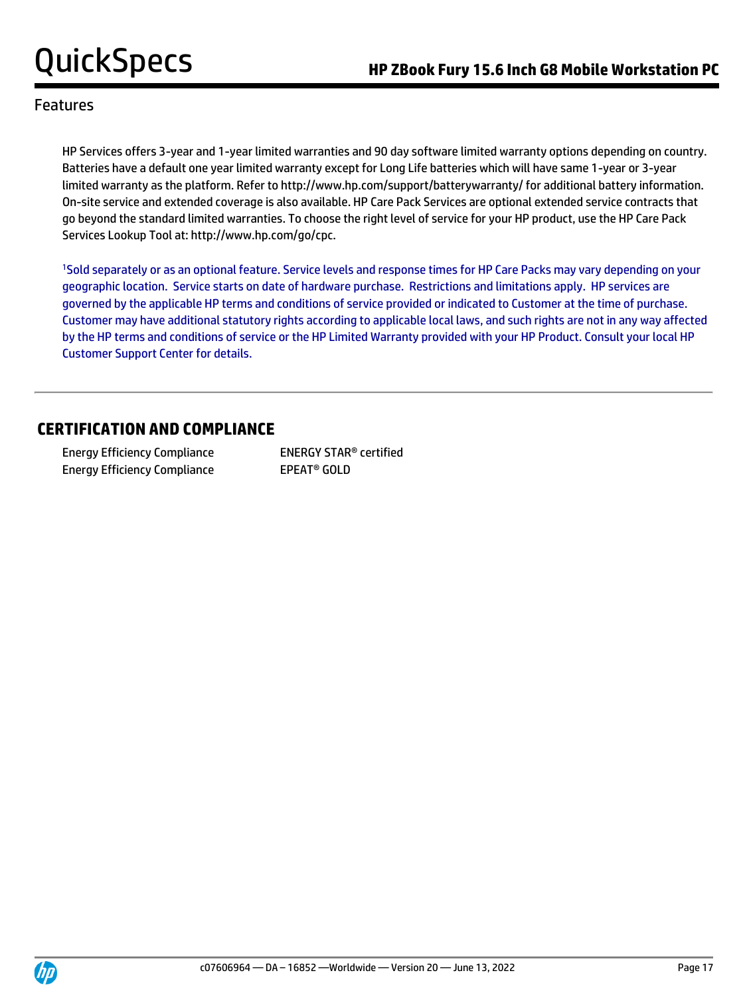HP Services offers 3-year and 1-year limited warranties and 90 day software limited warranty options depending on country. Batteries have a default one year limited warranty except for Long Life batteries which will have same 1-year or 3-year limited warranty as the platform. Refer to http://www.hp.com/support/batterywarranty/ for additional battery information. On-site service and extended coverage is also available. HP Care Pack Services are optional extended service contracts that go beyond the standard limited warranties. To choose the right level of service for your HP product, use the HP Care Pack Services Lookup Tool at: http://www.hp.com/go/cpc.

<sup>1</sup>Sold separately or as an optional feature. Service levels and response times for HP Care Packs may vary depending on your geographic location. Service starts on date of hardware purchase. Restrictions and limitations apply. HP services are governed by the applicable HP terms and conditions of service provided or indicated to Customer at the time of purchase. Customer may have additional statutory rights according to applicable local laws, and such rights are not in any way affected by the HP terms and conditions of service or the HP Limited Warranty provided with your HP Product. Consult your local HP Customer Support Center for details.

## **CERTIFICATION AND COMPLIANCE**

Energy Efficiency Compliance ENERGY STAR® certified Energy Efficiency Compliance EPEAT<sup>®</sup> GOLD

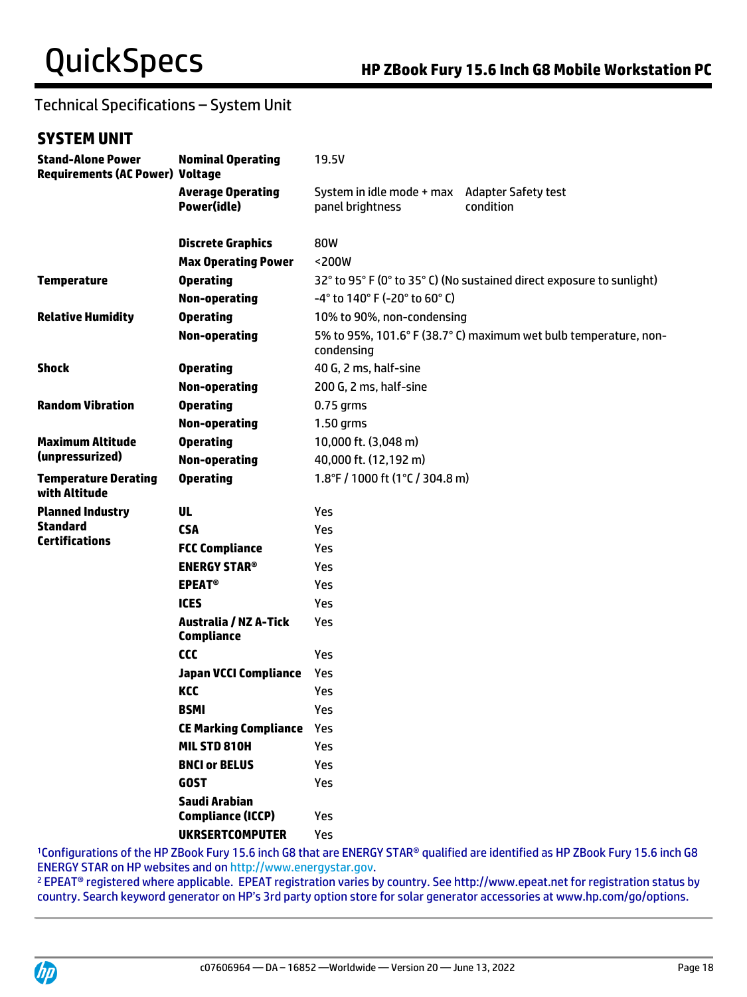# Technical Specifications – System Unit

## **SYSTEM UNIT**

| <b>Stand-Alone Power</b><br><b>Requirements (AC Power) Voltage</b> | <b>Nominal Operating</b>                          | 19.5V                                                             |                                                                       |  |
|--------------------------------------------------------------------|---------------------------------------------------|-------------------------------------------------------------------|-----------------------------------------------------------------------|--|
|                                                                    | <b>Average Operating</b><br>Power(idle)           | System in idle mode + max Adapter Safety test<br>panel brightness | condition                                                             |  |
|                                                                    | <b>Discrete Graphics</b>                          | 80W                                                               |                                                                       |  |
|                                                                    | <b>Max Operating Power</b>                        | <200W                                                             |                                                                       |  |
| <b>Temperature</b>                                                 | <b>Operating</b>                                  |                                                                   | 32° to 95° F (0° to 35° C) (No sustained direct exposure to sunlight) |  |
|                                                                    | <b>Non-operating</b>                              | $-4^{\circ}$ to 140° F (-20° to 60° C)                            |                                                                       |  |
| <b>Relative Humidity</b>                                           | <b>Operating</b>                                  | 10% to 90%, non-condensing                                        |                                                                       |  |
|                                                                    | <b>Non-operating</b>                              | condensing                                                        | 5% to 95%, 101.6° F (38.7° C) maximum wet bulb temperature, non-      |  |
| <b>Shock</b>                                                       | <b>Operating</b>                                  | 40 G, 2 ms, half-sine                                             |                                                                       |  |
|                                                                    | <b>Non-operating</b>                              | 200 G, 2 ms, half-sine                                            |                                                                       |  |
| <b>Random Vibration</b>                                            | <b>Operating</b>                                  | $0.75$ grms                                                       |                                                                       |  |
|                                                                    | <b>Non-operating</b>                              | 1.50 grms                                                         |                                                                       |  |
| <b>Maximum Altitude</b>                                            | <b>Operating</b>                                  | 10,000 ft. (3,048 m)                                              |                                                                       |  |
| (unpressurized)                                                    | <b>Non-operating</b>                              | 40,000 ft. (12,192 m)                                             |                                                                       |  |
| <b>Temperature Derating</b><br>with Altitude                       | <b>Operating</b>                                  | 1.8°F / 1000 ft (1°C / 304.8 m)                                   |                                                                       |  |
| <b>Planned Industry</b>                                            | <b>UL</b>                                         | Yes                                                               |                                                                       |  |
| <b>Standard</b><br><b>Certifications</b>                           | <b>CSA</b>                                        | Yes                                                               |                                                                       |  |
|                                                                    | <b>FCC Compliance</b>                             | Yes                                                               |                                                                       |  |
|                                                                    | <b>ENERGY STAR®</b>                               | Yes                                                               |                                                                       |  |
|                                                                    | <b>EPEAT<sup>®</sup></b>                          | Yes                                                               |                                                                       |  |
|                                                                    | <b>ICES</b>                                       | Yes                                                               |                                                                       |  |
|                                                                    | <b>Australia / NZ A-Tick</b><br><b>Compliance</b> | Yes                                                               |                                                                       |  |
|                                                                    | ccc                                               | Yes                                                               |                                                                       |  |
|                                                                    | <b>Japan VCCI Compliance</b>                      | Yes                                                               |                                                                       |  |
|                                                                    | KCC                                               | Yes                                                               |                                                                       |  |
|                                                                    | <b>BSMI</b>                                       | Yes                                                               |                                                                       |  |
|                                                                    | <b>CE Marking Compliance</b>                      | Yes                                                               |                                                                       |  |
|                                                                    | MIL STD 810H                                      | Yes                                                               |                                                                       |  |
|                                                                    | <b>BNCI or BELUS</b>                              | Yes                                                               |                                                                       |  |
|                                                                    | <b>GOST</b>                                       | Yes                                                               |                                                                       |  |
|                                                                    | Saudi Arabian                                     |                                                                   |                                                                       |  |
|                                                                    | <b>Compliance (ICCP)</b>                          | Yes                                                               |                                                                       |  |
|                                                                    | <b>UKRSERTCOMPUTER</b>                            | Yes                                                               |                                                                       |  |

<sup>1</sup>Configurations of the HP ZBook Fury 15.6 inch G8 that are ENERGY STAR® qualified are identified as HP ZBook Fury 15.6 inch G8 ENERGY STAR on HP websites and o[n http://www.energystar.gov.](http://www.energystar.gov/)

<sup>2</sup> EPEAT® registered where applicable. EPEAT registration varies by country. See http://www.epeat.net for registration status by country. Search keyword generator on HP's 3rd party option store for solar generator accessories at www.hp.com/go/options.

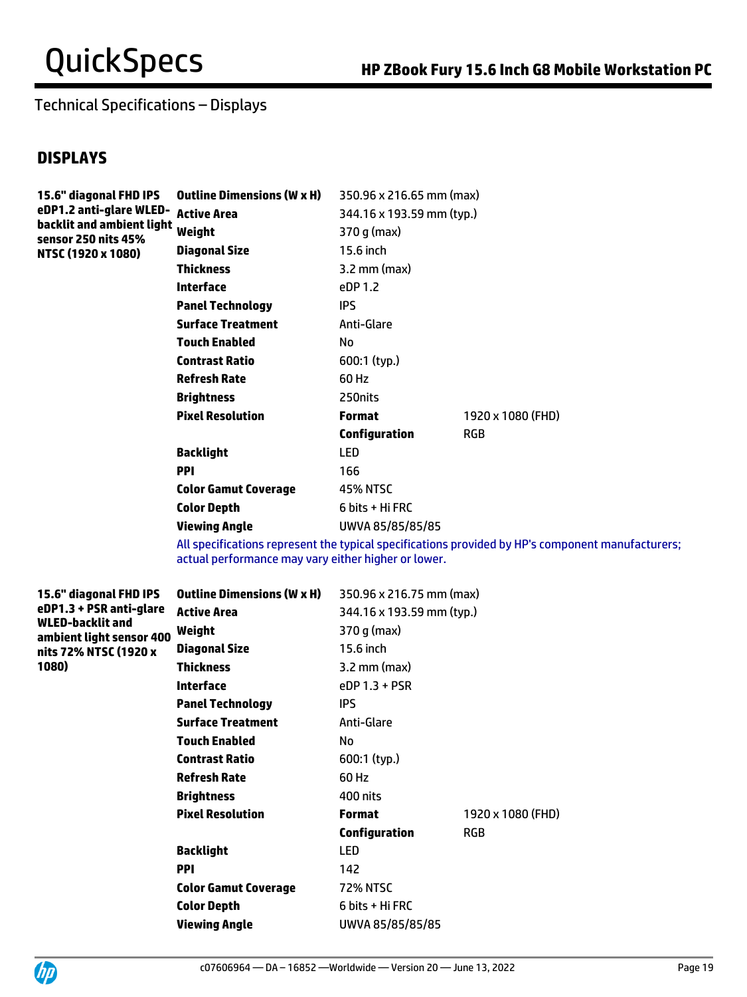Technical Specifications – Displays

## **DISPLAYS**

| 15.6" diagonal FHD IPS                           | <b>Outline Dimensions (W x H)</b> | 350.96 x 216.65 mm (max)  |                   |
|--------------------------------------------------|-----------------------------------|---------------------------|-------------------|
| eDP1.2 anti-glare WLED-                          | <b>Active Area</b>                | 344.16 x 193.59 mm (typ.) |                   |
| backlit and ambient light<br>sensor 250 nits 45% | Weight                            | 370 g (max)               |                   |
| NTSC (1920 x 1080)                               | Diagonal Size                     | 15.6 inch                 |                   |
|                                                  | <b>Thickness</b>                  | $3.2$ mm (max)            |                   |
|                                                  | <b>Interface</b>                  | eDP 1.2                   |                   |
|                                                  | <b>Panel Technology</b>           | IPS.                      |                   |
|                                                  | <b>Surface Treatment</b>          | Anti-Glare                |                   |
|                                                  | <b>Touch Enabled</b>              | No                        |                   |
|                                                  | <b>Contrast Ratio</b>             | $600:1$ (typ.)            |                   |
|                                                  | <b>Refresh Rate</b>               | 60 Hz                     |                   |
|                                                  | <b>Brightness</b>                 | 250nits                   |                   |
|                                                  | <b>Pixel Resolution</b>           | <b>Format</b>             | 1920 x 1080 (FHD) |
|                                                  |                                   | <b>Configuration</b>      | <b>RGB</b>        |
|                                                  | <b>Backlight</b>                  | <b>LED</b>                |                   |
|                                                  | <b>PPI</b>                        | 166                       |                   |
|                                                  | <b>Color Gamut Coverage</b>       | <b>45% NTSC</b>           |                   |
|                                                  | <b>Color Depth</b>                | 6 bits + Hi FRC           |                   |
|                                                  | Viewing Angle                     | UWVA 85/85/85/85          |                   |

All specifications represent the typical specifications provided by HP's component manufacturers; actual performance may vary either higher or lower.

| 15.6" diagonal FHD IPS                                                  | <b>Outline Dimensions (W x H)</b> | 350.96 x 216.75 mm (max)  |                   |
|-------------------------------------------------------------------------|-----------------------------------|---------------------------|-------------------|
| eDP1.3 + PSR anti-glare<br>WLED-backlit and<br>ambient light sensor 400 | <b>Active Area</b>                | 344.16 x 193.59 mm (typ.) |                   |
|                                                                         | Weight                            | $370 g$ (max)             |                   |
| nits 72% NTSC (1920 x                                                   | <b>Diagonal Size</b>              | 15.6 inch                 |                   |
| 1080)                                                                   | <b>Thickness</b>                  | $3.2$ mm (max)            |                   |
|                                                                         | Interface                         | $eDP$ 1.3 + PSR           |                   |
|                                                                         | <b>Panel Technology</b>           | <b>IPS</b>                |                   |
|                                                                         | <b>Surface Treatment</b>          | Anti-Glare                |                   |
|                                                                         | <b>Touch Enabled</b>              | No                        |                   |
|                                                                         | <b>Contrast Ratio</b>             | $600:1$ (typ.)            |                   |
|                                                                         | <b>Refresh Rate</b>               | 60 Hz                     |                   |
|                                                                         | <b>Brightness</b>                 | 400 nits                  |                   |
|                                                                         | <b>Pixel Resolution</b>           | <b>Format</b>             | 1920 x 1080 (FHD) |
|                                                                         |                                   | <b>Configuration</b>      | <b>RGB</b>        |
|                                                                         | Backlight                         | <b>LED</b>                |                   |
|                                                                         | <b>PPI</b>                        | 142                       |                   |
|                                                                         | <b>Color Gamut Coverage</b>       | <b>72% NTSC</b>           |                   |
|                                                                         | <b>Color Depth</b>                | 6 bits + Hi FRC           |                   |
|                                                                         | <b>Viewing Angle</b>              | UWVA 85/85/85/85          |                   |

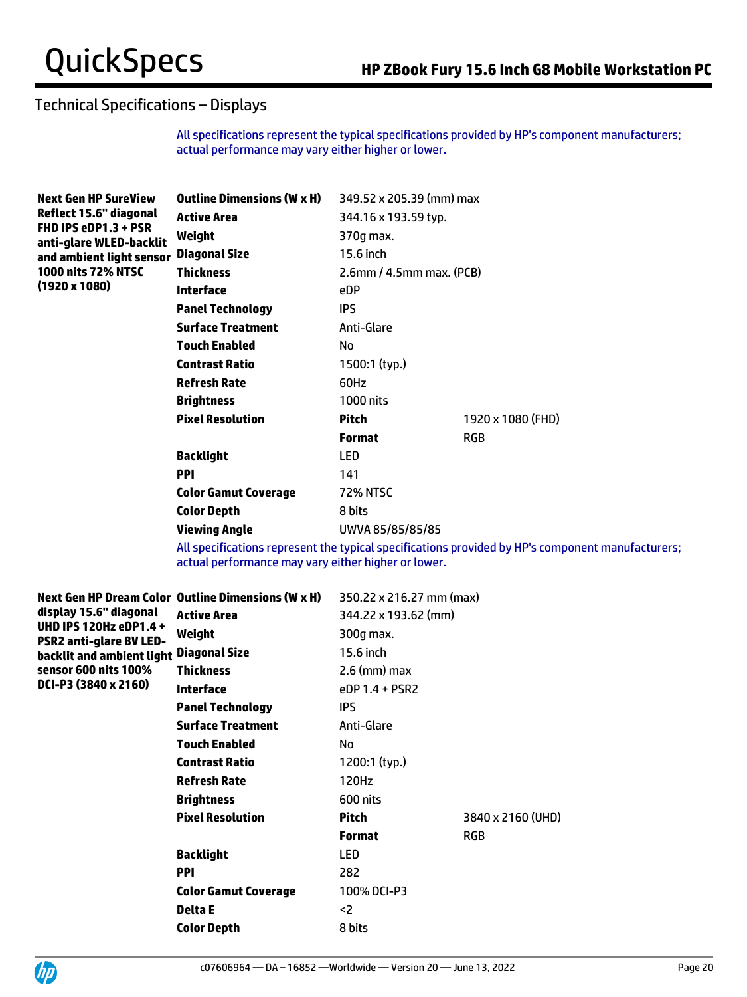## Technical Specifications – Displays

All specifications represent the typical specifications provided by HP's component manufacturers; actual performance may vary either higher or lower.

| <b>Next Gen HP SureView</b>                     | <b>Outline Dimensions (W x H)</b> | 349.52 x 205.39 (mm) max    |                   |  |
|-------------------------------------------------|-----------------------------------|-----------------------------|-------------------|--|
| Reflect 15.6" diagonal                          | <b>Active Area</b>                | 344.16 x 193.59 typ.        |                   |  |
| FHD IPS eDP1.3 + PSR<br>anti-glare WLED-backlit | Weight                            | 370g max.                   |                   |  |
| and ambient light sensor                        | <b>Diagonal Size</b>              | 15.6 inch                   |                   |  |
| <b>1000 nits 72% NTSC</b>                       | <b>Thickness</b>                  | $2.6$ mm / 4.5mm max. (PCB) |                   |  |
| $(1920 \times 1080)$                            | Interface                         | eDP                         |                   |  |
|                                                 | <b>Panel Technology</b>           | <b>IPS</b>                  |                   |  |
|                                                 | <b>Surface Treatment</b>          | Anti-Glare                  |                   |  |
|                                                 | <b>Touch Enabled</b>              | No                          |                   |  |
|                                                 | <b>Contrast Ratio</b>             | 1500:1 (typ.)               |                   |  |
|                                                 | <b>Refresh Rate</b>               | 60Hz                        |                   |  |
|                                                 | <b>Brightness</b>                 | 1000 nits                   |                   |  |
|                                                 | <b>Pixel Resolution</b>           | Pitch                       | 1920 x 1080 (FHD) |  |
|                                                 |                                   | <b>Format</b>               | <b>RGB</b>        |  |
|                                                 | <b>Backlight</b>                  | LED                         |                   |  |
|                                                 | <b>PPI</b>                        | 141                         |                   |  |
|                                                 | <b>Color Gamut Coverage</b>       | <b>72% NTSC</b>             |                   |  |
|                                                 | <b>Color Depth</b>                | 8 bits                      |                   |  |
|                                                 | Viewing Angle                     | UWVA 85/85/85/85            |                   |  |

All specifications represent the typical specifications provided by HP's component manufacturers; actual performance may vary either higher or lower.

|                                                          | Next Gen HP Dream Color Outline Dimensions (W x H) | 350.22 x 216.27 mm (max) |                   |
|----------------------------------------------------------|----------------------------------------------------|--------------------------|-------------------|
| display 15.6" diagonal                                   | <b>Active Area</b>                                 | 344.22 x 193.62 (mm)     |                   |
| UHD IPS 120Hz eDP1.4 +<br><b>PSR2 anti-glare BV LED-</b> | Weight                                             | 300q max.                |                   |
| backlit and ambient light                                | <b>Diagonal Size</b>                               | 15.6 inch                |                   |
| sensor 600 nits 100%                                     | Thickness                                          | $2.6$ (mm) max           |                   |
| DCI-P3 (3840 x 2160)                                     | Interface                                          | $PDP 1.4 + PSR2$         |                   |
|                                                          | <b>Panel Technology</b>                            | <b>IPS</b>               |                   |
|                                                          | <b>Surface Treatment</b>                           | Anti-Glare               |                   |
|                                                          | <b>Touch Enabled</b>                               | No                       |                   |
|                                                          | <b>Contrast Ratio</b>                              | 1200:1 (typ.)            |                   |
|                                                          | <b>Refresh Rate</b>                                | 120Hz                    |                   |
|                                                          | <b>Brightness</b>                                  | 600 nits                 |                   |
|                                                          | <b>Pixel Resolution</b>                            | <b>Pitch</b>             | 3840 x 2160 (UHD) |
|                                                          |                                                    | <b>Format</b>            | <b>RGB</b>        |
|                                                          | <b>Backlight</b>                                   | LED                      |                   |
|                                                          | <b>PPI</b>                                         | 282                      |                   |
|                                                          | <b>Color Gamut Coverage</b>                        | 100% DCI-P3              |                   |
|                                                          | Delta E                                            | <2                       |                   |
|                                                          | <b>Color Depth</b>                                 | 8 bits                   |                   |
|                                                          |                                                    |                          |                   |

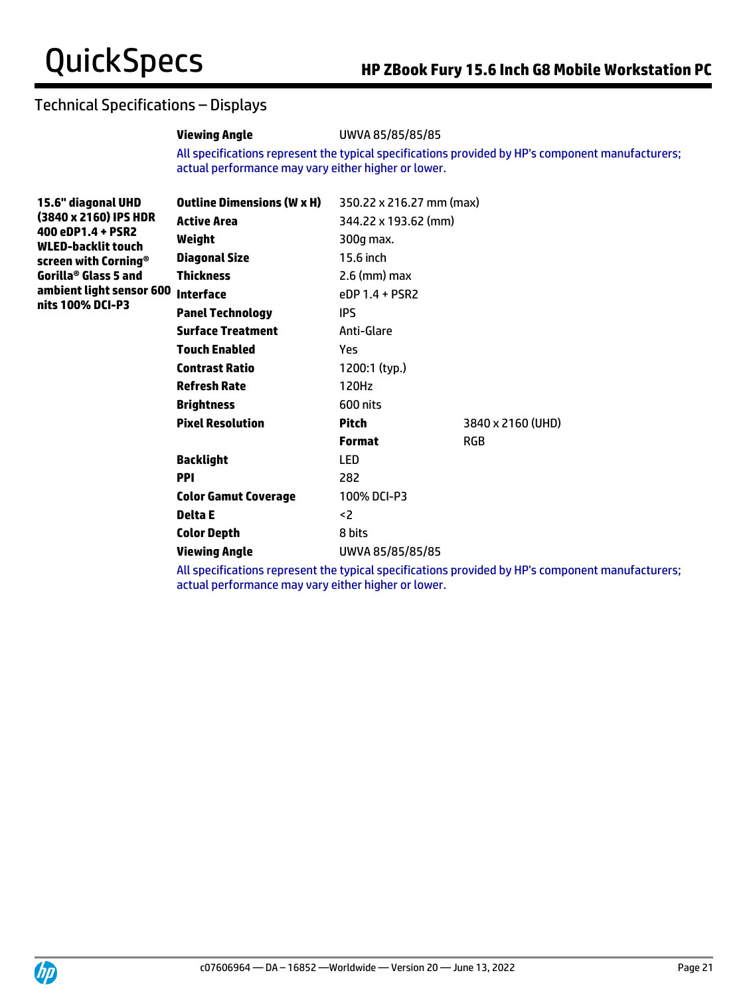## Technical Specifications – Displays

## **Viewing Angle** UWVA 85/85/85/85

All specifications represent the typical specifications provided by HP's component manufacturers; actual performance may vary either higher or lower.

| 15.6" diagonal UHD<br>(3840 x 2160) IPS HDR    | <b>Outline Dimensions (W x H)</b> | 350.22 x 216.27 mm (max) |                   |
|------------------------------------------------|-----------------------------------|--------------------------|-------------------|
|                                                | <b>Active Area</b>                | 344.22 x 193.62 (mm)     |                   |
| 400 eDP1.4 + PSR2<br><b>WLED-backlit touch</b> | Weight                            | 300g max.                |                   |
| screen with Corning®                           | <b>Diagonal Size</b>              | 15.6 inch                |                   |
| Gorilla® Glass 5 and                           | <b>Thickness</b>                  | $2.6$ (mm) max           |                   |
| ambient light sensor 600                       | <b>Interface</b>                  | eDP 1.4 + PSR2           |                   |
| nits 100% DCI-P3                               | <b>Panel Technology</b>           | IPS.                     |                   |
|                                                | <b>Surface Treatment</b>          | Anti-Glare               |                   |
|                                                | <b>Touch Enabled</b>              | Yes                      |                   |
|                                                | <b>Contrast Ratio</b>             | 1200:1 (typ.)            |                   |
|                                                | <b>Refresh Rate</b>               | 120Hz                    |                   |
|                                                | <b>Brightness</b>                 | 600 nits                 |                   |
|                                                | <b>Pixel Resolution</b>           | Pitch                    | 3840 x 2160 (UHD) |
|                                                |                                   | <b>Format</b>            | <b>RGB</b>        |
|                                                | <b>Backlight</b>                  | LED                      |                   |
|                                                | <b>PPI</b>                        | 282                      |                   |
|                                                | <b>Color Gamut Coverage</b>       | 100% DCI-P3              |                   |
|                                                | Delta E                           | <2                       |                   |
|                                                | <b>Color Depth</b>                | 8 bits                   |                   |
|                                                | <b>Viewing Angle</b>              | UWVA 85/85/85/85         |                   |

All specifications represent the typical specifications provided by HP's component manufacturers; actual performance may vary either higher or lower.

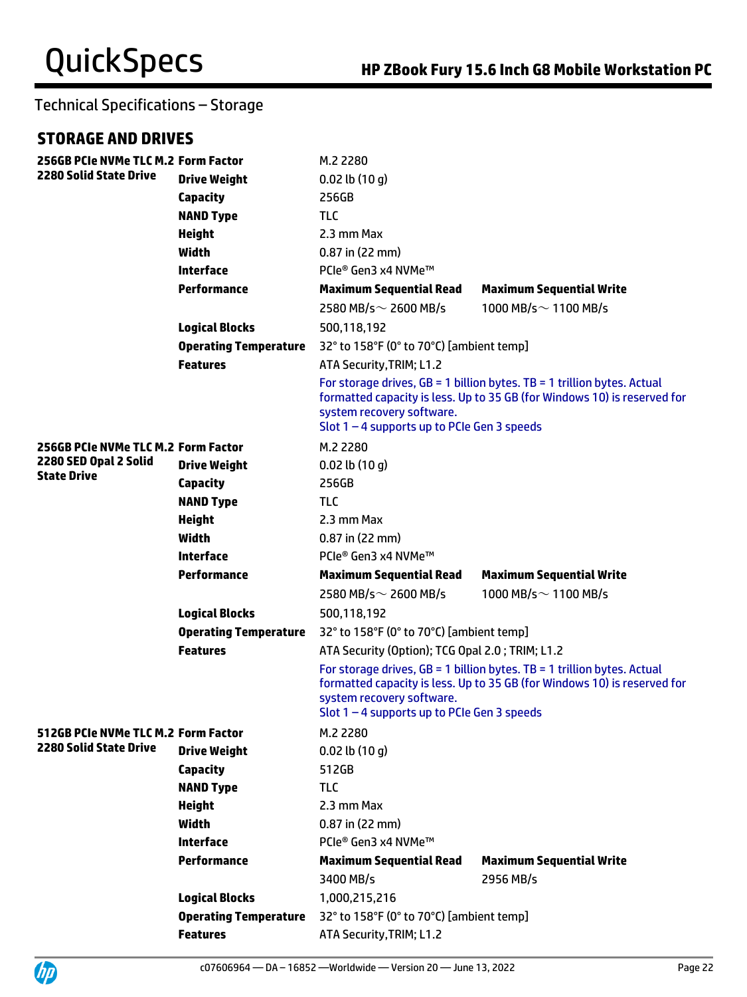## **STORAGE AND DRIVES**

UP

| 256GB PCIe NVMe TLC M.2 Form Factor |                              | M.2 2280                                                                                                                                                                                                                            |                                                                                                                                                                                                        |  |
|-------------------------------------|------------------------------|-------------------------------------------------------------------------------------------------------------------------------------------------------------------------------------------------------------------------------------|--------------------------------------------------------------------------------------------------------------------------------------------------------------------------------------------------------|--|
| <b>2280 Solid State Drive</b>       | <b>Drive Weight</b>          | $0.02$ lb $(10 g)$                                                                                                                                                                                                                  |                                                                                                                                                                                                        |  |
|                                     | <b>Capacity</b>              | 256GB                                                                                                                                                                                                                               |                                                                                                                                                                                                        |  |
|                                     | <b>NAND Type</b>             | <b>TLC</b>                                                                                                                                                                                                                          |                                                                                                                                                                                                        |  |
|                                     | <b>Height</b>                | 2.3 mm Max                                                                                                                                                                                                                          |                                                                                                                                                                                                        |  |
|                                     | Width                        | $0.87$ in (22 mm)                                                                                                                                                                                                                   |                                                                                                                                                                                                        |  |
|                                     | <b>Interface</b>             | PCIe® Gen3 x4 NVMe™                                                                                                                                                                                                                 |                                                                                                                                                                                                        |  |
|                                     | <b>Performance</b>           | <b>Maximum Sequential Read</b>                                                                                                                                                                                                      | <b>Maximum Sequential Write</b>                                                                                                                                                                        |  |
|                                     |                              | 2580 MB/s $\sim$ 2600 MB/s                                                                                                                                                                                                          | 1000 MB/s $\sim$ 1100 MB/s                                                                                                                                                                             |  |
|                                     | <b>Logical Blocks</b>        | 500,118,192                                                                                                                                                                                                                         |                                                                                                                                                                                                        |  |
|                                     | <b>Operating Temperature</b> | 32° to 158°F (0° to 70°C) [ambient temp]                                                                                                                                                                                            |                                                                                                                                                                                                        |  |
|                                     | <b>Features</b>              | ATA Security, TRIM; L1.2                                                                                                                                                                                                            |                                                                                                                                                                                                        |  |
|                                     |                              | system recovery software.                                                                                                                                                                                                           | For storage drives, $GB = 1$ billion bytes. TB = 1 trillion bytes. Actual<br>formatted capacity is less. Up to 35 GB (for Windows 10) is reserved for<br>Slot $1 - 4$ supports up to PCIe Gen 3 speeds |  |
| 256GB PCIe NVMe TLC M.2 Form Factor |                              | M.2 2280                                                                                                                                                                                                                            |                                                                                                                                                                                                        |  |
| 2280 SED Opal 2 Solid               | <b>Drive Weight</b>          | $0.02$ lb $(10 g)$                                                                                                                                                                                                                  |                                                                                                                                                                                                        |  |
| <b>State Drive</b>                  | <b>Capacity</b>              | 256GB                                                                                                                                                                                                                               |                                                                                                                                                                                                        |  |
|                                     | <b>NAND Type</b>             | <b>TLC</b>                                                                                                                                                                                                                          |                                                                                                                                                                                                        |  |
|                                     | <b>Height</b>                | 2.3 mm Max                                                                                                                                                                                                                          |                                                                                                                                                                                                        |  |
|                                     | <b>Width</b>                 | $0.87$ in (22 mm)                                                                                                                                                                                                                   |                                                                                                                                                                                                        |  |
|                                     | <b>Interface</b>             | PCIe® Gen3 x4 NVMe™                                                                                                                                                                                                                 |                                                                                                                                                                                                        |  |
|                                     | <b>Performance</b>           | <b>Maximum Sequential Read</b>                                                                                                                                                                                                      | <b>Maximum Sequential Write</b>                                                                                                                                                                        |  |
|                                     |                              | 2580 MB/s $\sim$ 2600 MB/s                                                                                                                                                                                                          | 1000 MB/s $\sim$ 1100 MB/s                                                                                                                                                                             |  |
|                                     | <b>Logical Blocks</b>        | 500,118,192                                                                                                                                                                                                                         |                                                                                                                                                                                                        |  |
|                                     | <b>Operating Temperature</b> | 32° to 158°F (0° to 70°C) [ambient temp]                                                                                                                                                                                            |                                                                                                                                                                                                        |  |
|                                     | <b>Features</b>              | ATA Security (Option); TCG Opal 2.0; TRIM; L1.2                                                                                                                                                                                     |                                                                                                                                                                                                        |  |
|                                     |                              | For storage drives, $GB = 1$ billion bytes. TB = 1 trillion bytes. Actual<br>formatted capacity is less. Up to 35 GB (for Windows 10) is reserved for<br>system recovery software.<br>Slot $1 - 4$ supports up to PCIe Gen 3 speeds |                                                                                                                                                                                                        |  |
| 512GB PCIe NVMe TLC M.2 Form Factor |                              | M.2 2280                                                                                                                                                                                                                            |                                                                                                                                                                                                        |  |
| 2280 Solid State Drive              | <b>Drive Weight</b>          | $0.02$ lb $(10q)$                                                                                                                                                                                                                   |                                                                                                                                                                                                        |  |
|                                     | <b>Capacity</b>              | 512GB                                                                                                                                                                                                                               |                                                                                                                                                                                                        |  |
|                                     | <b>NAND Type</b>             | <b>TLC</b>                                                                                                                                                                                                                          |                                                                                                                                                                                                        |  |
|                                     | <b>Height</b>                | 2.3 mm Max                                                                                                                                                                                                                          |                                                                                                                                                                                                        |  |
|                                     | Width                        | $0.87$ in (22 mm)                                                                                                                                                                                                                   |                                                                                                                                                                                                        |  |
|                                     | <b>Interface</b>             | PCIe® Gen3 x4 NVMe™                                                                                                                                                                                                                 |                                                                                                                                                                                                        |  |
|                                     | <b>Performance</b>           | <b>Maximum Sequential Read</b>                                                                                                                                                                                                      | <b>Maximum Sequential Write</b>                                                                                                                                                                        |  |
|                                     |                              | 3400 MB/s                                                                                                                                                                                                                           | 2956 MB/s                                                                                                                                                                                              |  |
|                                     | <b>Logical Blocks</b>        | 1,000,215,216                                                                                                                                                                                                                       |                                                                                                                                                                                                        |  |
|                                     | <b>Operating Temperature</b> | 32° to 158°F (0° to 70°C) [ambient temp]                                                                                                                                                                                            |                                                                                                                                                                                                        |  |
|                                     | <b>Features</b>              | ATA Security, TRIM; L1.2                                                                                                                                                                                                            |                                                                                                                                                                                                        |  |

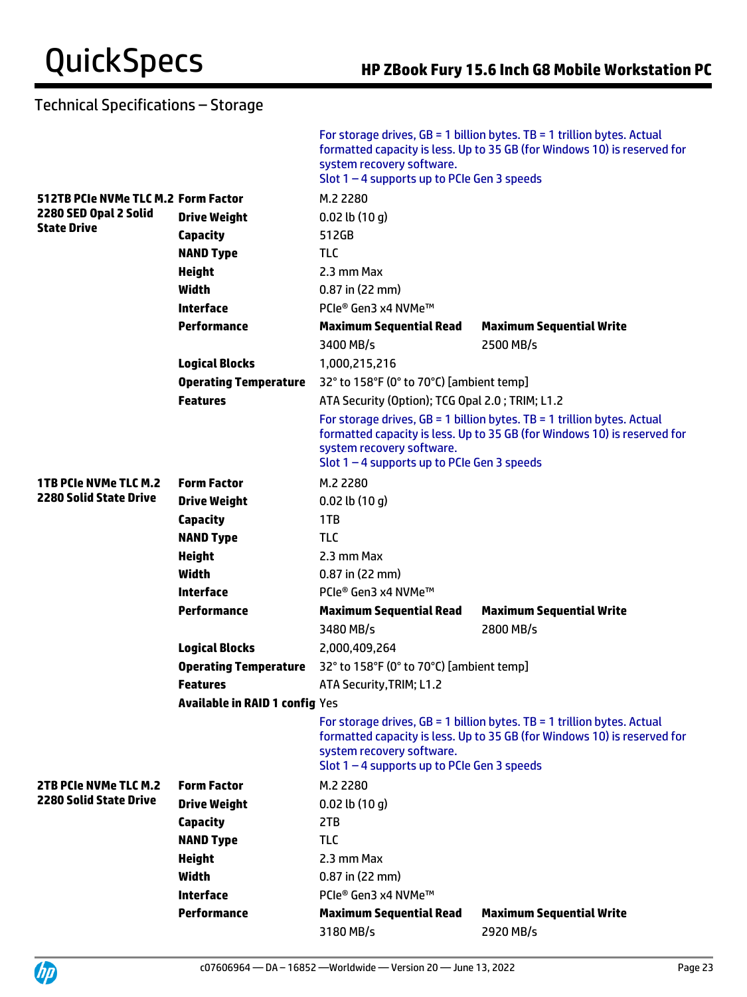|                                     |                                       | system recovery software.<br>Slot $1 - 4$ supports up to PCIe Gen 3 speeds | For storage drives, $GB = 1$ billion bytes. TB = 1 trillion bytes. Actual<br>formatted capacity is less. Up to 35 GB (for Windows 10) is reserved for |  |
|-------------------------------------|---------------------------------------|----------------------------------------------------------------------------|-------------------------------------------------------------------------------------------------------------------------------------------------------|--|
| 512TB PCIe NVMe TLC M.2 Form Factor |                                       | M.2 2280                                                                   |                                                                                                                                                       |  |
| 2280 SED Opal 2 Solid               | <b>Drive Weight</b>                   | $0.02$ lb $(10q)$                                                          |                                                                                                                                                       |  |
| <b>State Drive</b>                  | <b>Capacity</b>                       | 512GB                                                                      |                                                                                                                                                       |  |
|                                     | <b>NAND Type</b>                      | <b>TLC</b>                                                                 |                                                                                                                                                       |  |
|                                     | <b>Height</b>                         | 2.3 mm Max                                                                 |                                                                                                                                                       |  |
|                                     | Width                                 | $0.87$ in (22 mm)                                                          |                                                                                                                                                       |  |
|                                     | <b>Interface</b>                      | PCIe® Gen3 x4 NVMe™                                                        |                                                                                                                                                       |  |
|                                     | Performance                           | <b>Maximum Sequential Read</b>                                             | <b>Maximum Sequential Write</b>                                                                                                                       |  |
|                                     |                                       | 3400 MB/s                                                                  | 2500 MB/s                                                                                                                                             |  |
|                                     | <b>Logical Blocks</b>                 | 1,000,215,216                                                              |                                                                                                                                                       |  |
|                                     | <b>Operating Temperature</b>          | 32° to 158°F (0° to 70°C) [ambient temp]                                   |                                                                                                                                                       |  |
|                                     | <b>Features</b>                       | ATA Security (Option); TCG Opal 2.0; TRIM; L1.2                            |                                                                                                                                                       |  |
|                                     |                                       | system recovery software.<br>Slot $1 - 4$ supports up to PCIe Gen 3 speeds | For storage drives, $GB = 1$ billion bytes. TB = 1 trillion bytes. Actual<br>formatted capacity is less. Up to 35 GB (for Windows 10) is reserved for |  |
| <b>1TB PCIe NVMe TLC M.2</b>        | <b>Form Factor</b>                    | M.2 2280                                                                   |                                                                                                                                                       |  |
| <b>2280 Solid State Drive</b>       | <b>Drive Weight</b>                   | $0.02$ lb $(10q)$                                                          |                                                                                                                                                       |  |
|                                     | <b>Capacity</b>                       | 1TB                                                                        |                                                                                                                                                       |  |
|                                     | <b>NAND Type</b>                      | <b>TLC</b>                                                                 |                                                                                                                                                       |  |
|                                     | <b>Height</b>                         | 2.3 mm Max                                                                 |                                                                                                                                                       |  |
|                                     | Width                                 | $0.87$ in (22 mm)                                                          |                                                                                                                                                       |  |
|                                     | <b>Interface</b>                      | PCIe® Gen3 x4 NVMe™                                                        |                                                                                                                                                       |  |
|                                     | <b>Performance</b>                    | <b>Maximum Sequential Read</b>                                             | <b>Maximum Sequential Write</b>                                                                                                                       |  |
|                                     |                                       | 3480 MB/s                                                                  | 2800 MB/s                                                                                                                                             |  |
|                                     | <b>Logical Blocks</b>                 | 2,000,409,264                                                              |                                                                                                                                                       |  |
|                                     | <b>Operating Temperature</b>          | 32° to 158°F (0° to 70°C) [ambient temp]                                   |                                                                                                                                                       |  |
|                                     | <b>Features</b>                       | ATA Security, TRIM; L1.2                                                   |                                                                                                                                                       |  |
|                                     | <b>Available in RAID 1 config Yes</b> |                                                                            |                                                                                                                                                       |  |
|                                     |                                       | system recovery software.<br>Slot 1 - 4 supports up to PCIe Gen 3 speeds   | For storage drives, $GB = 1$ billion bytes. TB = 1 trillion bytes. Actual<br>formatted capacity is less. Up to 35 GB (for Windows 10) is reserved for |  |
| 2TB PCIe NVMe TLC M.2               | <b>Form Factor</b>                    | M.2 2280                                                                   |                                                                                                                                                       |  |
| <b>2280 Solid State Drive</b>       | <b>Drive Weight</b>                   | $0.02$ lb $(10 g)$                                                         |                                                                                                                                                       |  |
|                                     | <b>Capacity</b>                       | 2TB                                                                        |                                                                                                                                                       |  |
|                                     | <b>NAND Type</b>                      | <b>TLC</b>                                                                 |                                                                                                                                                       |  |
|                                     | <b>Height</b>                         | 2.3 mm Max                                                                 |                                                                                                                                                       |  |
|                                     | <b>Width</b>                          | $0.87$ in (22 mm)                                                          |                                                                                                                                                       |  |
|                                     | <b>Interface</b>                      | PCIe® Gen3 x4 NVMe™                                                        |                                                                                                                                                       |  |
|                                     | <b>Performance</b>                    | <b>Maximum Sequential Read</b>                                             | <b>Maximum Sequential Write</b>                                                                                                                       |  |
|                                     |                                       | 3180 MB/s                                                                  | 2920 MB/s                                                                                                                                             |  |

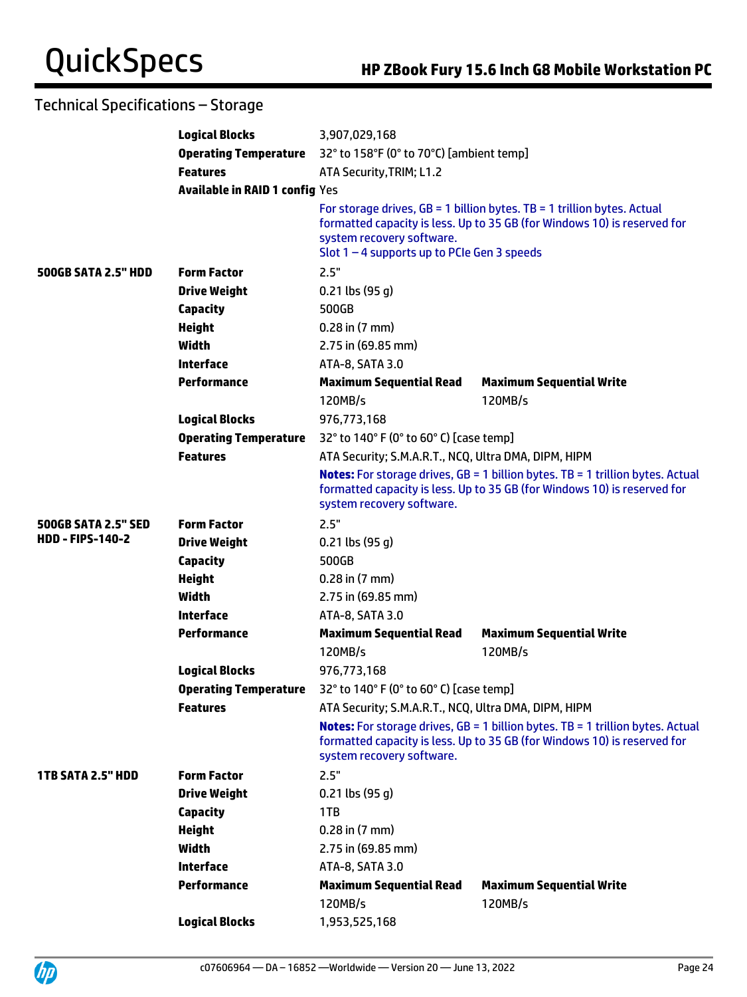|                            | <b>Logical Blocks</b>                 | 3,907,029,168                                                                                                                                                                                    |                                                                                                                                                                   |
|----------------------------|---------------------------------------|--------------------------------------------------------------------------------------------------------------------------------------------------------------------------------------------------|-------------------------------------------------------------------------------------------------------------------------------------------------------------------|
|                            | <b>Operating Temperature</b>          | 32° to 158°F (0° to 70°C) [ambient temp]                                                                                                                                                         |                                                                                                                                                                   |
|                            | <b>Features</b>                       | ATA Security, TRIM; L1.2                                                                                                                                                                         |                                                                                                                                                                   |
|                            | <b>Available in RAID 1 config Yes</b> |                                                                                                                                                                                                  |                                                                                                                                                                   |
|                            |                                       | system recovery software.<br>Slot $1 - 4$ supports up to PCIe Gen 3 speeds                                                                                                                       | For storage drives, $GB = 1$ billion bytes. TB = 1 trillion bytes. Actual<br>formatted capacity is less. Up to 35 GB (for Windows 10) is reserved for             |
| <b>500GB SATA 2.5" HDD</b> | <b>Form Factor</b>                    | 2.5"                                                                                                                                                                                             |                                                                                                                                                                   |
|                            | <b>Drive Weight</b>                   | $0.21$ lbs (95 g)                                                                                                                                                                                |                                                                                                                                                                   |
|                            | <b>Capacity</b>                       | 500GB                                                                                                                                                                                            |                                                                                                                                                                   |
|                            | <b>Height</b>                         | $0.28$ in $(7 \text{ mm})$                                                                                                                                                                       |                                                                                                                                                                   |
|                            | Width                                 | 2.75 in (69.85 mm)                                                                                                                                                                               |                                                                                                                                                                   |
|                            | <b>Interface</b>                      | ATA-8, SATA 3.0                                                                                                                                                                                  |                                                                                                                                                                   |
|                            | <b>Performance</b>                    | <b>Maximum Sequential Read</b>                                                                                                                                                                   | <b>Maximum Sequential Write</b>                                                                                                                                   |
|                            |                                       | 120MB/s                                                                                                                                                                                          | 120MB/s                                                                                                                                                           |
|                            | <b>Logical Blocks</b>                 | 976,773,168                                                                                                                                                                                      |                                                                                                                                                                   |
|                            | <b>Operating Temperature</b>          | 32° to 140° F (0° to 60° C) [case temp]                                                                                                                                                          |                                                                                                                                                                   |
|                            | <b>Features</b>                       | ATA Security; S.M.A.R.T., NCQ, Ultra DMA, DIPM, HIPM                                                                                                                                             |                                                                                                                                                                   |
|                            |                                       | <b>Notes:</b> For storage drives, $GB = 1$ billion bytes. TB = 1 trillion bytes. Actual<br>formatted capacity is less. Up to 35 GB (for Windows 10) is reserved for<br>system recovery software. |                                                                                                                                                                   |
| <b>500GB SATA 2.5" SED</b> | <b>Form Factor</b>                    | 2.5"                                                                                                                                                                                             |                                                                                                                                                                   |
| <b>HDD-FIPS-140-2</b>      | <b>Drive Weight</b>                   | $0.21$ lbs (95 g)                                                                                                                                                                                |                                                                                                                                                                   |
|                            | <b>Capacity</b>                       | 500GB                                                                                                                                                                                            |                                                                                                                                                                   |
|                            | <b>Height</b>                         | $0.28$ in $(7 \text{ mm})$                                                                                                                                                                       |                                                                                                                                                                   |
|                            | Width                                 | 2.75 in (69.85 mm)                                                                                                                                                                               |                                                                                                                                                                   |
|                            | <b>Interface</b>                      | ATA-8, SATA 3.0                                                                                                                                                                                  |                                                                                                                                                                   |
|                            | <b>Performance</b>                    | <b>Maximum Sequential Read</b>                                                                                                                                                                   | <b>Maximum Sequential Write</b>                                                                                                                                   |
|                            |                                       | 120MB/s                                                                                                                                                                                          | 120MB/s                                                                                                                                                           |
|                            | <b>Logical Blocks</b>                 | 976,773,168                                                                                                                                                                                      |                                                                                                                                                                   |
|                            | <b>Operating Temperature</b>          | 32° to 140° F (0° to 60° C) [case temp]                                                                                                                                                          |                                                                                                                                                                   |
|                            | <b>Features</b>                       | ATA Security; S.M.A.R.T., NCQ, Ultra DMA, DIPM, HIPM                                                                                                                                             |                                                                                                                                                                   |
|                            |                                       | system recovery software.                                                                                                                                                                        | <b>Notes:</b> For storage drives, GB = 1 billion bytes. TB = 1 trillion bytes. Actual<br>formatted capacity is less. Up to 35 GB (for Windows 10) is reserved for |
| <b>1TB SATA 2.5" HDD</b>   | <b>Form Factor</b>                    | 2.5"                                                                                                                                                                                             |                                                                                                                                                                   |
|                            | <b>Drive Weight</b>                   | $0.21$ lbs $(95 g)$                                                                                                                                                                              |                                                                                                                                                                   |
|                            | <b>Capacity</b>                       | 1TB                                                                                                                                                                                              |                                                                                                                                                                   |
|                            | <b>Height</b>                         | $0.28$ in $(7 \text{ mm})$                                                                                                                                                                       |                                                                                                                                                                   |
|                            | <b>Width</b>                          | 2.75 in (69.85 mm)                                                                                                                                                                               |                                                                                                                                                                   |
|                            | <b>Interface</b>                      | ATA-8, SATA 3.0                                                                                                                                                                                  |                                                                                                                                                                   |
|                            | <b>Performance</b>                    | <b>Maximum Sequential Read</b>                                                                                                                                                                   | <b>Maximum Sequential Write</b>                                                                                                                                   |
|                            |                                       | 120MB/s                                                                                                                                                                                          | 120MB/s                                                                                                                                                           |
|                            | <b>Logical Blocks</b>                 | 1,953,525,168                                                                                                                                                                                    |                                                                                                                                                                   |

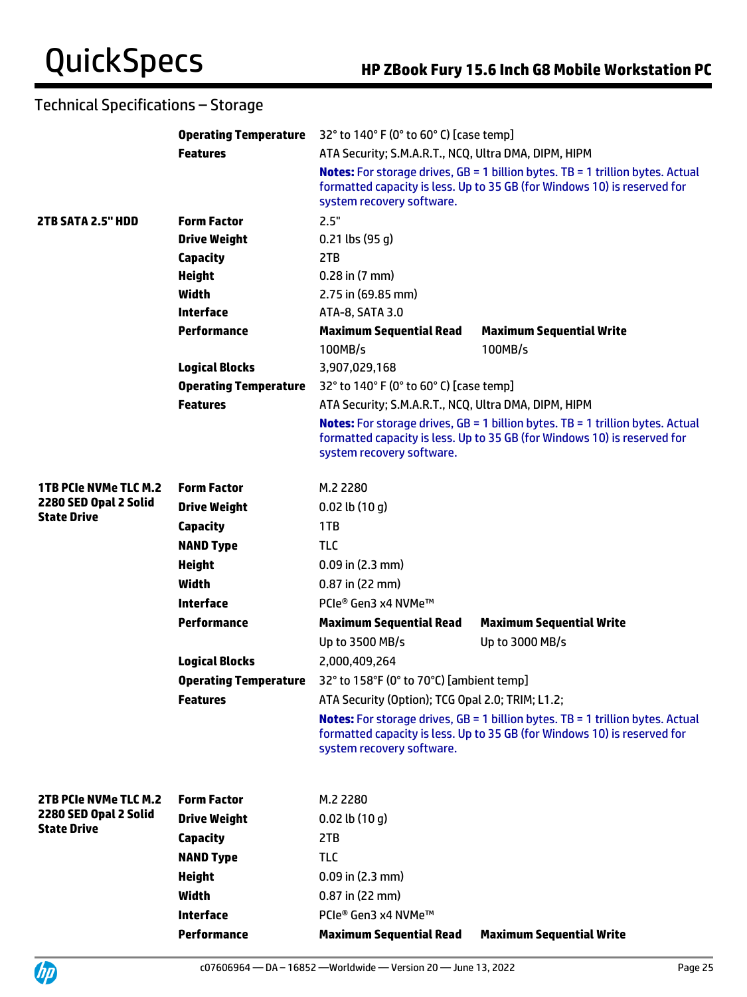|                                             | <b>Operating Temperature</b> |                                                                                                                                                                                                | 32° to 140° F (0° to 60° C) [case temp]                                                                                                                             |  |  |
|---------------------------------------------|------------------------------|------------------------------------------------------------------------------------------------------------------------------------------------------------------------------------------------|---------------------------------------------------------------------------------------------------------------------------------------------------------------------|--|--|
|                                             | <b>Features</b>              | ATA Security; S.M.A.R.T., NCQ, Ultra DMA, DIPM, HIPM                                                                                                                                           |                                                                                                                                                                     |  |  |
|                                             |                              | <b>Notes:</b> For storage drives, GB = 1 billion bytes. TB = 1 trillion bytes. Actual<br>formatted capacity is less. Up to 35 GB (for Windows 10) is reserved for<br>system recovery software. |                                                                                                                                                                     |  |  |
| 2TB SATA 2.5" HDD                           | <b>Form Factor</b>           | 2.5"                                                                                                                                                                                           |                                                                                                                                                                     |  |  |
|                                             | <b>Drive Weight</b>          | $0.21$ lbs (95 g)                                                                                                                                                                              |                                                                                                                                                                     |  |  |
|                                             | <b>Capacity</b>              | 2TB                                                                                                                                                                                            |                                                                                                                                                                     |  |  |
|                                             | <b>Height</b>                | $0.28$ in $(7$ mm)                                                                                                                                                                             |                                                                                                                                                                     |  |  |
|                                             | <b>Width</b>                 | 2.75 in (69.85 mm)                                                                                                                                                                             |                                                                                                                                                                     |  |  |
|                                             | <b>Interface</b>             | ATA-8, SATA 3.0                                                                                                                                                                                |                                                                                                                                                                     |  |  |
|                                             | <b>Performance</b>           | <b>Maximum Sequential Read</b>                                                                                                                                                                 | <b>Maximum Sequential Write</b>                                                                                                                                     |  |  |
|                                             |                              | 100MB/s                                                                                                                                                                                        | 100MB/s                                                                                                                                                             |  |  |
|                                             | <b>Logical Blocks</b>        | 3,907,029,168                                                                                                                                                                                  |                                                                                                                                                                     |  |  |
|                                             | <b>Operating Temperature</b> | 32° to 140° F (0° to 60° C) [case temp]                                                                                                                                                        |                                                                                                                                                                     |  |  |
|                                             | <b>Features</b>              | ATA Security; S.M.A.R.T., NCQ, Ultra DMA, DIPM, HIPM                                                                                                                                           |                                                                                                                                                                     |  |  |
|                                             |                              | system recovery software.                                                                                                                                                                      | <b>Notes:</b> For storage drives, $GB = 1$ billion bytes. TB = 1 trillion bytes. Actual<br>formatted capacity is less. Up to 35 GB (for Windows 10) is reserved for |  |  |
| <b>1TB PCIe NVMe TLC M.2</b>                | <b>Form Factor</b>           | M.2 2280                                                                                                                                                                                       |                                                                                                                                                                     |  |  |
| 2280 SED Opal 2 Solid<br><b>State Drive</b> | <b>Drive Weight</b>          | $0.02$ lb $(10 g)$                                                                                                                                                                             |                                                                                                                                                                     |  |  |
|                                             | <b>Capacity</b>              | 1TB                                                                                                                                                                                            |                                                                                                                                                                     |  |  |
|                                             | <b>NAND Type</b>             | <b>TLC</b>                                                                                                                                                                                     |                                                                                                                                                                     |  |  |
|                                             | <b>Height</b>                | $0.09$ in $(2.3$ mm)                                                                                                                                                                           |                                                                                                                                                                     |  |  |
|                                             | Width                        | $0.87$ in (22 mm)                                                                                                                                                                              |                                                                                                                                                                     |  |  |
|                                             | <b>Interface</b>             | PCIe® Gen3 x4 NVMe™                                                                                                                                                                            |                                                                                                                                                                     |  |  |
|                                             | <b>Performance</b>           | <b>Maximum Sequential Read</b>                                                                                                                                                                 | <b>Maximum Sequential Write</b>                                                                                                                                     |  |  |
|                                             |                              | Up to 3500 MB/s                                                                                                                                                                                | Up to 3000 MB/s                                                                                                                                                     |  |  |
|                                             | <b>Logical Blocks</b>        | 2,000,409,264                                                                                                                                                                                  |                                                                                                                                                                     |  |  |
|                                             | <b>Operating Temperature</b> | 32° to 158°F (0° to 70°C) [ambient temp]                                                                                                                                                       |                                                                                                                                                                     |  |  |
|                                             | <b>Features</b>              | ATA Security (Option); TCG Opal 2.0; TRIM; L1.2;                                                                                                                                               |                                                                                                                                                                     |  |  |
|                                             |                              | system recovery software.                                                                                                                                                                      | <b>Notes:</b> For storage drives, GB = 1 billion bytes. TB = 1 trillion bytes. Actual<br>formatted capacity is less. Up to 35 GB (for Windows 10) is reserved for   |  |  |
| 2TB PCIe NVMe TLC M.2                       | <b>Form Factor</b>           | M.2 2280                                                                                                                                                                                       |                                                                                                                                                                     |  |  |
| 2280 SED Opal 2 Solid                       | <b>Drive Weight</b>          | $0.02$ lb $(10q)$                                                                                                                                                                              |                                                                                                                                                                     |  |  |
| <b>State Drive</b>                          | <b>Capacity</b>              | 2TB                                                                                                                                                                                            |                                                                                                                                                                     |  |  |
|                                             | <b>NAND Type</b>             | <b>TLC</b>                                                                                                                                                                                     |                                                                                                                                                                     |  |  |
|                                             | <b>Height</b>                | $0.09$ in (2.3 mm)                                                                                                                                                                             |                                                                                                                                                                     |  |  |
|                                             | <b>Width</b>                 | 0.87 in (22 mm)                                                                                                                                                                                |                                                                                                                                                                     |  |  |
|                                             | <b>Interface</b>             | PCIe® Gen3 x4 NVMe™                                                                                                                                                                            |                                                                                                                                                                     |  |  |
|                                             | <b>Performance</b>           | <b>Maximum Sequential Read</b>                                                                                                                                                                 | <b>Maximum Sequential Write</b>                                                                                                                                     |  |  |

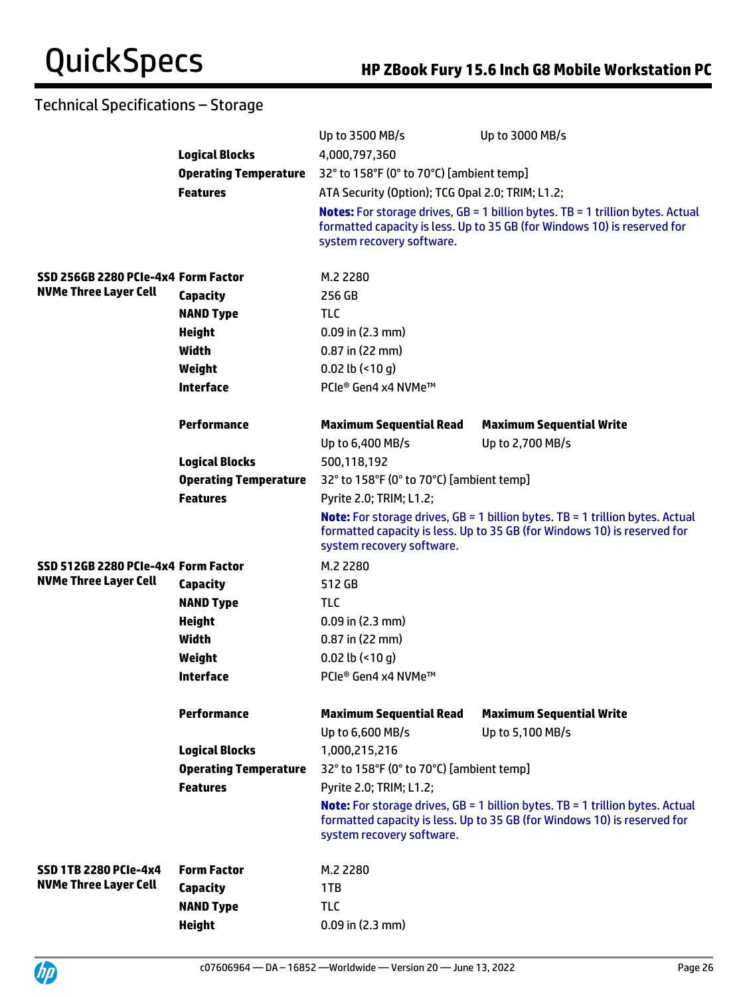|                                     |                              | Up to 3500 MB/s                                    | Up to 3000 MB/s                                                                                                                                                    |  |  |
|-------------------------------------|------------------------------|----------------------------------------------------|--------------------------------------------------------------------------------------------------------------------------------------------------------------------|--|--|
|                                     | <b>Logical Blocks</b>        | 4,000,797,360                                      |                                                                                                                                                                    |  |  |
|                                     | <b>Operating Temperature</b> |                                                    | 32° to 158°F (0° to 70°C) [ambient temp]                                                                                                                           |  |  |
|                                     | <b>Features</b>              | ATA Security (Option); TCG Opal 2.0; TRIM; L1.2;   |                                                                                                                                                                    |  |  |
|                                     |                              | system recovery software.                          | <b>Notes:</b> For storage drives, GB = 1 billion bytes. TB = 1 trillion bytes. Actual<br>formatted capacity is less. Up to 35 GB (for Windows 10) is reserved for  |  |  |
| SSD 256GB 2280 PCIe-4x4 Form Factor |                              | M.2 2280                                           |                                                                                                                                                                    |  |  |
| <b>NVMe Three Layer Cell</b>        | <b>Capacity</b>              | 256 GB                                             |                                                                                                                                                                    |  |  |
|                                     | <b>NAND Type</b>             | <b>TLC</b>                                         |                                                                                                                                                                    |  |  |
|                                     | <b>Height</b>                | $0.09$ in $(2.3$ mm)                               |                                                                                                                                                                    |  |  |
|                                     | Width                        | 0.87 in (22 mm)                                    |                                                                                                                                                                    |  |  |
|                                     | Weight                       | 0.02 lb $($ <10 g)                                 |                                                                                                                                                                    |  |  |
|                                     | <b>Interface</b>             | PCIe® Gen4 x4 NVMe™                                |                                                                                                                                                                    |  |  |
|                                     | <b>Performance</b>           | <b>Maximum Sequential Read</b>                     | <b>Maximum Sequential Write</b>                                                                                                                                    |  |  |
|                                     |                              | Up to 6,400 MB/s                                   | Up to 2,700 MB/s                                                                                                                                                   |  |  |
|                                     | <b>Logical Blocks</b>        | 500,118,192                                        |                                                                                                                                                                    |  |  |
|                                     | <b>Operating Temperature</b> | 32° to 158°F (0° to 70°C) [ambient temp]           |                                                                                                                                                                    |  |  |
|                                     | <b>Features</b>              | Pyrite 2.0; TRIM; L1.2;                            |                                                                                                                                                                    |  |  |
|                                     |                              | system recovery software.                          | <b>Note:</b> For storage drives, $GB = 1$ billion bytes. TB = 1 trillion bytes. Actual<br>formatted capacity is less. Up to 35 GB (for Windows 10) is reserved for |  |  |
| SSD 512GB 2280 PCIe-4x4 Form Factor |                              | M.2 2280                                           |                                                                                                                                                                    |  |  |
| <b>NVMe Three Layer Cell</b>        | <b>Capacity</b>              | 512 GB                                             |                                                                                                                                                                    |  |  |
|                                     | <b>NAND Type</b>             | <b>TLC</b>                                         |                                                                                                                                                                    |  |  |
|                                     | <b>Height</b>                | $0.09$ in (2.3 mm)                                 |                                                                                                                                                                    |  |  |
|                                     | Width                        | $0.87$ in (22 mm)                                  |                                                                                                                                                                    |  |  |
|                                     | Weight                       | 0.02 lb $($ <10 g)                                 |                                                                                                                                                                    |  |  |
|                                     | <b>Interface</b>             | PCIe® Gen4 x4 NVMe™                                |                                                                                                                                                                    |  |  |
|                                     | <b>Performance</b>           | <b>Maximum Sequential Read</b><br>Up to 6,600 MB/s | <b>Maximum Sequential Write</b><br>Up to 5,100 MB/s                                                                                                                |  |  |
|                                     | <b>Logical Blocks</b>        | 1,000,215,216                                      |                                                                                                                                                                    |  |  |
|                                     | <b>Operating Temperature</b> | 32° to 158°F (0° to 70°C) [ambient temp]           |                                                                                                                                                                    |  |  |
|                                     | <b>Features</b>              | Pyrite 2.0; TRIM; L1.2;                            |                                                                                                                                                                    |  |  |
|                                     |                              | system recovery software.                          | <b>Note:</b> For storage drives, $GB = 1$ billion bytes. TB = 1 trillion bytes. Actual<br>formatted capacity is less. Up to 35 GB (for Windows 10) is reserved for |  |  |
| <b>SSD 1TB 2280 PCIe-4x4</b>        | <b>Form Factor</b>           | M.2 2280                                           |                                                                                                                                                                    |  |  |
| <b>NVMe Three Layer Cell</b>        | <b>Capacity</b>              | 1TB                                                |                                                                                                                                                                    |  |  |
|                                     | <b>NAND Type</b>             | <b>TLC</b>                                         |                                                                                                                                                                    |  |  |
|                                     | <b>Height</b>                | $0.09$ in $(2.3$ mm)                               |                                                                                                                                                                    |  |  |

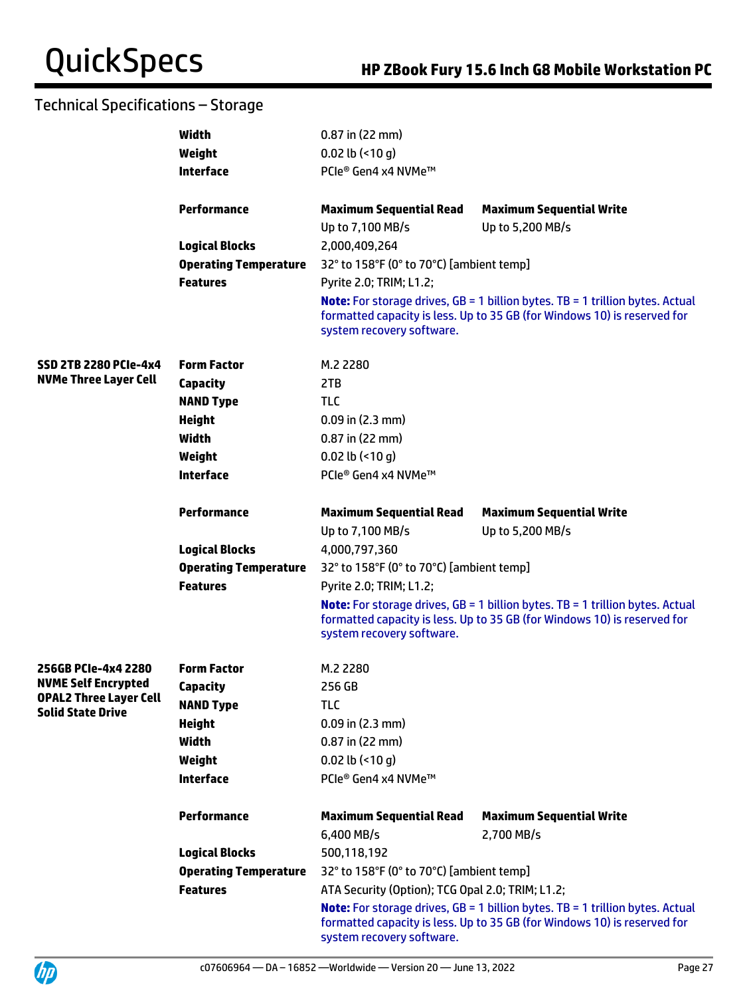|                               | Width                        | $0.87$ in (22 mm)                                |                                                                                                                                                                  |  |  |
|-------------------------------|------------------------------|--------------------------------------------------|------------------------------------------------------------------------------------------------------------------------------------------------------------------|--|--|
|                               | Weight                       | 0.02 lb $($ <10 g)                               |                                                                                                                                                                  |  |  |
|                               | <b>Interface</b>             | PCIe® Gen4 x4 NVMe™                              |                                                                                                                                                                  |  |  |
|                               |                              |                                                  |                                                                                                                                                                  |  |  |
|                               | <b>Performance</b>           | <b>Maximum Sequential Read</b>                   | <b>Maximum Sequential Write</b>                                                                                                                                  |  |  |
|                               |                              | Up to 7,100 MB/s                                 | Up to 5,200 MB/s                                                                                                                                                 |  |  |
|                               | <b>Logical Blocks</b>        | 2,000,409,264                                    |                                                                                                                                                                  |  |  |
|                               | <b>Operating Temperature</b> | 32° to 158°F (0° to 70°C) [ambient temp]         |                                                                                                                                                                  |  |  |
|                               | <b>Features</b>              | Pyrite 2.0; TRIM; L1.2;                          |                                                                                                                                                                  |  |  |
|                               |                              | system recovery software.                        | <b>Note:</b> For storage drives, GB = 1 billion bytes. TB = 1 trillion bytes. Actual<br>formatted capacity is less. Up to 35 GB (for Windows 10) is reserved for |  |  |
| <b>SSD 2TB 2280 PCIe-4x4</b>  | <b>Form Factor</b>           | M.2 2280                                         |                                                                                                                                                                  |  |  |
| <b>NVMe Three Layer Cell</b>  | <b>Capacity</b>              | 2TB                                              |                                                                                                                                                                  |  |  |
|                               | <b>NAND Type</b>             | <b>TLC</b>                                       |                                                                                                                                                                  |  |  |
|                               | <b>Height</b>                | $0.09$ in (2.3 mm)                               |                                                                                                                                                                  |  |  |
|                               | <b>Width</b>                 | $0.87$ in (22 mm)                                |                                                                                                                                                                  |  |  |
|                               | Weight                       | $0.02$ lb (<10 q)                                |                                                                                                                                                                  |  |  |
|                               | <b>Interface</b>             | PCIe® Gen4 x4 NVMe™                              |                                                                                                                                                                  |  |  |
|                               |                              |                                                  |                                                                                                                                                                  |  |  |
|                               | <b>Performance</b>           | <b>Maximum Sequential Read</b>                   | <b>Maximum Sequential Write</b>                                                                                                                                  |  |  |
|                               |                              | Up to 7,100 MB/s                                 | Up to 5,200 MB/s                                                                                                                                                 |  |  |
|                               | <b>Logical Blocks</b>        | 4,000,797,360                                    |                                                                                                                                                                  |  |  |
|                               | <b>Operating Temperature</b> | 32° to 158°F (0° to 70°C) [ambient temp]         |                                                                                                                                                                  |  |  |
|                               | <b>Features</b>              | Pyrite 2.0; TRIM; L1.2;                          |                                                                                                                                                                  |  |  |
|                               |                              | system recovery software.                        | <b>Note:</b> For storage drives, GB = 1 billion bytes. TB = 1 trillion bytes. Actual<br>formatted capacity is less. Up to 35 GB (for Windows 10) is reserved for |  |  |
| 256GB PCIe-4x4 2280           | <b>Form Factor</b>           | M.2 2280                                         |                                                                                                                                                                  |  |  |
| <b>NVME Self Encrypted</b>    | <b>Capacity</b>              | 256 GB                                           |                                                                                                                                                                  |  |  |
| <b>OPAL2 Three Layer Cell</b> | <b>NAND Type</b>             | <b>TLC</b>                                       |                                                                                                                                                                  |  |  |
| <b>Solid State Drive</b>      | <b>Height</b>                | $0.09$ in (2.3 mm)                               |                                                                                                                                                                  |  |  |
|                               | Width                        | $0.87$ in (22 mm)                                |                                                                                                                                                                  |  |  |
|                               | Weight                       | $0.02$ lb $($ <10 q)                             |                                                                                                                                                                  |  |  |
|                               | <b>Interface</b>             | PCIe® Gen4 x4 NVMe™                              |                                                                                                                                                                  |  |  |
|                               |                              |                                                  |                                                                                                                                                                  |  |  |
|                               | <b>Performance</b>           | <b>Maximum Sequential Read</b><br>6,400 MB/s     | <b>Maximum Sequential Write</b><br>2,700 MB/s                                                                                                                    |  |  |
|                               | <b>Logical Blocks</b>        | 500,118,192                                      |                                                                                                                                                                  |  |  |
|                               | <b>Operating Temperature</b> | 32° to 158°F (0° to 70°C) [ambient temp]         |                                                                                                                                                                  |  |  |
|                               | <b>Features</b>              | ATA Security (Option); TCG Opal 2.0; TRIM; L1.2; |                                                                                                                                                                  |  |  |
|                               |                              | system recovery software.                        | <b>Note:</b> For storage drives, GB = 1 billion bytes. TB = 1 trillion bytes. Actual<br>formatted capacity is less. Up to 35 GB (for Windows 10) is reserved for |  |  |

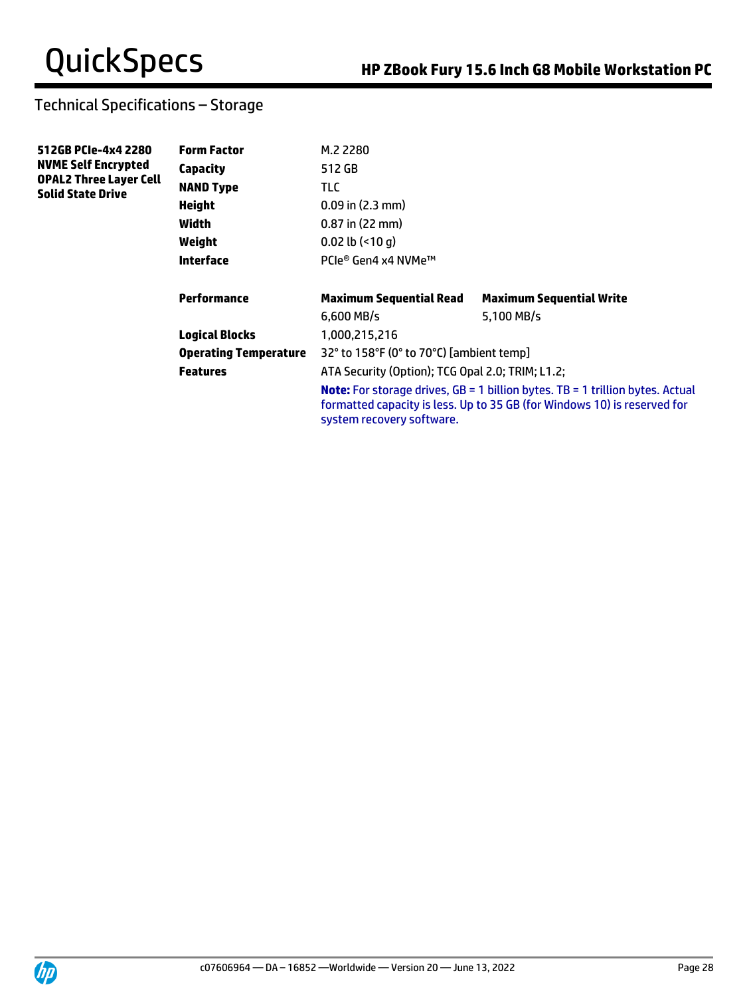| 512GB PCIe-4x4 2280<br><b>NVME Self Encrypted</b><br><b>OPAL2 Three Layer Cell</b><br><b>Solid State Drive</b> | <b>Form Factor</b>           | M.2 2280                                         |                                                                                                                                                                    |
|----------------------------------------------------------------------------------------------------------------|------------------------------|--------------------------------------------------|--------------------------------------------------------------------------------------------------------------------------------------------------------------------|
|                                                                                                                | Capacity                     | 512 GB                                           |                                                                                                                                                                    |
|                                                                                                                | <b>NAND Type</b>             | TLC.                                             |                                                                                                                                                                    |
|                                                                                                                | <b>Height</b>                | $0.09$ in $(2.3$ mm)                             |                                                                                                                                                                    |
|                                                                                                                | Width                        | 0.87 in (22 mm)                                  |                                                                                                                                                                    |
|                                                                                                                | Weight                       | $0.02$ lb $($ <10 q)                             |                                                                                                                                                                    |
|                                                                                                                | <b>Interface</b>             | PCIe® Gen4 x4 NVMe™                              |                                                                                                                                                                    |
|                                                                                                                | Performance                  | <b>Maximum Sequential Read</b>                   | <b>Maximum Sequential Write</b>                                                                                                                                    |
|                                                                                                                |                              | $6.600$ MB/s                                     | 5,100 MB/s                                                                                                                                                         |
|                                                                                                                | <b>Logical Blocks</b>        | 1,000,215,216                                    |                                                                                                                                                                    |
|                                                                                                                | <b>Operating Temperature</b> | 32° to 158°F (0° to 70°C) [ambient temp]         |                                                                                                                                                                    |
|                                                                                                                | <b>Features</b>              | ATA Security (Option); TCG Opal 2.0; TRIM; L1.2; |                                                                                                                                                                    |
|                                                                                                                |                              | system recovery software.                        | <b>Note:</b> For storage drives, $GB = 1$ billion bytes. TB = 1 trillion bytes. Actual<br>formatted capacity is less. Up to 35 GB (for Windows 10) is reserved for |

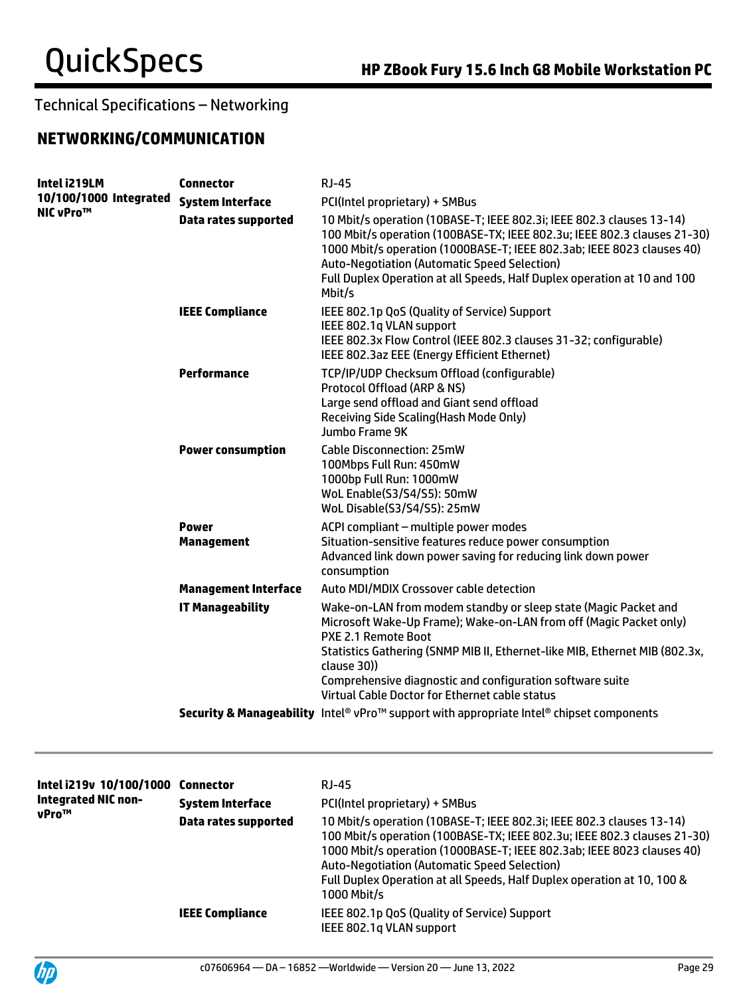## **NETWORKING/COMMUNICATION**

| Intel i219LM                               | <b>Connector</b>                  | <b>RJ-45</b>                                                                                                                                                                                                                                                                                                                                                              |
|--------------------------------------------|-----------------------------------|---------------------------------------------------------------------------------------------------------------------------------------------------------------------------------------------------------------------------------------------------------------------------------------------------------------------------------------------------------------------------|
| 10/100/1000 Integrated<br><b>NIC vPro™</b> | <b>System Interface</b>           | PCI(Intel proprietary) + SMBus                                                                                                                                                                                                                                                                                                                                            |
|                                            | <b>Data rates supported</b>       | 10 Mbit/s operation (10BASE-T; IEEE 802.3i; IEEE 802.3 clauses 13-14)<br>100 Mbit/s operation (100BASE-TX; IEEE 802.3u; IEEE 802.3 clauses 21-30)<br>1000 Mbit/s operation (1000BASE-T; IEEE 802.3ab; IEEE 8023 clauses 40)<br><b>Auto-Negotiation (Automatic Speed Selection)</b><br>Full Duplex Operation at all Speeds, Half Duplex operation at 10 and 100<br>Mbit/s  |
|                                            | <b>IEEE Compliance</b>            | IEEE 802.1p QoS (Quality of Service) Support<br>IEEE 802.1q VLAN support<br>IEEE 802.3x Flow Control (IEEE 802.3 clauses 31-32; configurable)<br>IEEE 802.3az EEE (Energy Efficient Ethernet)                                                                                                                                                                             |
|                                            | Performance                       | TCP/IP/UDP Checksum Offload (configurable)<br>Protocol Offload (ARP & NS)<br>Large send offload and Giant send offload<br>Receiving Side Scaling(Hash Mode Only)<br>Jumbo Frame 9K                                                                                                                                                                                        |
|                                            | <b>Power consumption</b>          | <b>Cable Disconnection: 25mW</b><br>100Mbps Full Run: 450mW<br>1000bp Full Run: 1000mW<br>WoL Enable(S3/S4/S5): 50mW<br>WoL Disable(S3/S4/S5): 25mW                                                                                                                                                                                                                       |
|                                            | <b>Power</b><br><b>Management</b> | ACPI compliant - multiple power modes<br>Situation-sensitive features reduce power consumption<br>Advanced link down power saving for reducing link down power<br>consumption                                                                                                                                                                                             |
|                                            | <b>Management Interface</b>       | Auto MDI/MDIX Crossover cable detection                                                                                                                                                                                                                                                                                                                                   |
|                                            | <b>IT Manageability</b>           | Wake-on-LAN from modem standby or sleep state (Magic Packet and<br>Microsoft Wake-Up Frame); Wake-on-LAN from off (Magic Packet only)<br>PXE 2.1 Remote Boot<br>Statistics Gathering (SNMP MIB II, Ethernet-like MIB, Ethernet MIB (802.3x,<br>clause 30))<br>Comprehensive diagnostic and configuration software suite<br>Virtual Cable Doctor for Ethernet cable status |
|                                            |                                   | Security & Manageability Intel® vPro™ support with appropriate Intel® chipset components                                                                                                                                                                                                                                                                                  |
|                                            |                                   |                                                                                                                                                                                                                                                                                                                                                                           |

| Intel i219v 10/100/1000<br><b>Integrated NIC non-</b><br>vPro™ | Connector               | RJ-45                                                                                                                                                                                                                                                                                                                                                                        |
|----------------------------------------------------------------|-------------------------|------------------------------------------------------------------------------------------------------------------------------------------------------------------------------------------------------------------------------------------------------------------------------------------------------------------------------------------------------------------------------|
|                                                                | <b>System Interface</b> | PCI(Intel proprietary) + SMBus                                                                                                                                                                                                                                                                                                                                               |
|                                                                | Data rates supported    | 10 Mbit/s operation (10BASE-T; IEEE 802.3i; IEEE 802.3 clauses 13-14)<br>100 Mbit/s operation (100BASE-TX; IEEE 802.3u; IEEE 802.3 clauses 21-30)<br>1000 Mbit/s operation (1000BASE-T; IEEE 802.3ab; IEEE 8023 clauses 40)<br><b>Auto-Negotiation (Automatic Speed Selection)</b><br>Full Duplex Operation at all Speeds, Half Duplex operation at 10, 100 &<br>1000 Mbit/s |
|                                                                | <b>IEEE Compliance</b>  | IEEE 802.1p QoS (Quality of Service) Support<br>IEEE 802.1g VLAN support                                                                                                                                                                                                                                                                                                     |

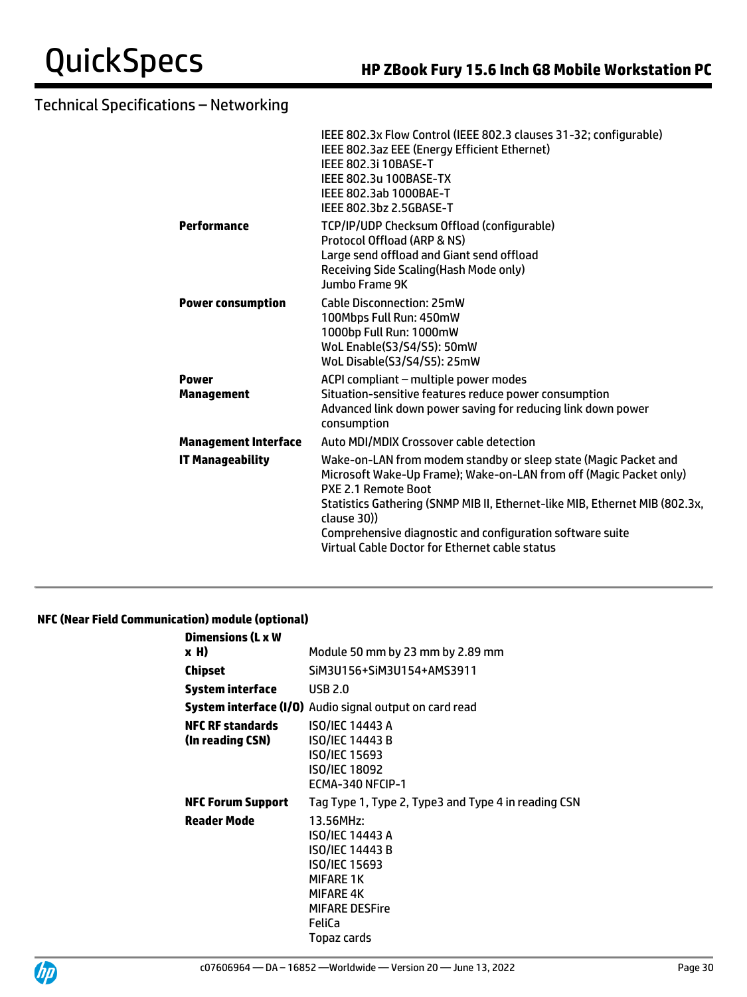|                                   | IEEE 802.3x Flow Control (IEEE 802.3 clauses 31-32; configurable)<br>IEEE 802.3az EEE (Energy Efficient Ethernet)<br><b>IEEE 802.3i 10BASE-T</b><br>IEEE 802.3u 100BASE-TX<br>IEEE 802.3ab 1000BAE-T<br>IEEE 802.3hz 2.5GBASE-T                                                                                                                                           |
|-----------------------------------|---------------------------------------------------------------------------------------------------------------------------------------------------------------------------------------------------------------------------------------------------------------------------------------------------------------------------------------------------------------------------|
| Performance                       | TCP/IP/UDP Checksum Offload (configurable)<br>Protocol Offload (ARP & NS)<br>Large send offload and Giant send offload<br>Receiving Side Scaling(Hash Mode only)<br>Jumbo Frame 9K                                                                                                                                                                                        |
| <b>Power consumption</b>          | Cable Disconnection: 25mW<br>100Mbps Full Run: 450mW<br>1000bp Full Run: 1000mW<br>WoL Enable(S3/S4/S5): 50mW<br>WoL Disable(S3/S4/S5): 25mW                                                                                                                                                                                                                              |
| <b>Power</b><br><b>Management</b> | ACPI compliant - multiple power modes<br>Situation-sensitive features reduce power consumption<br>Advanced link down power saving for reducing link down power<br>consumption                                                                                                                                                                                             |
| <b>Management Interface</b>       | Auto MDI/MDIX Crossover cable detection                                                                                                                                                                                                                                                                                                                                   |
| <b>IT Manageability</b>           | Wake-on-LAN from modem standby or sleep state (Magic Packet and<br>Microsoft Wake-Up Frame); Wake-on-LAN from off (Magic Packet only)<br>PXE 2.1 Remote Boot<br>Statistics Gathering (SNMP MIB II, Ethernet-like MIB, Ethernet MIB (802.3x,<br>clause 30))<br>Comprehensive diagnostic and configuration software suite<br>Virtual Cable Doctor for Ethernet cable status |
|                                   |                                                                                                                                                                                                                                                                                                                                                                           |

### **NFC (Near Field Communication) module (optional)**

| <b>Dimensions (L x W</b>                    |                                                                                                                                                            |
|---------------------------------------------|------------------------------------------------------------------------------------------------------------------------------------------------------------|
| x H)                                        | Module 50 mm by 23 mm by 2.89 mm                                                                                                                           |
| Chipset                                     | SiM3U156+SiM3U154+AMS3911                                                                                                                                  |
| System interface                            | <b>USB 2.0</b>                                                                                                                                             |
|                                             | <b>System interface (I/O)</b> Audio signal output on card read                                                                                             |
| <b>NFC RF standards</b><br>(In reading CSN) | <b>ISO/IEC 14443 A</b><br><b>ISO/IEC 14443 B</b><br>ISO/IEC 15693<br><b>ISO/IEC 18092</b><br>ECMA-340 NFCIP-1                                              |
| <b>NFC Forum Support</b>                    | Tag Type 1, Type 2, Type3 and Type 4 in reading CSN                                                                                                        |
| <b>Reader Mode</b>                          | 13.56MHz:<br>ISO/IEC 14443 A<br>ISO/IEC 14443 B<br>ISO/IEC 15693<br><b>MIFARE 1K</b><br><b>MIFARE 4K</b><br><b>MIFARE DESFire</b><br>FeliCa<br>Topaz cards |

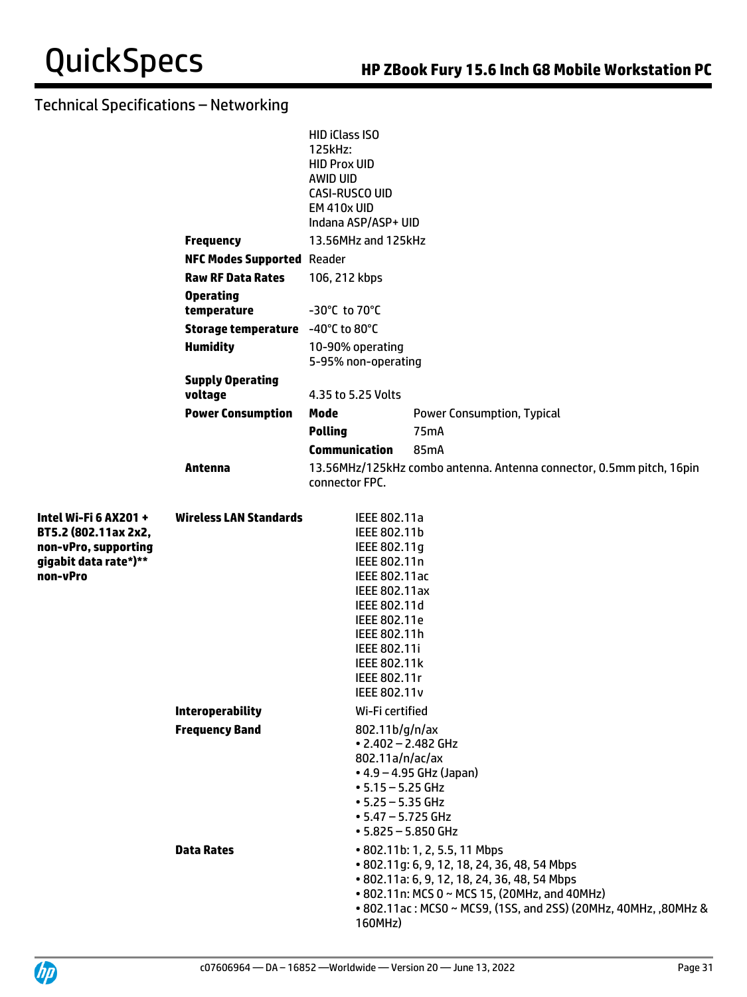|                                                                                                            |                                            | <b>HID iClass ISO</b><br>125kHz:<br><b>HID Prox UID</b><br>AWID UID<br>CASI-RUSCO UID<br>EM 410x UID<br>Indana ASP/ASP+ UID                                                                                                  |                                                                                                                                                                  |
|------------------------------------------------------------------------------------------------------------|--------------------------------------------|------------------------------------------------------------------------------------------------------------------------------------------------------------------------------------------------------------------------------|------------------------------------------------------------------------------------------------------------------------------------------------------------------|
|                                                                                                            | <b>Frequency</b>                           | 13.56MHz and 125kHz                                                                                                                                                                                                          |                                                                                                                                                                  |
|                                                                                                            | <b>NFC Modes Supported Reader</b>          |                                                                                                                                                                                                                              |                                                                                                                                                                  |
|                                                                                                            | <b>Raw RF Data Rates</b>                   | 106, 212 kbps                                                                                                                                                                                                                |                                                                                                                                                                  |
|                                                                                                            | <b>Operating</b><br>temperature            | -30°C to 70°C                                                                                                                                                                                                                |                                                                                                                                                                  |
|                                                                                                            | Storage temperature -40°C to 80°C          |                                                                                                                                                                                                                              |                                                                                                                                                                  |
|                                                                                                            | <b>Humidity</b>                            | 10-90% operating<br>5-95% non-operating                                                                                                                                                                                      |                                                                                                                                                                  |
|                                                                                                            | <b>Supply Operating</b><br>voltage         | 4.35 to 5.25 Volts                                                                                                                                                                                                           |                                                                                                                                                                  |
|                                                                                                            | <b>Power Consumption</b>                   | Mode                                                                                                                                                                                                                         | <b>Power Consumption, Typical</b>                                                                                                                                |
|                                                                                                            |                                            | <b>Polling</b>                                                                                                                                                                                                               | 75 <sub>m</sub> A                                                                                                                                                |
|                                                                                                            |                                            | <b>Communication</b>                                                                                                                                                                                                         | 85mA                                                                                                                                                             |
|                                                                                                            | Antenna                                    | connector FPC.                                                                                                                                                                                                               | 13.56MHz/125kHz combo antenna. Antenna connector, 0.5mm pitch, 16pin                                                                                             |
| Intel Wi-Fi 6 AX201 +<br>BT5.2 (802.11ax 2x2,<br>non-vPro, supporting<br>gigabit data rate*)**<br>non-vPro | <b>Wireless LAN Standards</b>              | IEEE 802.11a<br>IEEE 802.11b<br>IEEE 802.11g<br>IEEE 802.11n<br>IEEE 802.11ac<br><b>IEEE 802.11ax</b><br>IEEE 802.11d<br>IEEE 802.11e<br>IEEE 802.11h<br><b>IEEE 802.11i</b><br>IEEE 802.11k<br>IEEE 802.11r<br>IEEE 802.11v |                                                                                                                                                                  |
|                                                                                                            | <b>Interoperability</b>                    | Wi-Fi certified                                                                                                                                                                                                              |                                                                                                                                                                  |
|                                                                                                            | <b>Frequency Band</b><br><b>Data Rates</b> | 802.11b/g/n/ax<br>$\cdot$ 2.402 - 2.482 GHz<br>802.11a/n/ac/ax<br>$• 5.15 - 5.25$ GHz<br>$• 5.25 - 5.35$ GHz<br>$• 5.47 - 5.725$ GHz<br>$-5.825 - 5.850$ GHz                                                                 | $-4.9 - 4.95$ GHz (Japan)<br>• 802.11b: 1, 2, 5.5, 11 Mbps<br>• 802.11g: 6, 9, 12, 18, 24, 36, 48, 54 Mbps                                                       |
|                                                                                                            |                                            | 160MHz)                                                                                                                                                                                                                      | • 802.11a: 6, 9, 12, 18, 24, 36, 48, 54 Mbps<br>• 802.11n: MCS 0 ~ MCS 15, (20MHz, and 40MHz)<br>• 802.11ac: MCS0 ~ MCS9, (1SS, and 2SS) (20MHz, 40MHz, ,80MHz & |

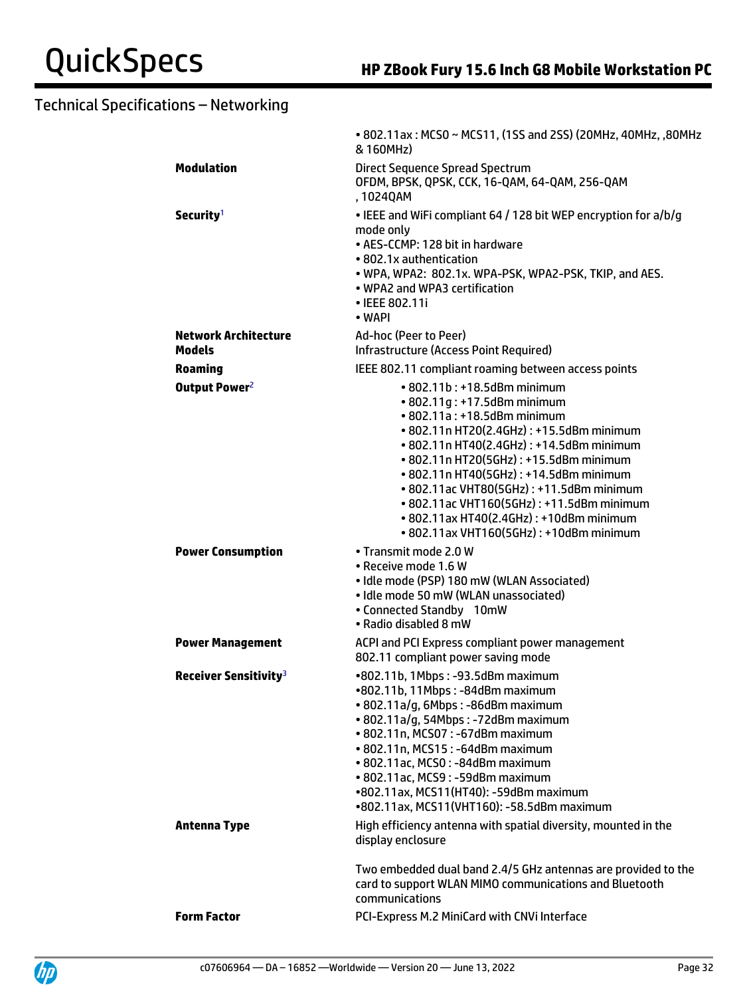|                                   | • 802.11ax: MCS0 ~ MCS11, (1SS and 2SS) (20MHz, 40MHz, ,80MHz<br>& 160MHz)                                                                                                                                                                                                                                                                                                                                            |
|-----------------------------------|-----------------------------------------------------------------------------------------------------------------------------------------------------------------------------------------------------------------------------------------------------------------------------------------------------------------------------------------------------------------------------------------------------------------------|
| <b>Modulation</b>                 | <b>Direct Sequence Spread Spectrum</b><br>OFDM, BPSK, QPSK, CCK, 16-QAM, 64-QAM, 256-QAM<br>, 1024QAM                                                                                                                                                                                                                                                                                                                 |
| Security <sup>1</sup>             | • IEEE and WiFi compliant 64 / 128 bit WEP encryption for a/b/g<br>mode only<br>• AES-CCMP: 128 bit in hardware<br>• 802.1x authentication<br>• WPA, WPA2: 802.1x. WPA-PSK, WPA2-PSK, TKIP, and AES.<br>. WPA2 and WPA3 certification<br>• IEEE 802.11i<br>• WAPI                                                                                                                                                     |
| <b>Network Architecture</b>       | Ad-hoc (Peer to Peer)                                                                                                                                                                                                                                                                                                                                                                                                 |
| <b>Models</b>                     | Infrastructure (Access Point Required)                                                                                                                                                                                                                                                                                                                                                                                |
| <b>Roaming</b>                    | IEEE 802.11 compliant roaming between access points<br>$\cdot$ 802.11b: $\cdot$ 18.5dBm minimum                                                                                                                                                                                                                                                                                                                       |
| Output Power <sup>2</sup>         | • 802.11g: +17.5dBm minimum<br>• 802.11a: +18.5dBm minimum<br>• 802.11n HT20(2.4GHz): +15.5dBm minimum<br>• 802.11n HT40(2.4GHz): +14.5dBm minimum<br>• 802.11n HT20(5GHz): +15.5dBm minimum<br>• 802.11n HT40(5GHz): +14.5dBm minimum<br>• 802.11ac VHT80(5GHz): +11.5dBm minimum<br>• 802.11ac VHT160(5GHz): +11.5dBm minimum<br>• 802.11ax HT40(2.4GHz): +10dBm minimum<br>• 802.11ax VHT160(5GHz): +10dBm minimum |
| <b>Power Consumption</b>          | • Transmit mode 2.0 W<br>• Receive mode 1.6 W<br>· Idle mode (PSP) 180 mW (WLAN Associated)<br>• Idle mode 50 mW (WLAN unassociated)<br>• Connected Standby 10mW<br>• Radio disabled 8 mW                                                                                                                                                                                                                             |
| <b>Power Management</b>           | ACPI and PCI Express compliant power management<br>802.11 compliant power saving mode                                                                                                                                                                                                                                                                                                                                 |
| Receiver Sensitivity <sup>3</sup> | •802.11b, 1Mbps: -93.5dBm maximum<br>•802.11b, 11Mbps: -84dBm maximum<br>· 802.11a/g, 6Mbps: -86dBm maximum<br>• 802.11a/g, 54Mbps: -72dBm maximum<br>• 802.11n, MCS07: -67dBm maximum<br>• 802.11n, MCS15: -64dBm maximum<br>• 802.11ac, MCS0: -84dBm maximum<br>• 802.11ac, MCS9: -59dBm maximum<br>•802.11ax, MCS11(HT40): -59dBm maximum<br>•802.11ax, MCS11(VHT160): -58.5dBm maximum                            |
| <b>Antenna Type</b>               | High efficiency antenna with spatial diversity, mounted in the<br>display enclosure                                                                                                                                                                                                                                                                                                                                   |
|                                   | Two embedded dual band 2.4/5 GHz antennas are provided to the<br>card to support WLAN MIMO communications and Bluetooth<br>communications                                                                                                                                                                                                                                                                             |
| <b>Form Factor</b>                | PCI-Express M.2 MiniCard with CNVi Interface                                                                                                                                                                                                                                                                                                                                                                          |
|                                   |                                                                                                                                                                                                                                                                                                                                                                                                                       |

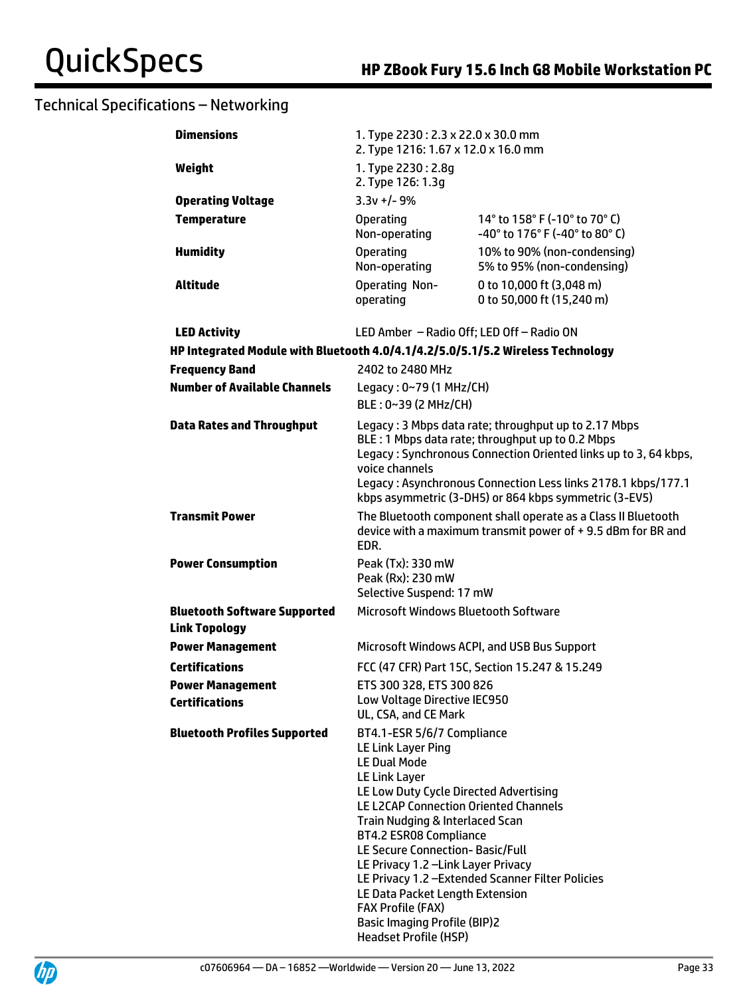| <b>Dimensions</b>                                                               | 1. Type 2230: 2.3 x 22.0 x 30.0 mm<br>2. Type 1216: 1.67 x 12.0 x 16.0 mm                                                                                                                                                                                                                                                                                                                                                                                                                                                           |                                                                 |
|---------------------------------------------------------------------------------|-------------------------------------------------------------------------------------------------------------------------------------------------------------------------------------------------------------------------------------------------------------------------------------------------------------------------------------------------------------------------------------------------------------------------------------------------------------------------------------------------------------------------------------|-----------------------------------------------------------------|
| Weight                                                                          | 1. Type 2230: 2.8g<br>2. Type 126: 1.3g                                                                                                                                                                                                                                                                                                                                                                                                                                                                                             |                                                                 |
| <b>Operating Voltage</b>                                                        | $3.3v + 1 - 9%$                                                                                                                                                                                                                                                                                                                                                                                                                                                                                                                     |                                                                 |
| <b>Temperature</b>                                                              | <b>Operating</b><br>Non-operating                                                                                                                                                                                                                                                                                                                                                                                                                                                                                                   | 14° to 158° F (-10° to 70° C)<br>-40° to 176° F (-40° to 80° C) |
| <b>Humidity</b>                                                                 | <b>Operating</b><br>Non-operating                                                                                                                                                                                                                                                                                                                                                                                                                                                                                                   | 10% to 90% (non-condensing)<br>5% to 95% (non-condensing)       |
| <b>Altitude</b>                                                                 | <b>Operating Non-</b><br>operating                                                                                                                                                                                                                                                                                                                                                                                                                                                                                                  | 0 to 10,000 ft (3,048 m)<br>0 to 50,000 ft (15,240 m)           |
| <b>LED Activity</b>                                                             | LED Amber - Radio Off; LED Off - Radio ON                                                                                                                                                                                                                                                                                                                                                                                                                                                                                           |                                                                 |
| HP Integrated Module with Bluetooth 4.0/4.1/4.2/5.0/5.1/5.2 Wireless Technology |                                                                                                                                                                                                                                                                                                                                                                                                                                                                                                                                     |                                                                 |
| <b>Frequency Band</b>                                                           | 2402 to 2480 MHz                                                                                                                                                                                                                                                                                                                                                                                                                                                                                                                    |                                                                 |
| <b>Number of Available Channels</b>                                             | Legacy: 0~79 (1 MHz/CH)<br>BLE: 0~39 (2 MHz/CH)                                                                                                                                                                                                                                                                                                                                                                                                                                                                                     |                                                                 |
| <b>Data Rates and Throughput</b>                                                | Legacy: 3 Mbps data rate; throughput up to 2.17 Mbps<br>BLE: 1 Mbps data rate; throughput up to 0.2 Mbps<br>Legacy: Synchronous Connection Oriented links up to 3, 64 kbps,<br>voice channels<br>Legacy: Asynchronous Connection Less links 2178.1 kbps/177.1<br>kbps asymmetric (3-DH5) or 864 kbps symmetric (3-EV5)                                                                                                                                                                                                              |                                                                 |
| <b>Transmit Power</b>                                                           | The Bluetooth component shall operate as a Class II Bluetooth<br>device with a maximum transmit power of +9.5 dBm for BR and<br>EDR.                                                                                                                                                                                                                                                                                                                                                                                                |                                                                 |
| <b>Power Consumption</b>                                                        | Peak (Tx): 330 mW<br>Peak (Rx): 230 mW<br>Selective Suspend: 17 mW                                                                                                                                                                                                                                                                                                                                                                                                                                                                  |                                                                 |
| <b>Bluetooth Software Supported</b><br><b>Link Topology</b>                     | Microsoft Windows Bluetooth Software                                                                                                                                                                                                                                                                                                                                                                                                                                                                                                |                                                                 |
| <b>Power Management</b>                                                         | Microsoft Windows ACPI, and USB Bus Support                                                                                                                                                                                                                                                                                                                                                                                                                                                                                         |                                                                 |
| <b>Certifications</b>                                                           | FCC (47 CFR) Part 15C, Section 15.247 & 15.249                                                                                                                                                                                                                                                                                                                                                                                                                                                                                      |                                                                 |
| <b>Power Management</b><br><b>Certifications</b>                                | ETS 300 328, ETS 300 826<br>Low Voltage Directive IEC950<br>UL, CSA, and CE Mark                                                                                                                                                                                                                                                                                                                                                                                                                                                    |                                                                 |
| <b>Bluetooth Profiles Supported</b>                                             | BT4.1-ESR 5/6/7 Compliance<br><b>LE Link Layer Ping</b><br><b>LE Dual Mode</b><br><b>LE Link Layer</b><br>LE Low Duty Cycle Directed Advertising<br>LE L2CAP Connection Oriented Channels<br>Train Nudging & Interlaced Scan<br><b>BT4.2 ESR08 Compliance</b><br>LE Secure Connection- Basic/Full<br>LE Privacy 1.2 - Link Layer Privacy<br>LE Privacy 1.2 - Extended Scanner Filter Policies<br>LE Data Packet Length Extension<br><b>FAX Profile (FAX)</b><br><b>Basic Imaging Profile (BIP)2</b><br><b>Headset Profile (HSP)</b> |                                                                 |

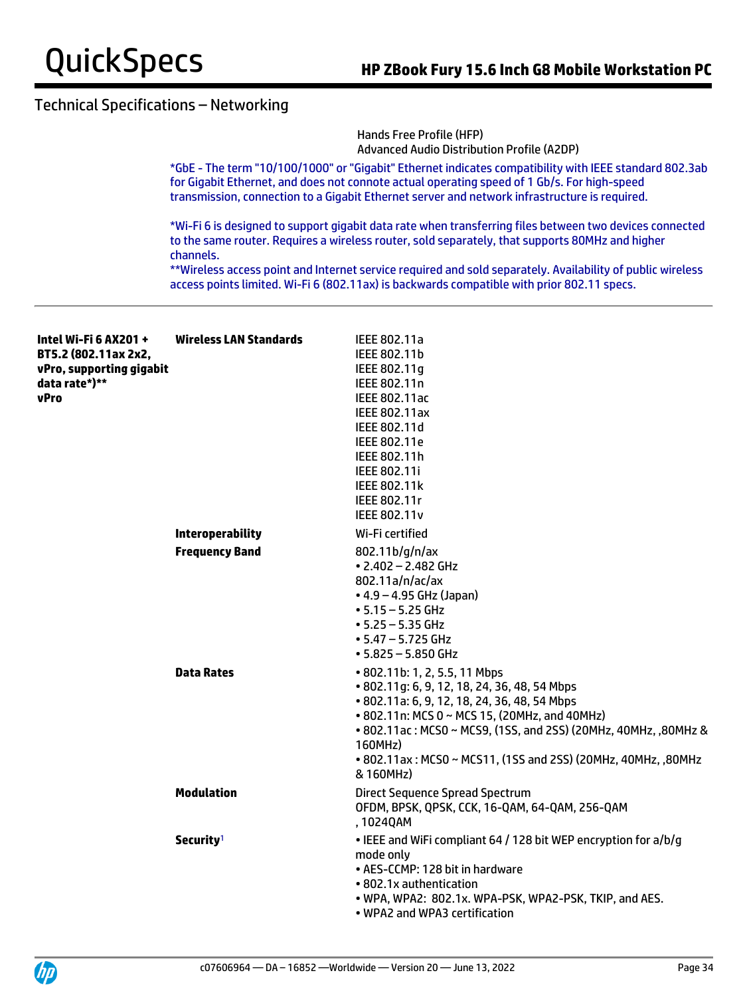

Hands Free Profile (HFP) Advanced Audio Distribution Profile (A2DP)

\*GbE - The term "10/100/1000" or "Gigabit" Ethernet indicates compatibility with IEEE standard 802.3ab for Gigabit Ethernet, and does not connote actual operating speed of 1 Gb/s. For high-speed transmission, connection to a Gigabit Ethernet server and network infrastructure is required.

\*Wi-Fi 6 is designed to support gigabit data rate when transferring files between two devices connected to the same router. Requires a wireless router, sold separately, that supports 80MHz and higher channels.

\*\*Wireless access point and Internet service required and sold separately. Availability of public wireless access points limited. Wi-Fi 6 (802.11ax) is backwards compatible with prior 802.11 specs.

| Intel Wi-Fi 6 AX201 +<br>BT5.2 (802.11ax 2x2,<br>vPro, supporting gigabit<br>data rate*)**<br>vPro | <b>Wireless LAN Standards</b> | IEEE 802.11a<br>IEEE 802.11b<br>IEEE 802.11g<br>IEEE 802.11n<br>IEEE 802.11ac<br><b>IEEE 802.11ax</b><br>IEEE 802.11d<br>IEEE 802.11e<br>IEEE 802.11h<br>IEEE 802.11i<br><b>IEEE 802.11k</b><br>IEEE 802.11r                                                                                                                               |
|----------------------------------------------------------------------------------------------------|-------------------------------|--------------------------------------------------------------------------------------------------------------------------------------------------------------------------------------------------------------------------------------------------------------------------------------------------------------------------------------------|
|                                                                                                    |                               | <b>IEEE 802.11v</b>                                                                                                                                                                                                                                                                                                                        |
|                                                                                                    | <b>Interoperability</b>       | Wi-Fi certified                                                                                                                                                                                                                                                                                                                            |
|                                                                                                    | <b>Frequency Band</b>         | 802.11b/g/n/ax<br>$\cdot$ 2.402 - 2.482 GHz<br>802.11a/n/ac/ax<br>$\bullet$ 4.9 – 4.95 GHz (Japan)<br>$• 5.15 - 5.25$ GHz<br>$• 5.25 - 5.35$ GHz<br>$\cdot$ 5.47 – 5.725 GHz<br>$• 5.825 - 5.850$ GHz                                                                                                                                      |
|                                                                                                    | <b>Data Rates</b>             | • 802.11b: 1, 2, 5.5, 11 Mbps<br>• 802.11g: 6, 9, 12, 18, 24, 36, 48, 54 Mbps<br>• 802.11a: 6, 9, 12, 18, 24, 36, 48, 54 Mbps<br>• 802.11n: MCS 0 ~ MCS 15, (20MHz, and 40MHz)<br>• 802.11ac: MCS0 ~ MCS9, (1SS, and 2SS) (20MHz, 40MHz, ,80MHz &<br>160MHz)<br>• 802.11ax: MCS0 ~ MCS11, (1SS and 2SS) (20MHz, 40MHz, ,80MHz<br>& 160MHz) |
|                                                                                                    | <b>Modulation</b>             | Direct Sequence Spread Spectrum<br>OFDM, BPSK, QPSK, CCK, 16-QAM, 64-QAM, 256-QAM<br>, 1024QAM                                                                                                                                                                                                                                             |
|                                                                                                    | Security <sup>1</sup>         | . IEEE and WiFi compliant 64 / 128 bit WEP encryption for a/b/g<br>mode only<br>• AES-CCMP: 128 bit in hardware<br>• 802.1x authentication<br>. WPA, WPA2: 802.1x. WPA-PSK, WPA2-PSK, TKIP, and AES.<br>• WPA2 and WPA3 certification                                                                                                      |

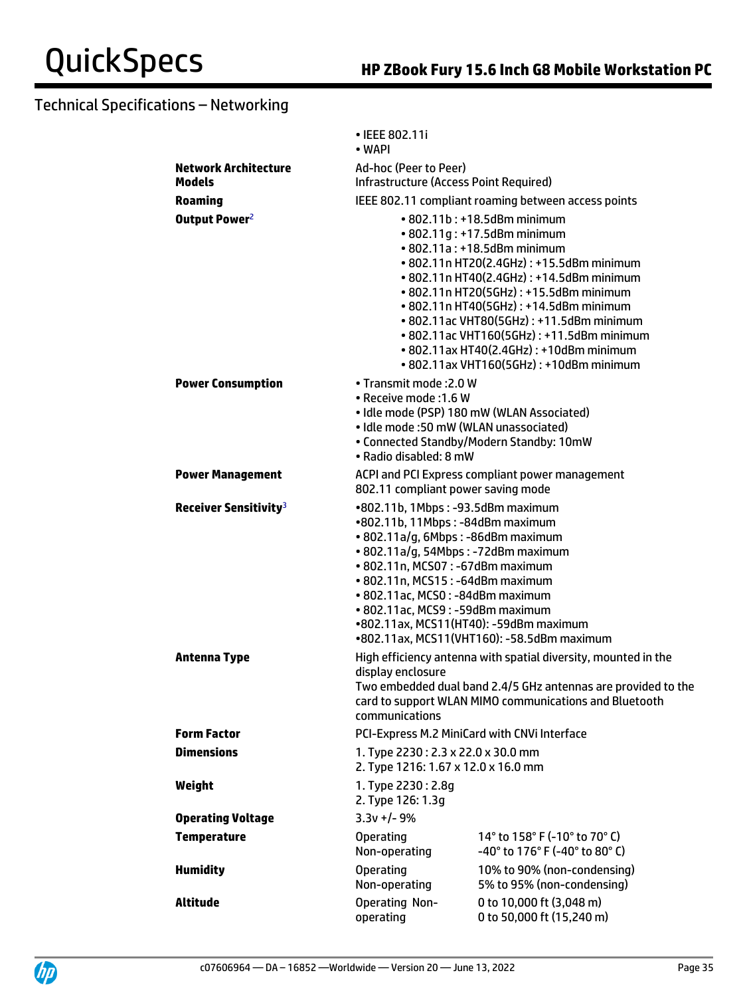|                                                                | • IEEE 802.11i<br>$\bullet$ WAPI                                                                                                                                                                                                                                                                                                             |                                                                                                                                                                                                                                                                                                                                                                                                                                                      |
|----------------------------------------------------------------|----------------------------------------------------------------------------------------------------------------------------------------------------------------------------------------------------------------------------------------------------------------------------------------------------------------------------------------------|------------------------------------------------------------------------------------------------------------------------------------------------------------------------------------------------------------------------------------------------------------------------------------------------------------------------------------------------------------------------------------------------------------------------------------------------------|
| <b>Network Architecture</b><br><b>Models</b><br><b>Roaming</b> | Ad-hoc (Peer to Peer)<br>Infrastructure (Access Point Required)<br>IEEE 802.11 compliant roaming between access points                                                                                                                                                                                                                       |                                                                                                                                                                                                                                                                                                                                                                                                                                                      |
| Output Power <sup>2</sup>                                      |                                                                                                                                                                                                                                                                                                                                              | • 802.11b: +18.5dBm minimum<br>• 802.11g: +17.5dBm minimum<br>• 802.11a: +18.5dBm minimum<br>• 802.11n HT20(2.4GHz): +15.5dBm minimum<br>• 802.11n HT40(2.4GHz): +14.5dBm minimum<br>• 802.11n HT20(5GHz): +15.5dBm minimum<br>• 802.11n HT40(5GHz): +14.5dBm minimum<br>• 802.11ac VHT80(5GHz): +11.5dBm minimum<br>• 802.11ac VHT160(5GHz): +11.5dBm minimum<br>• 802.11ax HT40(2.4GHz): +10dBm minimum<br>• 802.11ax VHT160(5GHz): +10dBm minimum |
| <b>Power Consumption</b>                                       | • Transmit mode : 2.0 W<br>• Receive mode : 1.6 W<br>· Idle mode (PSP) 180 mW (WLAN Associated)<br>• Idle mode :50 mW (WLAN unassociated)<br>• Radio disabled: 8 mW                                                                                                                                                                          | • Connected Standby/Modern Standby: 10mW                                                                                                                                                                                                                                                                                                                                                                                                             |
| <b>Power Management</b>                                        | ACPI and PCI Express compliant power management<br>802.11 compliant power saving mode                                                                                                                                                                                                                                                        |                                                                                                                                                                                                                                                                                                                                                                                                                                                      |
| Receiver Sensitivity <sup>3</sup>                              | •802.11b, 1Mbps: -93.5dBm maximum<br>•802.11b, 11Mbps: -84dBm maximum<br>· 802.11a/g, 6Mbps: -86dBm maximum<br>• 802.11a/g, 54Mbps: -72dBm maximum<br>• 802.11n, MCS07: -67dBm maximum<br>• 802.11n, MCS15: -64dBm maximum<br>· 802.11ac, MCS0: -84dBm maximum<br>• 802.11ac, MCS9: -59dBm maximum<br>•802.11ax, MCS11(HT40): -59dBm maximum | •802.11ax, MCS11(VHT160): -58.5dBm maximum                                                                                                                                                                                                                                                                                                                                                                                                           |
| <b>Antenna Type</b>                                            | High efficiency antenna with spatial diversity, mounted in the<br>display enclosure<br>Two embedded dual band 2.4/5 GHz antennas are provided to the<br>card to support WLAN MIMO communications and Bluetooth<br>communications                                                                                                             |                                                                                                                                                                                                                                                                                                                                                                                                                                                      |
| <b>Form Factor</b>                                             | PCI-Express M.2 MiniCard with CNVi Interface                                                                                                                                                                                                                                                                                                 |                                                                                                                                                                                                                                                                                                                                                                                                                                                      |
| <b>Dimensions</b>                                              | 1. Type 2230: 2.3 x 22.0 x 30.0 mm<br>2. Type 1216: 1.67 x 12.0 x 16.0 mm                                                                                                                                                                                                                                                                    |                                                                                                                                                                                                                                                                                                                                                                                                                                                      |
| Weight                                                         | 1. Type 2230: 2.8q<br>2. Type 126: 1.3g                                                                                                                                                                                                                                                                                                      |                                                                                                                                                                                                                                                                                                                                                                                                                                                      |
| <b>Operating Voltage</b>                                       | $3.3v +/- 9%$                                                                                                                                                                                                                                                                                                                                |                                                                                                                                                                                                                                                                                                                                                                                                                                                      |
| <b>Temperature</b>                                             | <b>Operating</b><br>Non-operating                                                                                                                                                                                                                                                                                                            | 14° to 158° F (-10° to 70° C)<br>-40° to 176° F (-40° to 80° C)                                                                                                                                                                                                                                                                                                                                                                                      |
| <b>Humidity</b>                                                | <b>Operating</b><br>Non-operating                                                                                                                                                                                                                                                                                                            | 10% to 90% (non-condensing)<br>5% to 95% (non-condensing)                                                                                                                                                                                                                                                                                                                                                                                            |
| <b>Altitude</b>                                                | Operating Non-<br>operating                                                                                                                                                                                                                                                                                                                  | 0 to 10,000 ft (3,048 m)<br>0 to 50,000 ft (15,240 m)                                                                                                                                                                                                                                                                                                                                                                                                |

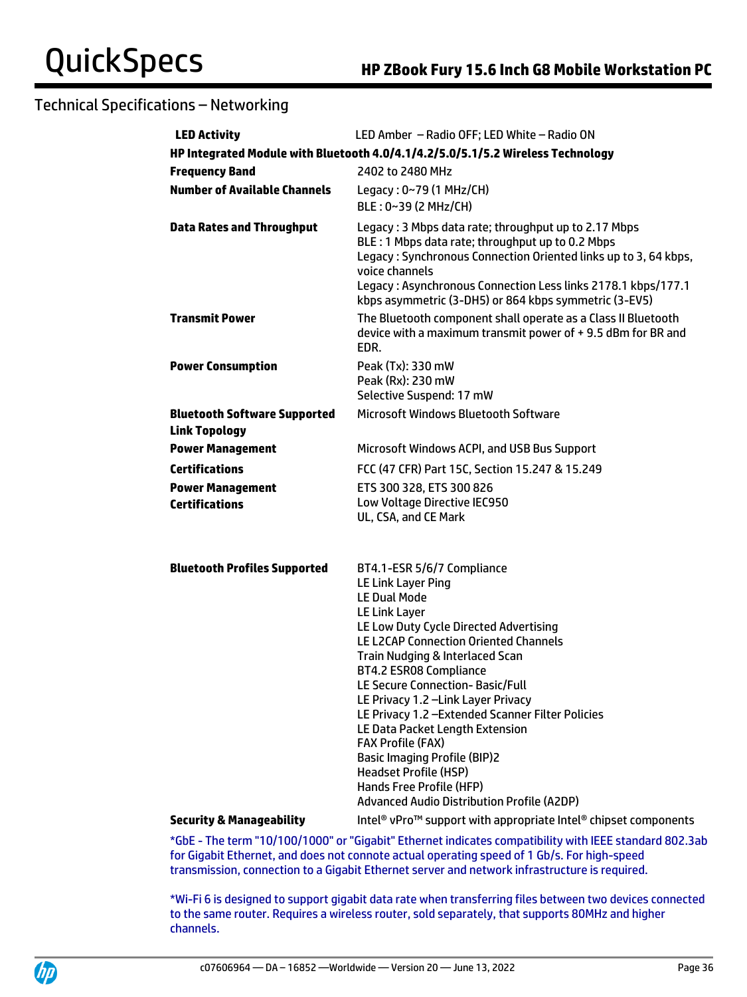| <b>LED Activity</b>                                         | LED Amber - Radio OFF; LED White - Radio ON                                                                                                                                                                                                                                                                                                                                                                                                                                                                                                                                                           |
|-------------------------------------------------------------|-------------------------------------------------------------------------------------------------------------------------------------------------------------------------------------------------------------------------------------------------------------------------------------------------------------------------------------------------------------------------------------------------------------------------------------------------------------------------------------------------------------------------------------------------------------------------------------------------------|
|                                                             | HP Integrated Module with Bluetooth 4.0/4.1/4.2/5.0/5.1/5.2 Wireless Technology                                                                                                                                                                                                                                                                                                                                                                                                                                                                                                                       |
| <b>Frequency Band</b>                                       | 2402 to 2480 MHz                                                                                                                                                                                                                                                                                                                                                                                                                                                                                                                                                                                      |
| <b>Number of Available Channels</b>                         | Legacy: 0~79 (1 MHz/CH)<br>BLE: 0~39 (2 MHz/CH)                                                                                                                                                                                                                                                                                                                                                                                                                                                                                                                                                       |
| <b>Data Rates and Throughput</b>                            | Legacy: 3 Mbps data rate; throughput up to 2.17 Mbps<br>BLE : 1 Mbps data rate; throughput up to 0.2 Mbps<br>Legacy: Synchronous Connection Oriented links up to 3, 64 kbps,<br>voice channels<br>Legacy: Asynchronous Connection Less links 2178.1 kbps/177.1<br>kbps asymmetric (3-DH5) or 864 kbps symmetric (3-EV5)                                                                                                                                                                                                                                                                               |
| <b>Transmit Power</b>                                       | The Bluetooth component shall operate as a Class II Bluetooth<br>device with a maximum transmit power of +9.5 dBm for BR and<br>EDR.                                                                                                                                                                                                                                                                                                                                                                                                                                                                  |
| <b>Power Consumption</b>                                    | Peak (Tx): 330 mW<br>Peak (Rx): 230 mW<br>Selective Suspend: 17 mW                                                                                                                                                                                                                                                                                                                                                                                                                                                                                                                                    |
| <b>Bluetooth Software Supported</b><br><b>Link Topology</b> | Microsoft Windows Bluetooth Software                                                                                                                                                                                                                                                                                                                                                                                                                                                                                                                                                                  |
| <b>Power Management</b>                                     | Microsoft Windows ACPI, and USB Bus Support                                                                                                                                                                                                                                                                                                                                                                                                                                                                                                                                                           |
| <b>Certifications</b>                                       | FCC (47 CFR) Part 15C, Section 15.247 & 15.249                                                                                                                                                                                                                                                                                                                                                                                                                                                                                                                                                        |
| <b>Power Management</b><br><b>Certifications</b>            | ETS 300 328, ETS 300 826<br>Low Voltage Directive IEC950<br>UL, CSA, and CE Mark                                                                                                                                                                                                                                                                                                                                                                                                                                                                                                                      |
| <b>Bluetooth Profiles Supported</b>                         | BT4.1-ESR 5/6/7 Compliance<br>LE Link Layer Ping<br><b>LE Dual Mode</b><br>LE Link Layer<br>LE Low Duty Cycle Directed Advertising<br>LE L2CAP Connection Oriented Channels<br>Train Nudging & Interlaced Scan<br><b>BT4.2 ESR08 Compliance</b><br>LE Secure Connection-Basic/Full<br>LE Privacy 1.2 - Link Layer Privacy<br>LE Privacy 1.2 - Extended Scanner Filter Policies<br>LE Data Packet Length Extension<br><b>FAX Profile (FAX)</b><br><b>Basic Imaging Profile (BIP)2</b><br><b>Headset Profile (HSP)</b><br>Hands Free Profile (HFP)<br><b>Advanced Audio Distribution Profile (A2DP)</b> |
| <b>Security &amp; Manageability</b>                         | Intel <sup>®</sup> vPro <sup>™</sup> support with appropriate Intel® chipset components                                                                                                                                                                                                                                                                                                                                                                                                                                                                                                               |
|                                                             | *ChE The term "10/100/1000" ex "Cigabit" Ethernet indicates compatibility with IEEE standard 002.3                                                                                                                                                                                                                                                                                                                                                                                                                                                                                                    |

\*GbE - The term "10/100/1000" or "Gigabit" Ethernet indicates compatibility with IEEE standard 802.3ab for Gigabit Ethernet, and does not connote actual operating speed of 1 Gb/s. For high-speed transmission, connection to a Gigabit Ethernet server and network infrastructure is required.

\*Wi-Fi 6 is designed to support gigabit data rate when transferring files between two devices connected to the same router. Requires a wireless router, sold separately, that supports 80MHz and higher channels.

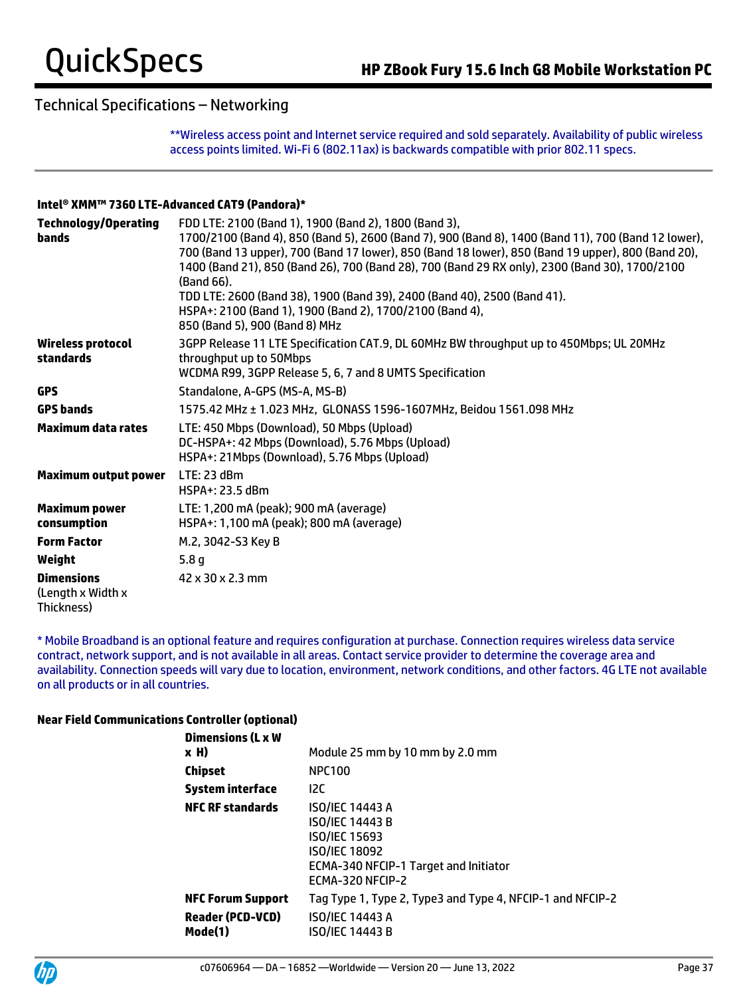\*\*Wireless access point and Internet service required and sold separately. Availability of public wireless access points limited. Wi-Fi 6 (802.11ax) is backwards compatible with prior 802.11 specs.

#### **Intel® XMM™ 7360 LTE-Advanced CAT9 (Pandora)\***

| <b>Technology/Operating</b><br>bands                 | FDD LTE: 2100 (Band 1), 1900 (Band 2), 1800 (Band 3),<br>1700/2100 (Band 4), 850 (Band 5), 2600 (Band 7), 900 (Band 8), 1400 (Band 11), 700 (Band 12 lower),<br>700 (Band 13 upper), 700 (Band 17 lower), 850 (Band 18 lower), 850 (Band 19 upper), 800 (Band 20),<br>1400 (Band 21), 850 (Band 26), 700 (Band 28), 700 (Band 29 RX only), 2300 (Band 30), 1700/2100<br>(Band 66).<br>TDD LTE: 2600 (Band 38), 1900 (Band 39), 2400 (Band 40), 2500 (Band 41).<br>HSPA+: 2100 (Band 1), 1900 (Band 2), 1700/2100 (Band 4), |
|------------------------------------------------------|----------------------------------------------------------------------------------------------------------------------------------------------------------------------------------------------------------------------------------------------------------------------------------------------------------------------------------------------------------------------------------------------------------------------------------------------------------------------------------------------------------------------------|
|                                                      | 850 (Band 5), 900 (Band 8) MHz                                                                                                                                                                                                                                                                                                                                                                                                                                                                                             |
| Wireless protocol<br>standards                       | 3GPP Release 11 LTE Specification CAT.9, DL 60MHz BW throughput up to 450Mbps; UL 20MHz<br>throughput up to 50Mbps<br>WCDMA R99, 3GPP Release 5, 6, 7 and 8 UMTS Specification                                                                                                                                                                                                                                                                                                                                             |
| <b>GPS</b>                                           | Standalone, A-GPS (MS-A, MS-B)                                                                                                                                                                                                                                                                                                                                                                                                                                                                                             |
| <b>GPS bands</b>                                     | 1575.42 MHz ± 1.023 MHz, GLONASS 1596-1607MHz, Beidou 1561.098 MHz                                                                                                                                                                                                                                                                                                                                                                                                                                                         |
| Maximum data rates                                   | LTE: 450 Mbps (Download), 50 Mbps (Upload)<br>DC-HSPA+: 42 Mbps (Download), 5.76 Mbps (Upload)<br>HSPA+: 21Mbps (Download), 5.76 Mbps (Upload)                                                                                                                                                                                                                                                                                                                                                                             |
| <b>Maximum output power</b>                          | LTE: 23 dBm<br>HSPA+: 23.5 dBm                                                                                                                                                                                                                                                                                                                                                                                                                                                                                             |
| <b>Maximum power</b><br>consumption                  | LTE: 1,200 mA (peak); 900 mA (average)<br>HSPA+: 1,100 mA (peak); 800 mA (average)                                                                                                                                                                                                                                                                                                                                                                                                                                         |
| <b>Form Factor</b>                                   | M.2, 3042-S3 Key B                                                                                                                                                                                                                                                                                                                                                                                                                                                                                                         |
| Weight                                               | 5.8 <sub>g</sub>                                                                                                                                                                                                                                                                                                                                                                                                                                                                                                           |
| <b>Dimensions</b><br>(Length x Width x<br>Thickness) | 42 x 30 x 2.3 mm                                                                                                                                                                                                                                                                                                                                                                                                                                                                                                           |

\* Mobile Broadband is an optional feature and requires configuration at purchase. Connection requires wireless data service contract, network support, and is not available in all areas. Contact service provider to determine the coverage area and availability. Connection speeds will vary due to location, environment, network conditions, and other factors. 4G LTE not available on all products or in all countries.

#### **Near Field Communications Controller (optional)**

| <b>Dimensions (L x W</b><br>x H)                               | Module 25 mm by 10 mm by 2.0 mm                                                                                                                               |
|----------------------------------------------------------------|---------------------------------------------------------------------------------------------------------------------------------------------------------------|
| Chipset                                                        | <b>NPC100</b>                                                                                                                                                 |
| <b>System interface</b>                                        | 12C                                                                                                                                                           |
| <b>NFC RF standards</b>                                        | <b>ISO/IEC 14443 A</b><br><b>ISO/IEC 14443 B</b><br><b>ISO/IEC 15693</b><br><b>ISO/IEC 18092</b><br>ECMA-340 NFCIP-1 Target and Initiator<br>ECMA-320 NFCIP-2 |
| <b>NFC Forum Support</b><br><b>Reader (PCD-VCD)</b><br>Mode(1) | Tag Type 1, Type 2, Type3 and Type 4, NFCIP-1 and NFCIP-2<br><b>ISO/IEC 14443 A</b><br>ISO/IEC 14443 B                                                        |

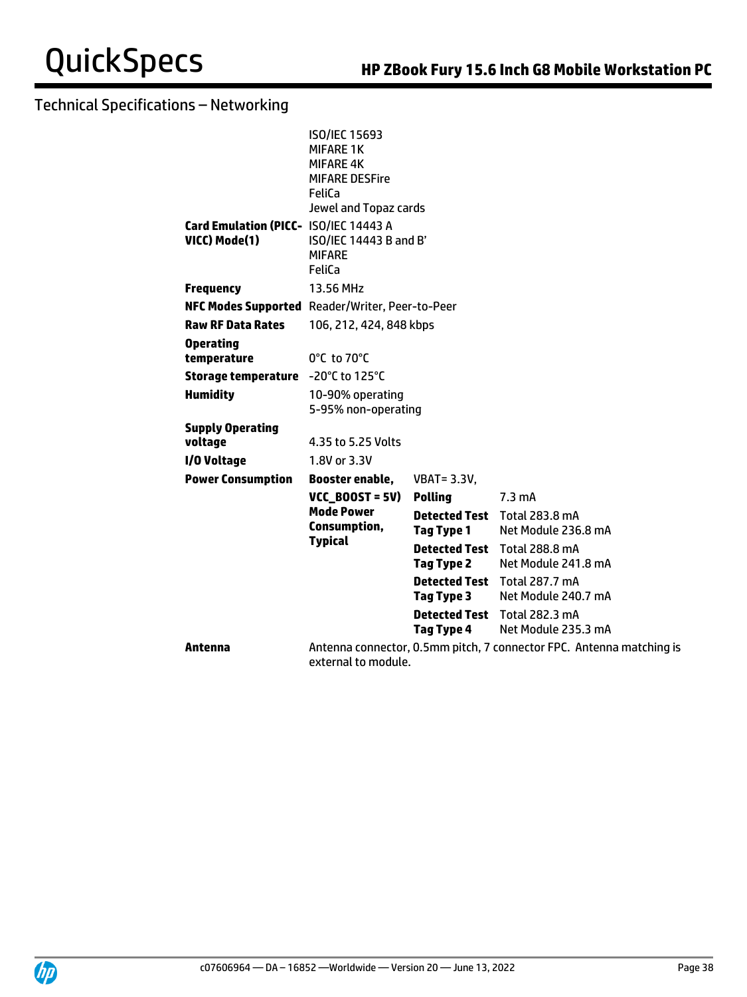|                                                        | <b>ISO/IEC 15693</b><br><b>MIFARE 1K</b><br><b>MIFARE 4K</b><br><b>MIFARE DESFire</b><br>FeliCa<br>Jewel and Topaz cards |                                           |                                                                      |
|--------------------------------------------------------|--------------------------------------------------------------------------------------------------------------------------|-------------------------------------------|----------------------------------------------------------------------|
| Card Emulation (PICC- ISO/IEC 14443 A<br>VICC) Mode(1) | ISO/IEC 14443 B and B'<br><b>MIFARE</b><br>FeliCa                                                                        |                                           |                                                                      |
| <b>Frequency</b>                                       | 13.56 MHz                                                                                                                |                                           |                                                                      |
| NFC Modes Supported Reader/Writer, Peer-to-Peer        |                                                                                                                          |                                           |                                                                      |
| <b>Raw RF Data Rates</b>                               | 106, 212, 424, 848 kbps                                                                                                  |                                           |                                                                      |
| <b>Operating</b><br>temperature                        | 0°C to 70°C                                                                                                              |                                           |                                                                      |
| Storage temperature -20°C to 125°C                     |                                                                                                                          |                                           |                                                                      |
| <b>Humidity</b>                                        | 10-90% operating<br>5-95% non-operating                                                                                  |                                           |                                                                      |
| <b>Supply Operating</b>                                |                                                                                                                          |                                           |                                                                      |
| voltage                                                | 4.35 to 5.25 Volts                                                                                                       |                                           |                                                                      |
| I/O Voltage                                            | 1.8V or 3.3V                                                                                                             |                                           |                                                                      |
| <b>Power Consumption</b>                               | Booster enable,                                                                                                          | <b>VBAT = 3.3V.</b>                       |                                                                      |
|                                                        | $VCC_B00ST = 5V$                                                                                                         | <b>Polling</b>                            | $7.3 \text{ mA}$                                                     |
|                                                        | <b>Mode Power</b><br>Consumption,                                                                                        | <b>Detected Test</b><br><b>Tag Type 1</b> | Total 283.8 mA<br>Net Module 236.8 mA                                |
|                                                        | <b>Typical</b>                                                                                                           | <b>Detected Test</b><br>Tag Type 2        | <b>Total 288.8 mA</b><br>Net Module 241.8 mA                         |
|                                                        |                                                                                                                          | <b>Detected Test</b><br>Tag Type 3        | Total 287.7 mA<br>Net Module 240.7 mA                                |
|                                                        |                                                                                                                          | <b>Detected Test</b><br>Tag Type 4        | <b>Total 282.3 mA</b><br>Net Module 235.3 mA                         |
| Antenna                                                | external to module.                                                                                                      |                                           | Antenna connector, 0.5mm pitch, 7 connector FPC. Antenna matching is |

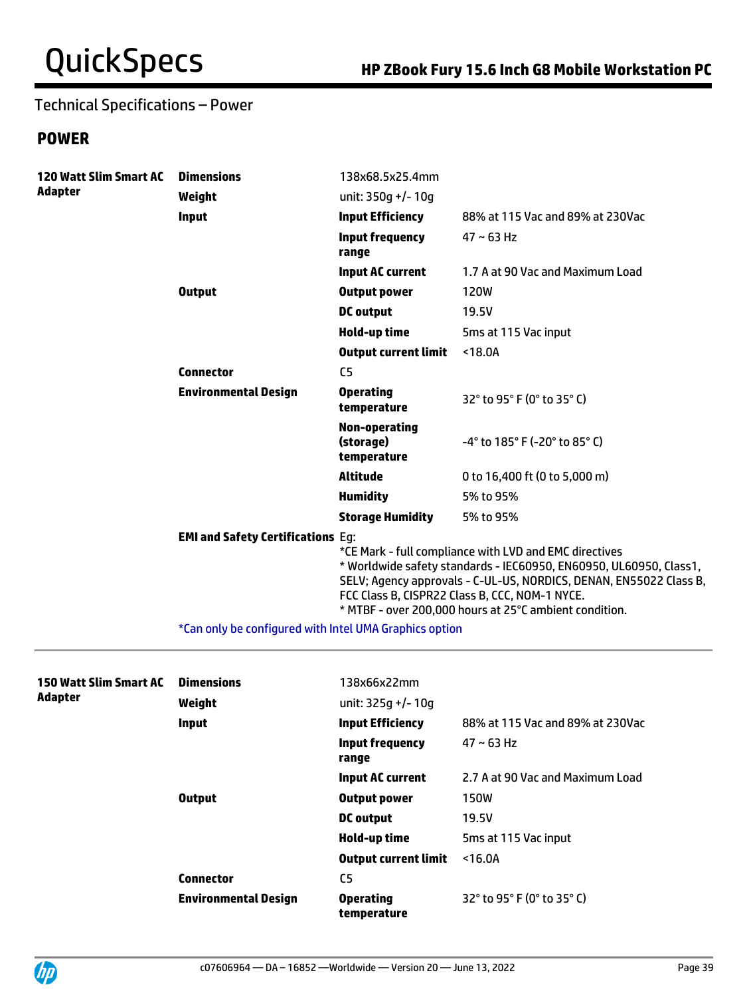## Technical Specifications – Power

## **POWER**

| <b>120 Watt Slim Smart AC</b> | <b>Dimensions</b>                        | 138x68.5x25.4mm                           |                                                                                                                                                                                                                                                                                                                |
|-------------------------------|------------------------------------------|-------------------------------------------|----------------------------------------------------------------------------------------------------------------------------------------------------------------------------------------------------------------------------------------------------------------------------------------------------------------|
| <b>Adapter</b>                | Weight                                   | unit: $350q$ +/- 10q                      |                                                                                                                                                                                                                                                                                                                |
|                               | Input                                    | <b>Input Efficiency</b>                   | 88% at 115 Vac and 89% at 230Vac                                                                                                                                                                                                                                                                               |
|                               |                                          | <b>Input frequency</b><br>range           | $47 \sim 63$ Hz                                                                                                                                                                                                                                                                                                |
|                               |                                          | <b>Input AC current</b>                   | 1.7 A at 90 Vac and Maximum Load                                                                                                                                                                                                                                                                               |
|                               | <b>Output</b>                            | <b>Output power</b>                       | <b>120W</b>                                                                                                                                                                                                                                                                                                    |
|                               |                                          | <b>DC</b> output                          | 19.5V                                                                                                                                                                                                                                                                                                          |
|                               |                                          | Hold-up time                              | 5ms at 115 Vac input                                                                                                                                                                                                                                                                                           |
|                               |                                          | <b>Output current limit</b>               | < 18.0A                                                                                                                                                                                                                                                                                                        |
|                               | <b>Connector</b>                         | C <sub>5</sub>                            |                                                                                                                                                                                                                                                                                                                |
|                               | <b>Environmental Design</b>              | <b>Operating</b><br>temperature           | 32° to 95° F (0° to 35° C)                                                                                                                                                                                                                                                                                     |
|                               |                                          | Non-operating<br>(storage)<br>temperature | $-4^{\circ}$ to 185 $^{\circ}$ F (-20 $^{\circ}$ to 85 $^{\circ}$ C)                                                                                                                                                                                                                                           |
|                               |                                          | <b>Altitude</b>                           | 0 to 16,400 ft (0 to 5,000 m)                                                                                                                                                                                                                                                                                  |
|                               |                                          | <b>Humidity</b>                           | 5% to 95%                                                                                                                                                                                                                                                                                                      |
|                               |                                          | <b>Storage Humidity</b>                   | 5% to 95%                                                                                                                                                                                                                                                                                                      |
|                               | <b>EMI and Safety Certifications Eq:</b> |                                           | *CE Mark - full compliance with LVD and EMC directives<br>* Worldwide safety standards - IEC60950, EN60950, UL60950, Class1,<br>SELV; Agency approvals - C-UL-US, NORDICS, DENAN, EN55022 Class B,<br>FCC Class B, CISPR22 Class B, CCC, NOM-1 NYCE.<br>* MTBF - over 200,000 hours at 25°C ambient condition. |

\*Can only be configured with Intel UMA Graphics option

| 150 Watt Slim Smart AC<br><b>Adapter</b> | <b>Dimensions</b><br>Weight | 138x66x22mm<br>unit: $325q$ +/- 10q |                                                                   |  |
|------------------------------------------|-----------------------------|-------------------------------------|-------------------------------------------------------------------|--|
|                                          | <b>Input</b>                | <b>Input Efficiency</b>             | 88% at 115 Vac and 89% at 230Vac                                  |  |
|                                          |                             | Input frequency<br>range            | $47 \sim 63$ Hz                                                   |  |
|                                          |                             | <b>Input AC current</b>             | 2.7 A at 90 Vac and Maximum Load                                  |  |
|                                          | <b>Output</b>               | <b>Output power</b>                 | <b>150W</b>                                                       |  |
|                                          |                             | <b>DC</b> output                    | 19.5V                                                             |  |
|                                          |                             | Hold-up time                        | 5ms at 115 Vac input                                              |  |
|                                          |                             | <b>Output current limit</b>         | < 16.0A                                                           |  |
|                                          | <b>Connector</b>            | C <sub>5</sub>                      |                                                                   |  |
|                                          | <b>Environmental Design</b> | <b>Operating</b><br>temperature     | $32^{\circ}$ to 95 $^{\circ}$ F (0 $^{\circ}$ to 35 $^{\circ}$ C) |  |

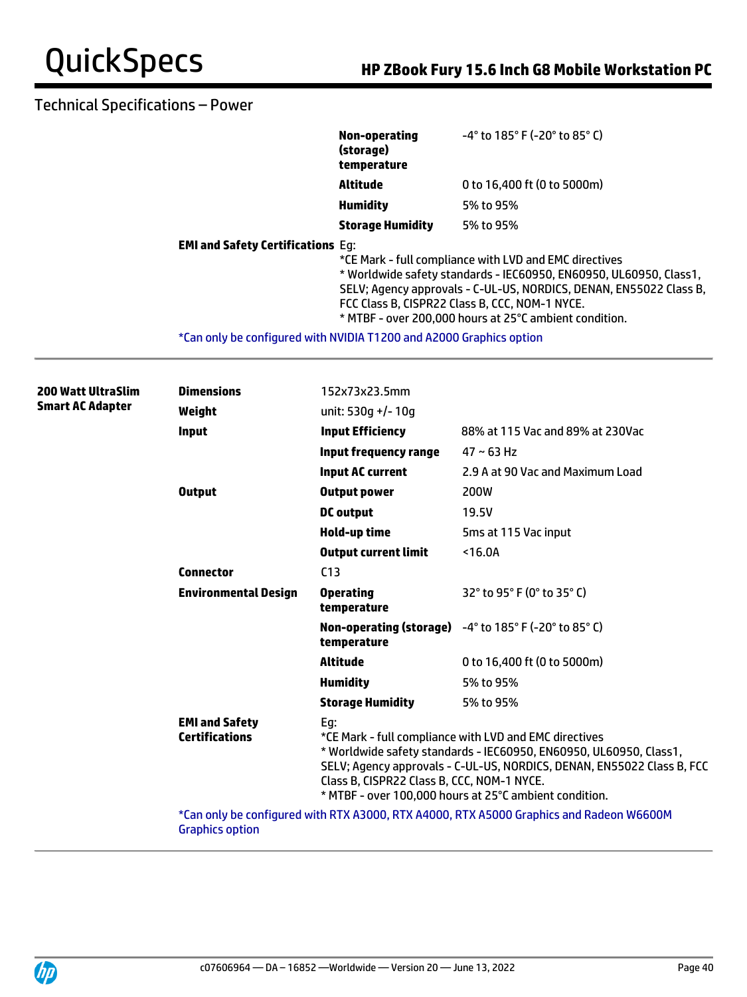## Technical Specifications – Power

|                                                                     | Non-operating<br>(storage)<br>temperature | $-4^{\circ}$ to 185 $^{\circ}$ F (-20 $^{\circ}$ to 85 $^{\circ}$ C)                                                                                                                                                                                                                                           |
|---------------------------------------------------------------------|-------------------------------------------|----------------------------------------------------------------------------------------------------------------------------------------------------------------------------------------------------------------------------------------------------------------------------------------------------------------|
|                                                                     | Altitude                                  | 0 to 16,400 ft (0 to 5000m)                                                                                                                                                                                                                                                                                    |
|                                                                     | <b>Humidity</b>                           | 5% to 95%                                                                                                                                                                                                                                                                                                      |
|                                                                     | <b>Storage Humidity</b>                   | 5% to 95%                                                                                                                                                                                                                                                                                                      |
| <b>EMI and Safety Certifications Eq:</b>                            |                                           | *CE Mark - full compliance with LVD and EMC directives<br>* Worldwide safety standards - IEC60950, EN60950, UL60950, Class1,<br>SELV; Agency approvals - C-UL-US, NORDICS, DENAN, EN55022 Class B,<br>FCC Class B, CISPR22 Class B, CCC, NOM-1 NYCE.<br>* MTBF - over 200,000 hours at 25°C ambient condition. |
| *Can only be configured with NVIDIA T1200 and A2000 Graphics option |                                           |                                                                                                                                                                                                                                                                                                                |

|  | <b>200 Watt UltraSlim</b> | <b>Dimensions</b>                                                                       | 152x73x23.5mm                                     |                                                                                                                                                                                                                                                                  |  |
|--|---------------------------|-----------------------------------------------------------------------------------------|---------------------------------------------------|------------------------------------------------------------------------------------------------------------------------------------------------------------------------------------------------------------------------------------------------------------------|--|
|  | <b>Smart AC Adapter</b>   | Weight                                                                                  | unit: 530 $q$ +/- 10 $q$                          |                                                                                                                                                                                                                                                                  |  |
|  |                           | Input                                                                                   | <b>Input Efficiency</b>                           | 88% at 115 Vac and 89% at 230Vac                                                                                                                                                                                                                                 |  |
|  |                           |                                                                                         | Input frequency range                             | $47 \sim 63$ Hz                                                                                                                                                                                                                                                  |  |
|  |                           |                                                                                         | <b>Input AC current</b>                           | 2.9 A at 90 Vac and Maximum Load                                                                                                                                                                                                                                 |  |
|  |                           | <b>Output</b>                                                                           | <b>Output power</b>                               | 200W                                                                                                                                                                                                                                                             |  |
|  |                           |                                                                                         | DC output                                         | 19.5V                                                                                                                                                                                                                                                            |  |
|  |                           |                                                                                         | Hold-up time                                      | 5ms at 115 Vac input                                                                                                                                                                                                                                             |  |
|  |                           |                                                                                         | <b>Output current limit</b>                       | < 16.0A                                                                                                                                                                                                                                                          |  |
|  |                           | <b>Connector</b>                                                                        | C <sub>13</sub>                                   |                                                                                                                                                                                                                                                                  |  |
|  |                           | <b>Environmental Design</b>                                                             | <b>Operating</b><br>temperature                   | 32° to 95° F (0° to 35° C)                                                                                                                                                                                                                                       |  |
|  |                           |                                                                                         | temperature                                       | Non-operating (storage) -4° to 185° F (-20° to 85° C)                                                                                                                                                                                                            |  |
|  |                           |                                                                                         | <b>Altitude</b>                                   | 0 to 16,400 ft (0 to 5000m)                                                                                                                                                                                                                                      |  |
|  |                           |                                                                                         | <b>Humidity</b>                                   | 5% to 95%                                                                                                                                                                                                                                                        |  |
|  |                           |                                                                                         | <b>Storage Humidity</b>                           | 5% to 95%                                                                                                                                                                                                                                                        |  |
|  |                           | <b>EMI and Safety</b><br><b>Certifications</b>                                          | Eg:<br>Class B, CISPR22 Class B, CCC, NOM-1 NYCE. | *CE Mark - full compliance with LVD and EMC directives<br>* Worldwide safety standards - IEC60950, EN60950, UL60950, Class1,<br>SELV; Agency approvals - C-UL-US, NORDICS, DENAN, EN55022 Class B, FCC<br>* MTBF - over 100,000 hours at 25°C ambient condition. |  |
|  |                           | *Can only be configured with RTX A3000, RTX A4000, RTX A5000 Graphics and Radeon W6600M |                                                   |                                                                                                                                                                                                                                                                  |  |

Graphics option

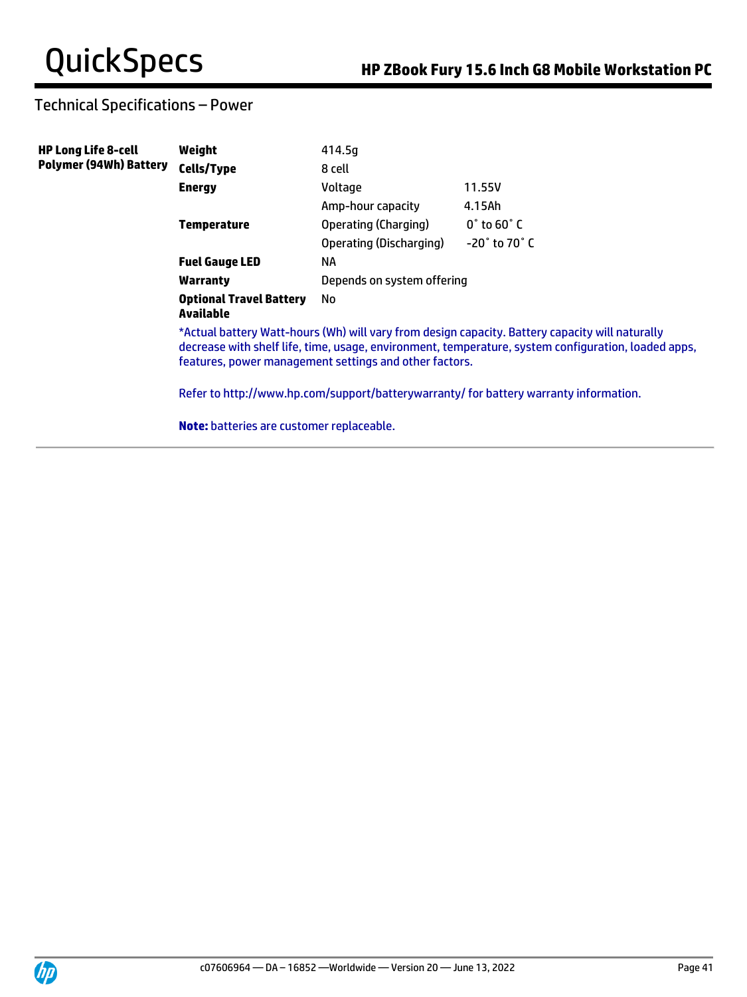# Technical Specifications – Power

| <b>HP Long Life 8-cell</b>    | Weight                                           | 414.5g                                                 |                                                                                                                                                                                                                                                                                                 |
|-------------------------------|--------------------------------------------------|--------------------------------------------------------|-------------------------------------------------------------------------------------------------------------------------------------------------------------------------------------------------------------------------------------------------------------------------------------------------|
| <b>Polymer (94Wh) Battery</b> | Cells/Type                                       | 8 cell                                                 |                                                                                                                                                                                                                                                                                                 |
|                               | <b>Energy</b>                                    | Voltage                                                | 11.55V                                                                                                                                                                                                                                                                                          |
|                               |                                                  | Amp-hour capacity                                      | 4.15Ah                                                                                                                                                                                                                                                                                          |
|                               | <b>Temperature</b>                               | Operating (Charging)                                   | $0^\circ$ to 60 $^\circ$ C                                                                                                                                                                                                                                                                      |
|                               |                                                  | Operating (Discharging)                                | $-20^\circ$ to 70 $^\circ$ C                                                                                                                                                                                                                                                                    |
|                               | <b>Fuel Gauge LED</b>                            | <b>NA</b>                                              |                                                                                                                                                                                                                                                                                                 |
|                               | Warranty                                         | Depends on system offering                             |                                                                                                                                                                                                                                                                                                 |
|                               | <b>Optional Travel Battery</b><br>Available      | No                                                     |                                                                                                                                                                                                                                                                                                 |
|                               |                                                  | features, power management settings and other factors. | *Actual battery Watt-hours (Wh) will vary from design capacity. Battery capacity will naturally<br>decrease with shelf life, time, usage, environment, temperature, system configuration, loaded apps,<br>Refer to http://www.hp.com/support/batterywarranty/ for battery warranty information. |
|                               | <b>Note:</b> batteries are customer replaceable. |                                                        |                                                                                                                                                                                                                                                                                                 |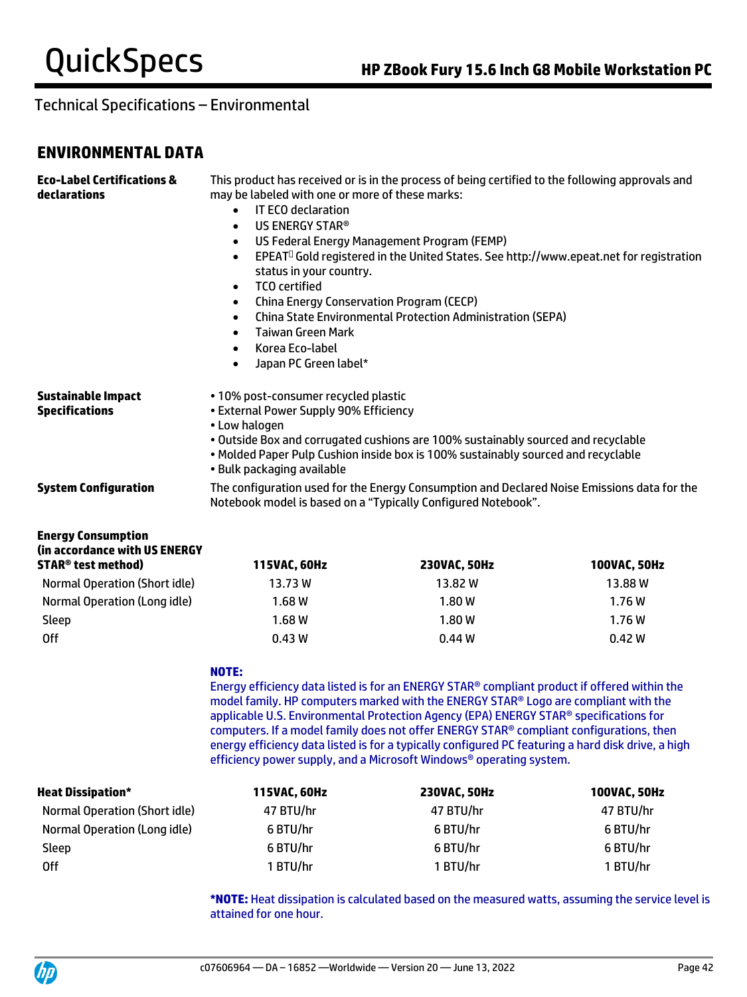# **ENVIRONMENTAL DATA**

| <b>Eco-Label Certifications &amp;</b><br>declarations                                              | This product has received or is in the process of being certified to the following approvals and<br>may be labeled with one or more of these marks:<br><b>IT ECO declaration</b><br>$\bullet$<br>US ENERGY STAR®<br>$\bullet$<br>US Federal Energy Management Program (FEMP)<br>$\bullet$<br>EPEAT <sup>O</sup> Gold registered in the United States. See http://www.epeat.net for registration<br>$\bullet$<br>status in your country.<br><b>TCO</b> certified<br>$\bullet$<br><b>China Energy Conservation Program (CECP)</b><br>$\bullet$<br><b>China State Environmental Protection Administration (SEPA)</b><br>$\bullet$<br><b>Taiwan Green Mark</b><br>$\bullet$<br>Korea Eco-label<br>$\bullet$<br>Japan PC Green label*<br>$\bullet$ |                                                                                                                                                                                                                                                                                                                                                                                                                                                                                                                                                      |              |  |
|----------------------------------------------------------------------------------------------------|-----------------------------------------------------------------------------------------------------------------------------------------------------------------------------------------------------------------------------------------------------------------------------------------------------------------------------------------------------------------------------------------------------------------------------------------------------------------------------------------------------------------------------------------------------------------------------------------------------------------------------------------------------------------------------------------------------------------------------------------------|------------------------------------------------------------------------------------------------------------------------------------------------------------------------------------------------------------------------------------------------------------------------------------------------------------------------------------------------------------------------------------------------------------------------------------------------------------------------------------------------------------------------------------------------------|--------------|--|
| <b>Sustainable Impact</b><br><b>Specifications</b>                                                 | • 10% post-consumer recycled plastic<br>• External Power Supply 90% Efficiency<br>• Low halogen<br>• Bulk packaging available                                                                                                                                                                                                                                                                                                                                                                                                                                                                                                                                                                                                                 | . Outside Box and corrugated cushions are 100% sustainably sourced and recyclable<br>. Molded Paper Pulp Cushion inside box is 100% sustainably sourced and recyclable                                                                                                                                                                                                                                                                                                                                                                               |              |  |
| <b>System Configuration</b>                                                                        | The configuration used for the Energy Consumption and Declared Noise Emissions data for the<br>Notebook model is based on a "Typically Configured Notebook".                                                                                                                                                                                                                                                                                                                                                                                                                                                                                                                                                                                  |                                                                                                                                                                                                                                                                                                                                                                                                                                                                                                                                                      |              |  |
| <b>Energy Consumption</b><br>(in accordance with US ENERGY<br><b>STAR<sup>®</sup> test method)</b> | 115VAC, 60Hz                                                                                                                                                                                                                                                                                                                                                                                                                                                                                                                                                                                                                                                                                                                                  | 230VAC, 50Hz                                                                                                                                                                                                                                                                                                                                                                                                                                                                                                                                         | 100VAC, 50Hz |  |
| <b>Normal Operation (Short idle)</b>                                                               | 13.73 W                                                                                                                                                                                                                                                                                                                                                                                                                                                                                                                                                                                                                                                                                                                                       | 13.82W                                                                                                                                                                                                                                                                                                                                                                                                                                                                                                                                               | 13.88 W      |  |
| Normal Operation (Long idle)                                                                       | 1.68W                                                                                                                                                                                                                                                                                                                                                                                                                                                                                                                                                                                                                                                                                                                                         | 1.80W                                                                                                                                                                                                                                                                                                                                                                                                                                                                                                                                                | 1.76W        |  |
| Sleep                                                                                              | 1.68W                                                                                                                                                                                                                                                                                                                                                                                                                                                                                                                                                                                                                                                                                                                                         | 1.80W                                                                                                                                                                                                                                                                                                                                                                                                                                                                                                                                                | 1.76W        |  |
| <b>Off</b>                                                                                         | 0.43W<br>0.44W<br>0.42W                                                                                                                                                                                                                                                                                                                                                                                                                                                                                                                                                                                                                                                                                                                       |                                                                                                                                                                                                                                                                                                                                                                                                                                                                                                                                                      |              |  |
|                                                                                                    | <b>NOTE:</b>                                                                                                                                                                                                                                                                                                                                                                                                                                                                                                                                                                                                                                                                                                                                  | Energy efficiency data listed is for an ENERGY STAR® compliant product if offered within the<br>model family. HP computers marked with the ENERGY STAR® Logo are compliant with the<br>applicable U.S. Environmental Protection Agency (EPA) ENERGY STAR® specifications for<br>computers. If a model family does not offer ENERGY STAR® compliant configurations, then<br>energy efficiency data listed is for a typically configured PC featuring a hard disk drive, a high<br>efficiency power supply, and a Microsoft Windows® operating system. |              |  |
| <b>Heat Dissipation*</b>                                                                           | 115VAC, 60Hz                                                                                                                                                                                                                                                                                                                                                                                                                                                                                                                                                                                                                                                                                                                                  | 230VAC, 50Hz                                                                                                                                                                                                                                                                                                                                                                                                                                                                                                                                         | 100VAC, 50Hz |  |
| <b>Normal Operation (Short idle)</b>                                                               | 47 BTU/hr                                                                                                                                                                                                                                                                                                                                                                                                                                                                                                                                                                                                                                                                                                                                     | 47 BTU/hr                                                                                                                                                                                                                                                                                                                                                                                                                                                                                                                                            | 47 BTU/hr    |  |
| Normal Operation (Long idle)                                                                       | 6 BTU/hr                                                                                                                                                                                                                                                                                                                                                                                                                                                                                                                                                                                                                                                                                                                                      | 6 BTU/hr                                                                                                                                                                                                                                                                                                                                                                                                                                                                                                                                             | 6 BTU/hr     |  |
| Sleep                                                                                              | 6 BTU/hr                                                                                                                                                                                                                                                                                                                                                                                                                                                                                                                                                                                                                                                                                                                                      | 6 BTU/hr                                                                                                                                                                                                                                                                                                                                                                                                                                                                                                                                             | 6 BTU/hr     |  |
| <b>Off</b>                                                                                         | 1 BTU/hr<br>1 BTU/hr<br>1 BTU/hr                                                                                                                                                                                                                                                                                                                                                                                                                                                                                                                                                                                                                                                                                                              |                                                                                                                                                                                                                                                                                                                                                                                                                                                                                                                                                      |              |  |

**\*NOTE:** Heat dissipation is calculated based on the measured watts, assuming the service level is attained for one hour.

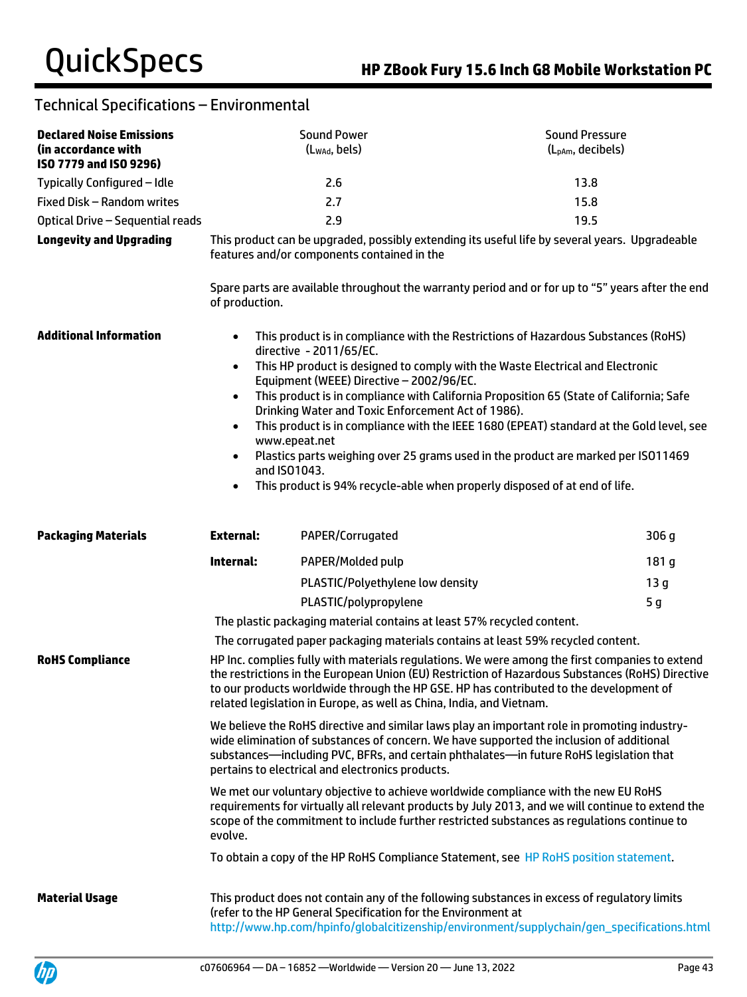| <b>Declared Noise Emissions</b><br>(in accordance with<br>ISO 7779 and ISO 9296) |                                                                                                                                               | <b>Sound Power</b><br>(Lwad, bels)                                                                                                                                                                                                                                                                                                                                   | <b>Sound Pressure</b><br>(L <sub>pAm</sub> , decibels)                                                                                                                                                                                                                                                                                                                                                                                           |  |
|----------------------------------------------------------------------------------|-----------------------------------------------------------------------------------------------------------------------------------------------|----------------------------------------------------------------------------------------------------------------------------------------------------------------------------------------------------------------------------------------------------------------------------------------------------------------------------------------------------------------------|--------------------------------------------------------------------------------------------------------------------------------------------------------------------------------------------------------------------------------------------------------------------------------------------------------------------------------------------------------------------------------------------------------------------------------------------------|--|
| Typically Configured - Idle                                                      |                                                                                                                                               | 2.6                                                                                                                                                                                                                                                                                                                                                                  | 13.8                                                                                                                                                                                                                                                                                                                                                                                                                                             |  |
| Fixed Disk - Random writes                                                       |                                                                                                                                               | 2.7                                                                                                                                                                                                                                                                                                                                                                  | 15.8                                                                                                                                                                                                                                                                                                                                                                                                                                             |  |
| Optical Drive - Sequential reads                                                 |                                                                                                                                               | 2.9                                                                                                                                                                                                                                                                                                                                                                  | 19.5                                                                                                                                                                                                                                                                                                                                                                                                                                             |  |
| <b>Longevity and Upgrading</b>                                                   | This product can be upgraded, possibly extending its useful life by several years. Upgradeable<br>features and/or components contained in the |                                                                                                                                                                                                                                                                                                                                                                      |                                                                                                                                                                                                                                                                                                                                                                                                                                                  |  |
|                                                                                  | of production.                                                                                                                                |                                                                                                                                                                                                                                                                                                                                                                      | Spare parts are available throughout the warranty period and or for up to "5" years after the end                                                                                                                                                                                                                                                                                                                                                |  |
| <b>Additional Information</b>                                                    | $\bullet$<br>$\bullet$<br>$\bullet$<br>$\bullet$<br>www.epeat.net<br>and ISO1043.                                                             | directive - 2011/65/EC.<br>Equipment (WEEE) Directive - 2002/96/EC.<br>Drinking Water and Toxic Enforcement Act of 1986).                                                                                                                                                                                                                                            | This product is in compliance with the Restrictions of Hazardous Substances (RoHS)<br>This HP product is designed to comply with the Waste Electrical and Electronic<br>This product is in compliance with California Proposition 65 (State of California; Safe<br>This product is in compliance with the IEEE 1680 (EPEAT) standard at the Gold level, see<br>Plastics parts weighing over 25 grams used in the product are marked per ISO11469 |  |
| <b>Packaging Materials</b>                                                       | $\bullet$<br><b>External:</b>                                                                                                                 | PAPER/Corrugated                                                                                                                                                                                                                                                                                                                                                     | This product is 94% recycle-able when properly disposed of at end of life.<br>306 <sub>g</sub>                                                                                                                                                                                                                                                                                                                                                   |  |
|                                                                                  |                                                                                                                                               |                                                                                                                                                                                                                                                                                                                                                                      |                                                                                                                                                                                                                                                                                                                                                                                                                                                  |  |
|                                                                                  | Internal:                                                                                                                                     | PAPER/Molded pulp                                                                                                                                                                                                                                                                                                                                                    | 181 g                                                                                                                                                                                                                                                                                                                                                                                                                                            |  |
|                                                                                  |                                                                                                                                               | PLASTIC/Polyethylene low density                                                                                                                                                                                                                                                                                                                                     | 13 <sub>g</sub>                                                                                                                                                                                                                                                                                                                                                                                                                                  |  |
|                                                                                  |                                                                                                                                               | PLASTIC/polypropylene                                                                                                                                                                                                                                                                                                                                                | 5 <sub>g</sub>                                                                                                                                                                                                                                                                                                                                                                                                                                   |  |
|                                                                                  |                                                                                                                                               | The plastic packaging material contains at least 57% recycled content.                                                                                                                                                                                                                                                                                               |                                                                                                                                                                                                                                                                                                                                                                                                                                                  |  |
|                                                                                  |                                                                                                                                               |                                                                                                                                                                                                                                                                                                                                                                      | The corrugated paper packaging materials contains at least 59% recycled content.                                                                                                                                                                                                                                                                                                                                                                 |  |
| <b>RoHS Compliance</b>                                                           |                                                                                                                                               | HP Inc. complies fully with materials regulations. We were among the first companies to extend<br>the restrictions in the European Union (EU) Restriction of Hazardous Substances (RoHS) Directive<br>to our products worldwide through the HP GSE. HP has contributed to the development of<br>related legislation in Europe, as well as China, India, and Vietnam. |                                                                                                                                                                                                                                                                                                                                                                                                                                                  |  |
|                                                                                  |                                                                                                                                               | We believe the RoHS directive and similar laws play an important role in promoting industry-<br>wide elimination of substances of concern. We have supported the inclusion of additional<br>substances-including PVC, BFRs, and certain phthalates-in future RoHS legislation that<br>pertains to electrical and electronics products.                               |                                                                                                                                                                                                                                                                                                                                                                                                                                                  |  |
|                                                                                  | evolve.                                                                                                                                       | We met our voluntary objective to achieve worldwide compliance with the new EU RoHS<br>requirements for virtually all relevant products by July 2013, and we will continue to extend the<br>scope of the commitment to include further restricted substances as regulations continue to                                                                              |                                                                                                                                                                                                                                                                                                                                                                                                                                                  |  |
|                                                                                  |                                                                                                                                               | To obtain a copy of the HP RoHS Compliance Statement, see HP RoHS position statement.                                                                                                                                                                                                                                                                                |                                                                                                                                                                                                                                                                                                                                                                                                                                                  |  |
| <b>Material Usage</b>                                                            |                                                                                                                                               | (refer to the HP General Specification for the Environment at                                                                                                                                                                                                                                                                                                        | This product does not contain any of the following substances in excess of regulatory limits<br>http://www.hp.com/hpinfo/globalcitizenship/environment/supplychain/gen_specifications.html                                                                                                                                                                                                                                                       |  |

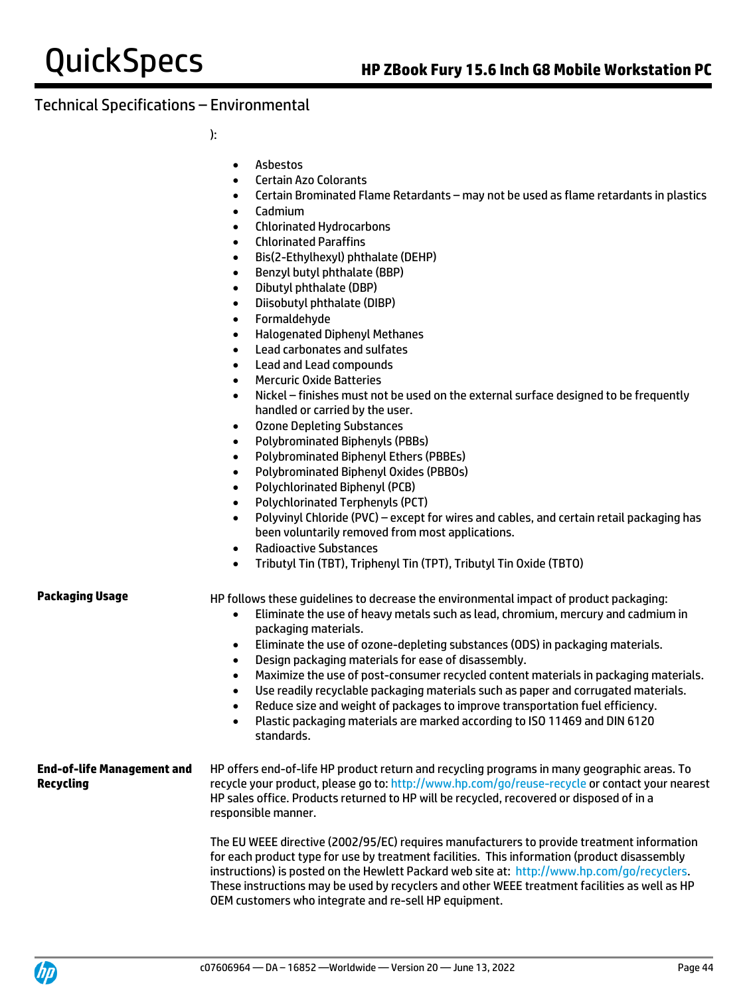):

- Asbestos
- Certain Azo Colorants
- Certain Brominated Flame Retardants may not be used as flame retardants in plastics
- Cadmium
- Chlorinated Hydrocarbons
- Chlorinated Paraffins
- Bis(2-Ethylhexyl) phthalate (DEHP)
- Benzyl butyl phthalate (BBP)
- Dibutyl phthalate (DBP)
- Diisobutyl phthalate (DIBP)
- Formaldehyde
- Halogenated Diphenyl Methanes
- Lead carbonates and sulfates
- Lead and Lead compounds
- Mercuric Oxide Batteries
- Nickel finishes must not be used on the external surface designed to be frequently handled or carried by the user.
- Ozone Depleting Substances
- Polybrominated Biphenyls (PBBs)
- Polybrominated Biphenyl Ethers (PBBEs)
- Polybrominated Biphenyl Oxides (PBBOs)
- Polychlorinated Biphenyl (PCB)
- Polychlorinated Terphenyls (PCT)
- Polyvinyl Chloride (PVC) except for wires and cables, and certain retail packaging has been voluntarily removed from most applications.
- Radioactive Substances
- Tributyl Tin (TBT), Triphenyl Tin (TPT), Tributyl Tin Oxide (TBTO)

**Packaging Usage HP follows these quidelines to decrease the environmental impact of product packaging:** 

- Eliminate the use of heavy metals such as lead, chromium, mercury and cadmium in packaging materials.
- Eliminate the use of ozone-depleting substances (ODS) in packaging materials.
- Design packaging materials for ease of disassembly.
- Maximize the use of post-consumer recycled content materials in packaging materials.
- Use readily recyclable packaging materials such as paper and corrugated materials.
- Reduce size and weight of packages to improve transportation fuel efficiency.
- Plastic packaging materials are marked according to ISO 11469 and DIN 6120 standards.

#### **End-of-life Management and Recycling** HP offers end-of-life HP product return and recycling programs in many geographic areas. To recycle your product, please go to:<http://www.hp.com/go/reuse-recycle> or contact your nearest HP sales office. Products returned to HP will be recycled, recovered or disposed of in a responsible manner.

The EU WEEE directive (2002/95/EC) requires manufacturers to provide treatment information for each product type for use by treatment facilities. This information (product disassembly instructions) is posted on the Hewlett Packard web site at: [http://www.hp.com/go/recyclers.](http://www.hp.com/go/recyclers)  These instructions may be used by recyclers and other WEEE treatment facilities as well as HP OEM customers who integrate and re-sell HP equipment.

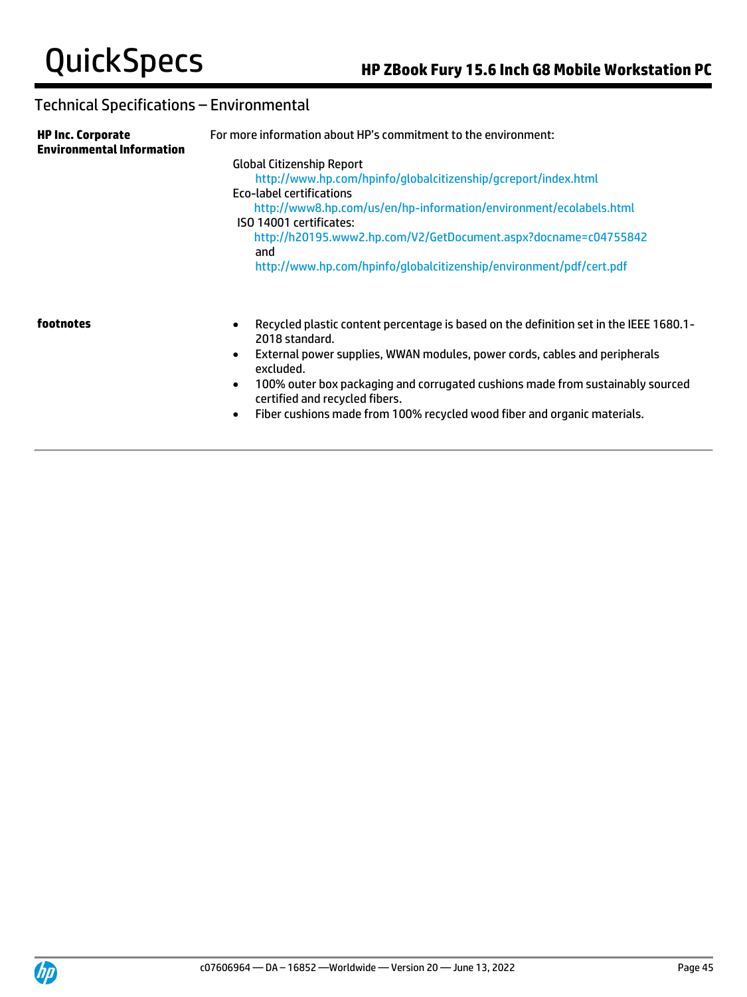| <b>HP Inc. Corporate</b><br><b>Environmental Information</b> | For more information about HP's commitment to the environment:                                                                                                                                                                                                                                                                                                                   |  |  |  |
|--------------------------------------------------------------|----------------------------------------------------------------------------------------------------------------------------------------------------------------------------------------------------------------------------------------------------------------------------------------------------------------------------------------------------------------------------------|--|--|--|
|                                                              | <b>Global Citizenship Report</b><br>http://www.hp.com/hpinfo/qlobalcitizenship/qcreport/index.html<br>Eco-label certifications<br>http://www8.hp.com/us/en/hp-information/environment/ecolabels.html<br>ISO 14001 certificates:<br>http://h20195.www2.hp.com/V2/GetDocument.aspx?docname=c04755842<br>and<br>http://www.hp.com/hpinfo/globalcitizenship/environment/pdf/cert.pdf |  |  |  |
| footnotes                                                    | Recycled plastic content percentage is based on the definition set in the IEEE 1680.1-<br>$\bullet$<br>2018 standard.<br>External power supplies, WWAN modules, power cords, cables and peripherals<br>$\bullet$<br>excluded.<br>100% outer box packaging and corrugated cushions made from sustainably sourced<br>$\bullet$<br>certified and recycled fibers.                   |  |  |  |

• Fiber cushions made from 100% recycled wood fiber and organic materials.

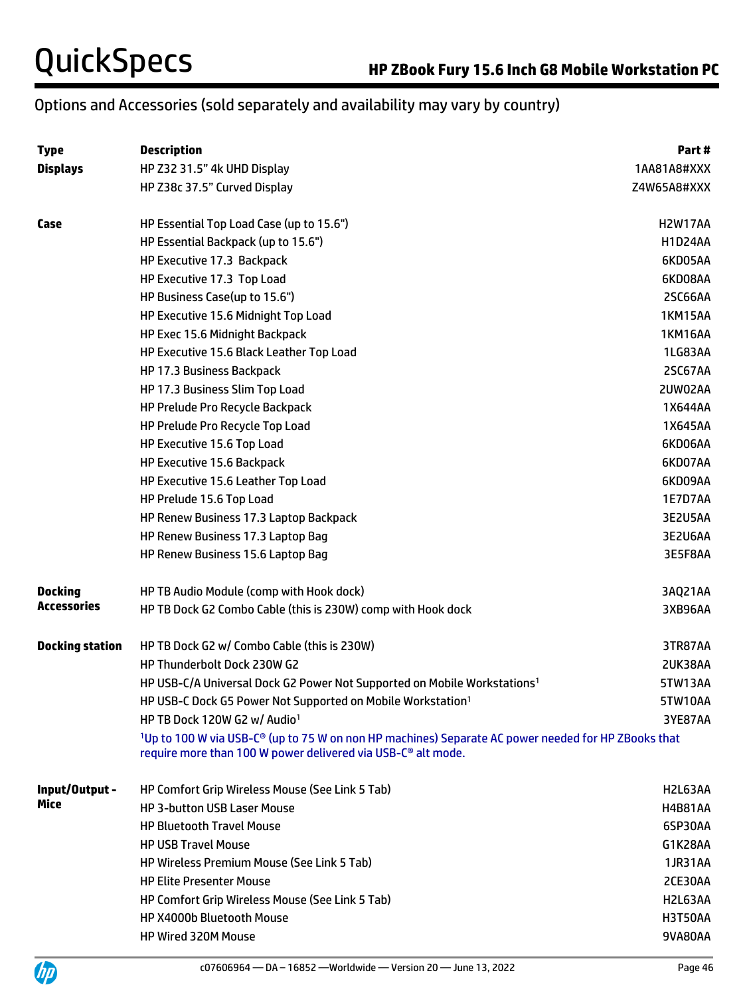# Options and Accessories (sold separately and availability may vary by country)

| <b>Type</b>            | <b>Description</b>                                                                                                                                                                                      | Part #         |
|------------------------|---------------------------------------------------------------------------------------------------------------------------------------------------------------------------------------------------------|----------------|
| <b>Displays</b>        | HP Z32 31.5" 4k UHD Display                                                                                                                                                                             | 1AA81A8#XXX    |
|                        | HP Z38c 37.5" Curved Display                                                                                                                                                                            | Z4W65A8#XXX    |
| Case                   | HP Essential Top Load Case (up to 15.6")                                                                                                                                                                | <b>H2W17AA</b> |
|                        | HP Essential Backpack (up to 15.6")                                                                                                                                                                     | <b>H1D24AA</b> |
|                        | HP Executive 17.3 Backpack                                                                                                                                                                              | 6KD05AA        |
|                        | HP Executive 17.3 Top Load                                                                                                                                                                              | 6KD08AA        |
|                        | HP Business Case(up to 15.6")                                                                                                                                                                           | 2SC66AA        |
|                        | HP Executive 15.6 Midnight Top Load                                                                                                                                                                     | <b>1KM15AA</b> |
|                        | HP Exec 15.6 Midnight Backpack                                                                                                                                                                          | <b>1KM16AA</b> |
|                        | HP Executive 15.6 Black Leather Top Load                                                                                                                                                                | 1LG83AA        |
|                        | HP 17.3 Business Backpack                                                                                                                                                                               | 2SC67AA        |
|                        | HP 17.3 Business Slim Top Load                                                                                                                                                                          | 2UW02AA        |
|                        | HP Prelude Pro Recycle Backpack                                                                                                                                                                         | 1X644AA        |
|                        | HP Prelude Pro Recycle Top Load                                                                                                                                                                         | 1X645AA        |
|                        | HP Executive 15.6 Top Load                                                                                                                                                                              | 6KD06AA        |
|                        | HP Executive 15.6 Backpack                                                                                                                                                                              | 6KD07AA        |
|                        | HP Executive 15.6 Leather Top Load                                                                                                                                                                      | 6KD09AA        |
|                        | HP Prelude 15.6 Top Load                                                                                                                                                                                | 1E7D7AA        |
|                        | HP Renew Business 17.3 Laptop Backpack                                                                                                                                                                  | 3E2U5AA        |
|                        | HP Renew Business 17.3 Laptop Bag                                                                                                                                                                       | 3E2U6AA        |
|                        | HP Renew Business 15.6 Laptop Bag                                                                                                                                                                       | 3E5F8AA        |
| <b>Docking</b>         | HP TB Audio Module (comp with Hook dock)                                                                                                                                                                | 3AQ21AA        |
| <b>Accessories</b>     | HP TB Dock G2 Combo Cable (this is 230W) comp with Hook dock                                                                                                                                            | 3XB96AA        |
| <b>Docking station</b> | HP TB Dock G2 w/ Combo Cable (this is 230W)                                                                                                                                                             | 3TR87AA        |
|                        | HP Thunderbolt Dock 230W G2                                                                                                                                                                             | 2UK38AA        |
|                        | HP USB-C/A Universal Dock G2 Power Not Supported on Mobile Workstations <sup>1</sup>                                                                                                                    | 5TW13AA        |
|                        | HP USB-C Dock G5 Power Not Supported on Mobile Workstation <sup>1</sup>                                                                                                                                 | 5TW10AA        |
|                        | HP TB Dock 120W G2 w/ Audio <sup>1</sup>                                                                                                                                                                | 3YE87AA        |
|                        | <sup>1</sup> Up to 100 W via USB-C <sup>®</sup> (up to 75 W on non HP machines) Separate AC power needed for HP ZBooks that<br>require more than 100 W power delivered via USB-C <sup>®</sup> alt mode. |                |
| Input/Output -         | HP Comfort Grip Wireless Mouse (See Link 5 Tab)                                                                                                                                                         | H2L63AA        |
| Mice                   | <b>HP 3-button USB Laser Mouse</b>                                                                                                                                                                      | <b>H4B81AA</b> |
|                        | <b>HP Bluetooth Travel Mouse</b>                                                                                                                                                                        | 6SP30AA        |
|                        | <b>HP USB Travel Mouse</b>                                                                                                                                                                              | G1K28AA        |
|                        | <b>HP Wireless Premium Mouse (See Link 5 Tab)</b>                                                                                                                                                       | <b>1JR31AA</b> |
|                        | <b>HP Elite Presenter Mouse</b>                                                                                                                                                                         | 2CE30AA        |
|                        | HP Comfort Grip Wireless Mouse (See Link 5 Tab)                                                                                                                                                         | H2L63AA        |
|                        | HP X4000b Bluetooth Mouse                                                                                                                                                                               | <b>H3T50AA</b> |
|                        | HP Wired 320M Mouse                                                                                                                                                                                     | 9VA80AA        |
|                        |                                                                                                                                                                                                         |                |

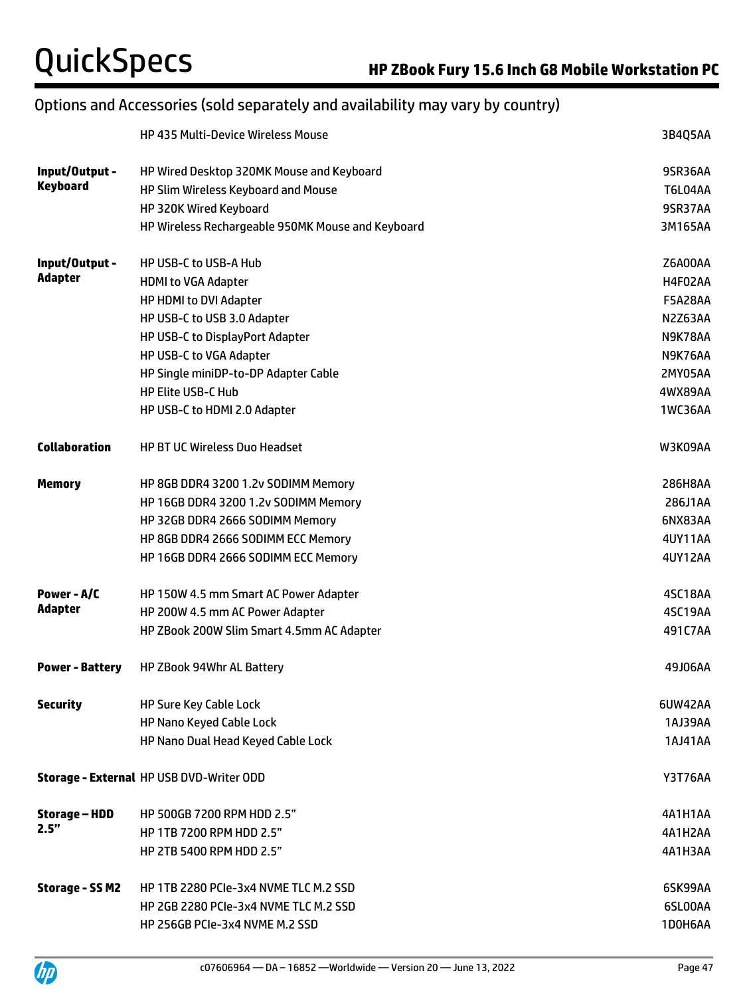# Options and Accessories (sold separately and availability may vary by country)

|                        | <b>HP 435 Multi-Device Wireless Mouse</b>         | 3B4Q5AA        |
|------------------------|---------------------------------------------------|----------------|
| Input/Output -         | HP Wired Desktop 320MK Mouse and Keyboard         | 9SR36AA        |
| <b>Keyboard</b>        | HP Slim Wireless Keyboard and Mouse               | <b>T6L04AA</b> |
|                        | HP 320K Wired Keyboard                            | 9SR37AA        |
|                        | HP Wireless Rechargeable 950MK Mouse and Keyboard | 3M165AA        |
| Input/Output -         | <b>HP USB-C to USB-A Hub</b>                      | Z6A00AA        |
| <b>Adapter</b>         | <b>HDMI to VGA Adapter</b>                        | H4F02AA        |
|                        | HP HDMI to DVI Adapter                            | <b>F5A28AA</b> |
|                        | HP USB-C to USB 3.0 Adapter                       | N2Z63AA        |
|                        | HP USB-C to DisplayPort Adapter                   | N9K78AA        |
|                        | HP USB-C to VGA Adapter                           | N9K76AA        |
|                        | HP Single miniDP-to-DP Adapter Cable              | 2MY05AA        |
|                        | <b>HP Elite USB-C Hub</b>                         | 4WX89AA        |
|                        | HP USB-C to HDMI 2.0 Adapter                      | 1WC36AA        |
| <b>Collaboration</b>   | <b>HP BT UC Wireless Duo Headset</b>              | W3K09AA        |
| <b>Memory</b>          | HP 8GB DDR4 3200 1.2v SODIMM Memory               | 286H8AA        |
|                        | HP 16GB DDR4 3200 1.2v SODIMM Memory              | 286J1AA        |
|                        | HP 32GB DDR4 2666 SODIMM Memory                   | 6NX83AA        |
|                        | HP 8GB DDR4 2666 SODIMM ECC Memory                | 4UY11AA        |
|                        | HP 16GB DDR4 2666 SODIMM ECC Memory               | <b>4UY12AA</b> |
| Power - A/C            | HP 150W 4.5 mm Smart AC Power Adapter             | 4SC18AA        |
| Adapter                | HP 200W 4.5 mm AC Power Adapter                   | 4SC19AA        |
|                        | HP ZBook 200W Slim Smart 4.5mm AC Adapter         | 491C7AA        |
| <b>Power - Battery</b> | HP ZBook 94Whr AL Battery                         | 49J06AA        |
| <b>Security</b>        | HP Sure Key Cable Lock                            | 6UW42AA        |
|                        | HP Nano Keyed Cable Lock                          | 1AJ39AA        |
|                        | HP Nano Dual Head Keyed Cable Lock                | 1AJ41AA        |
|                        | Storage - External HP USB DVD-Writer ODD          | <b>Y3T76AA</b> |
| Storage – HDD          | HP 500GB 7200 RPM HDD 2.5"                        | 4A1H1AA        |
| 2.5"                   | HP 1TB 7200 RPM HDD 2.5"                          | 4A1H2AA        |
|                        | HP 2TB 5400 RPM HDD 2.5"                          | 4A1H3AA        |
| <b>Storage - SSM2</b>  | HP 1TB 2280 PCIe-3x4 NVME TLC M.2 SSD             | 6SK99AA        |
|                        | HP 2GB 2280 PCIe-3x4 NVME TLC M.2 SSD             | 6SL00AA        |
|                        | HP 256GB PCIe-3x4 NVME M.2 SSD                    | 1D0H6AA        |

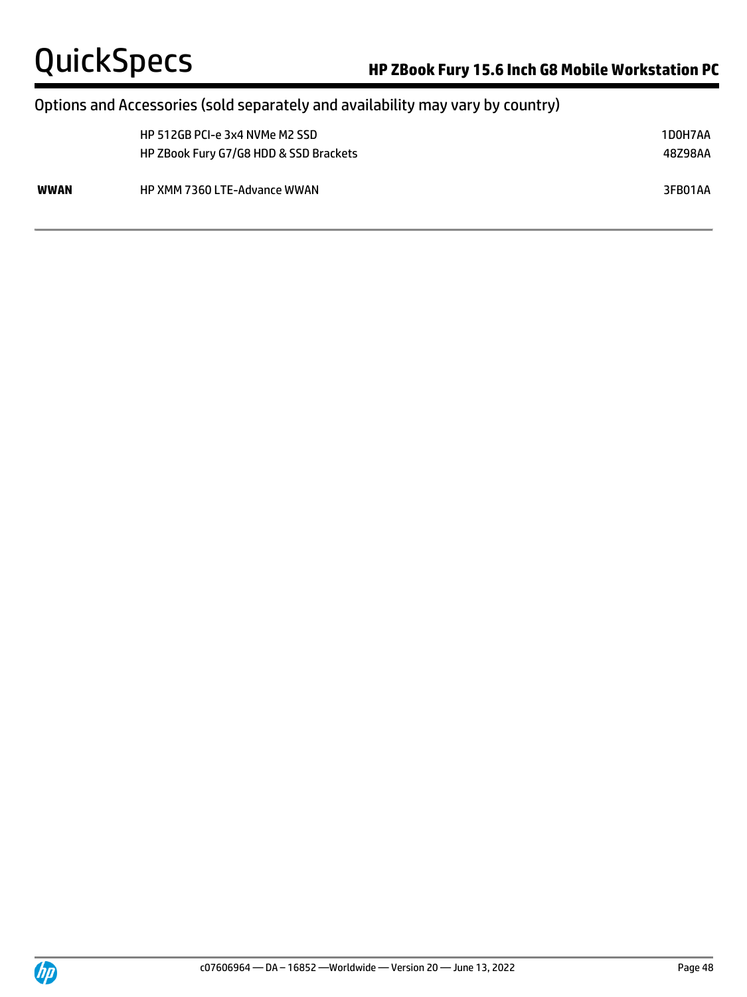# Options and Accessories (sold separately and availability may vary by country)

|      | HP 512GB PCI-e 3x4 NVMe M2 SSD<br>HP ZBook Fury G7/G8 HDD & SSD Brackets | 1D0H7AA<br>48Z98AA |
|------|--------------------------------------------------------------------------|--------------------|
| WWAN | <b>HP XMM 7360 LTE-Advance WWAN</b>                                      | 3FB01AA            |